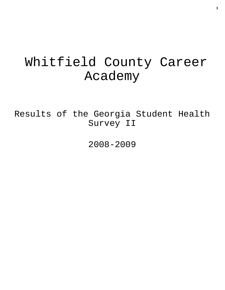# Whitfield County Career Academy

Results of the Georgia Student Health Survey II

2008-2009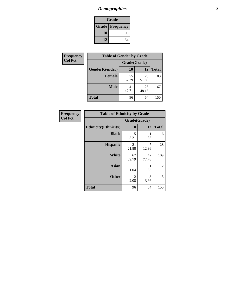# *Demographics* **2**

| Grade                    |    |  |  |
|--------------------------|----|--|--|
| <b>Grade   Frequency</b> |    |  |  |
| 10                       | 96 |  |  |
| 12                       | 54 |  |  |

| <b>Frequency</b> | <b>Table of Gender by Grade</b> |              |             |              |  |  |
|------------------|---------------------------------|--------------|-------------|--------------|--|--|
| <b>Col Pct</b>   |                                 | Grade(Grade) |             |              |  |  |
|                  | Gender(Gender)                  | 10           | 12          | <b>Total</b> |  |  |
|                  | <b>Female</b>                   | 55<br>57.29  | 28<br>51.85 | 83           |  |  |
|                  | <b>Male</b>                     | 41<br>42.71  | 26<br>48.15 | 67           |  |  |
|                  | <b>Total</b>                    | 96           | 54          | 150          |  |  |

| <b>Frequency</b> |  |
|------------------|--|
| <b>Col Pct</b>   |  |

| <b>Table of Ethnicity by Grade</b> |                        |             |              |  |  |  |
|------------------------------------|------------------------|-------------|--------------|--|--|--|
|                                    | Grade(Grade)           |             |              |  |  |  |
| <b>Ethnicity</b> (Ethnicity)       | 10                     | 12          | <b>Total</b> |  |  |  |
| <b>Black</b>                       | 5<br>5.21              | 1<br>1.85   | 6            |  |  |  |
| <b>Hispanic</b>                    | 21<br>21.88            | 7<br>12.96  | 28           |  |  |  |
| <b>White</b>                       | 67<br>69.79            | 42<br>77.78 | 109          |  |  |  |
| <b>Asian</b>                       | 1<br>1.04              | 1<br>1.85   | 2            |  |  |  |
| <b>Other</b>                       | $\overline{2}$<br>2.08 | 3<br>5.56   | 5            |  |  |  |
| <b>Total</b>                       | 96                     | 54          | 150          |  |  |  |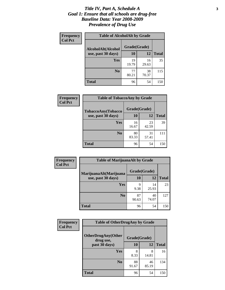### *Title IV, Part A, Schedule A* **3** *Goal 1: Ensure that all schools are drug-free Baseline Data: Year 2008-2009 Prevalence of Drug Use*

| Frequency<br><b>Col Pct</b> | <b>Table of AlcoholAlt by Grade</b> |              |             |              |  |  |
|-----------------------------|-------------------------------------|--------------|-------------|--------------|--|--|
|                             | AlcoholAlt(Alcohol                  | Grade(Grade) |             |              |  |  |
|                             | use, past 30 days)                  | 10           | 12          | <b>Total</b> |  |  |
|                             | Yes                                 | 19<br>19.79  | 16<br>29.63 | 35           |  |  |
|                             | N <sub>0</sub>                      | 77<br>80.21  | 38<br>70.37 | 115          |  |  |
|                             | <b>Total</b>                        | 96           | 54          | 150          |  |  |

| Frequency<br><b>Col Pct</b> | <b>Table of TobaccoAny by Grade</b> |              |             |              |  |
|-----------------------------|-------------------------------------|--------------|-------------|--------------|--|
|                             | <b>TobaccoAny(Tobacco</b>           | Grade(Grade) |             |              |  |
|                             | use, past 30 days)                  | <b>10</b>    | 12          | <b>Total</b> |  |
|                             | Yes                                 | 16<br>16.67  | 23<br>42.59 | 39           |  |
|                             | N <sub>0</sub>                      | 80<br>83.33  | 31<br>57.41 | 111          |  |
|                             | Total                               | 96           | 54          | 150          |  |

| Frequency<br><b>Col Pct</b> | <b>Table of MarijuanaAlt by Grade</b> |              |             |              |  |
|-----------------------------|---------------------------------------|--------------|-------------|--------------|--|
|                             | MarijuanaAlt(Marijuana                | Grade(Grade) |             |              |  |
|                             | use, past 30 days)                    | 10           | 12          | <b>Total</b> |  |
|                             | Yes                                   | 9<br>9.38    | 14<br>25.93 | 23           |  |
|                             | N <sub>0</sub>                        | 87<br>90.63  | 40<br>74.07 | 127          |  |
|                             | <b>Total</b>                          | 96           | 54          | 150          |  |

| Frequency      | <b>Table of OtherDrugAny by Grade</b>  |              |             |              |  |
|----------------|----------------------------------------|--------------|-------------|--------------|--|
| <b>Col Pct</b> | <b>OtherDrugAny(Other</b><br>drug use, | Grade(Grade) |             |              |  |
|                | past 30 days)                          | 10           | 12          | <b>Total</b> |  |
|                | <b>Yes</b>                             | 8<br>8.33    | 8<br>14.81  | 16           |  |
|                | N <sub>0</sub>                         | 88<br>91.67  | 46<br>85.19 | 134          |  |
|                | <b>Total</b>                           | 96           | 54          | 150          |  |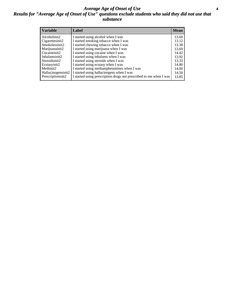### *Average Age of Onset of Use* **4** *Results for "Average Age of Onset of Use" questions exclude students who said they did not use that substance*

| <b>Variable</b>    | Label                                                              | <b>Mean</b> |
|--------------------|--------------------------------------------------------------------|-------------|
| Alcoholinit2       | I started using alcohol when I was                                 | 13.60       |
| Cigarettesinit2    | I started smoking tobacco when I was                               | 13.12       |
| Smokelessinit2     | I started chewing tobacco when I was                               | 13.38       |
| Marijuanainit2     | I started using marijuana when I was                               | 13.69       |
| Cocaineinit2       | I started using cocaine when I was                                 | 14.42       |
| Inhalantsinit2     | I started using inhalants when I was                               | 13.92       |
| Steroidsinit2      | I started using steroids when I was                                | 13.33       |
| Ecstasyinit2       | I started using ecstasy when I was                                 | 14.80       |
| Methinit2          | I started using methamphetamines when I was                        | 14.00       |
| Hallucinogensinit2 | I started using hallucinogens when I was                           | 14.50       |
| Prescriptioninit2  | I started using prescription drugs not prescribed to me when I was | 13.85       |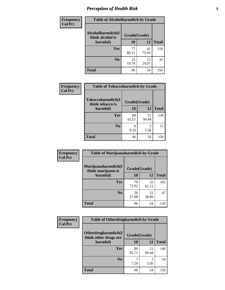# *Perception of Health Risk* **5**

| <b>Frequency</b> | <b>Table of Alcoholharmdich by Grade</b> |              |             |              |  |
|------------------|------------------------------------------|--------------|-------------|--------------|--|
| <b>Col Pct</b>   | Alcoholharmdich(I<br>think alcohol is    | Grade(Grade) |             |              |  |
|                  | harmful)                                 | 10           | 12          | <b>Total</b> |  |
|                  | Yes                                      | 77<br>80.21  | 41<br>75.93 | 118          |  |
|                  | N <sub>0</sub>                           | 19<br>19.79  | 13<br>24.07 | 32           |  |
|                  | <b>Total</b>                             | 96           | 54          | 150          |  |

| Frequency<br><b>Col Pct</b> | <b>Table of Tobaccoharmdich by Grade</b> |              |             |              |  |
|-----------------------------|------------------------------------------|--------------|-------------|--------------|--|
|                             | Tobaccoharmdich(I<br>think tobacco is    | Grade(Grade) |             |              |  |
|                             | harmful)                                 | 10           | 12          | <b>Total</b> |  |
|                             | <b>Yes</b>                               | 88<br>91.67  | 51<br>94.44 | 139          |  |
|                             | N <sub>0</sub>                           | 8<br>8.33    | 3<br>5.56   | 11           |  |
|                             | <b>Total</b>                             | 96           | 54          | 150          |  |

| Frequency      | <b>Table of Marijuanaharmdich by Grade</b> |              |             |              |  |  |
|----------------|--------------------------------------------|--------------|-------------|--------------|--|--|
| <b>Col Pct</b> | Marijuanaharmdich(I<br>think marijuana is  | Grade(Grade) |             |              |  |  |
|                | harmful)                                   | <b>10</b>    | 12          | <b>Total</b> |  |  |
|                | Yes                                        | 70<br>72.92  | 33<br>61.11 | 103          |  |  |
|                | N <sub>0</sub>                             | 26<br>27.08  | 21<br>38.89 | 47           |  |  |
|                | <b>Total</b>                               | 96           | 54          | 150          |  |  |

| <b>Frequency</b> | <b>Table of Otherdrugharmdich by Grade</b>   |              |             |              |  |
|------------------|----------------------------------------------|--------------|-------------|--------------|--|
| <b>Col Pct</b>   | Otherdrugharmdich(I<br>think other drugs are | Grade(Grade) |             |              |  |
|                  | harmful)                                     | <b>10</b>    | 12          | <b>Total</b> |  |
|                  | <b>Yes</b>                                   | 89<br>92.71  | 51<br>94.44 | 140          |  |
|                  | N <sub>0</sub>                               | 7.29         | 3<br>5.56   | 10           |  |
|                  | <b>Total</b>                                 | 96           | 54          | 150          |  |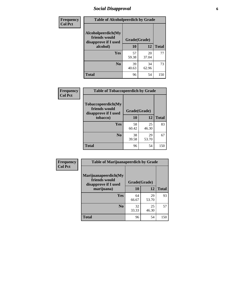# *Social Disapproval* **6**

| Frequency      | <b>Table of Alcoholpeerdich by Grade</b>                                |              |             |              |
|----------------|-------------------------------------------------------------------------|--------------|-------------|--------------|
| <b>Col Pct</b> | Alcoholpeerdich(My<br>friends would<br>disapprove if I used<br>alcohol) | Grade(Grade) |             |              |
|                |                                                                         | 10           | 12          | <b>Total</b> |
|                | <b>Yes</b>                                                              | 57<br>59.38  | 20<br>37.04 | 77           |
|                | N <sub>0</sub>                                                          | 39<br>40.63  | 34<br>62.96 | 73           |
|                | <b>Total</b>                                                            | 96           | 54          | 150          |

| <b>Frequency</b> |
|------------------|
| <b>Col Pct</b>   |

|                                                             | <b>Table of Tobaccopeerdich by Grade</b> |             |              |  |  |
|-------------------------------------------------------------|------------------------------------------|-------------|--------------|--|--|
| Tobaccopeerdich(My<br>friends would<br>disapprove if I used | Grade(Grade)                             |             |              |  |  |
| tobacco)                                                    | 10                                       | 12          | <b>Total</b> |  |  |
| Yes                                                         | 58<br>60.42                              | 25<br>46.30 | 83           |  |  |
| N <sub>0</sub>                                              | 38<br>39.58                              | 29<br>53.70 | 67           |  |  |
| <b>Total</b>                                                | 96                                       | 54          | 150          |  |  |

| <b>Frequency</b> | <b>Table of Marijuanapeerdich by Grade</b>                    |              |             |              |  |
|------------------|---------------------------------------------------------------|--------------|-------------|--------------|--|
| <b>Col Pct</b>   | Marijuanapeerdich(My<br>friends would<br>disapprove if I used | Grade(Grade) |             |              |  |
|                  | marijuana)                                                    | 10           | 12          | <b>Total</b> |  |
|                  | <b>Yes</b>                                                    | 64<br>66.67  | 29<br>53.70 | 93           |  |
|                  | N <sub>0</sub>                                                | 32<br>33.33  | 25<br>46.30 | 57           |  |
|                  | <b>Total</b>                                                  | 96           | 54          | 150          |  |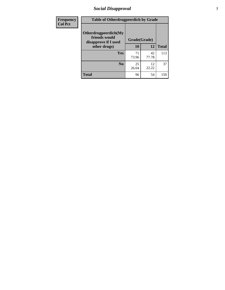# *Social Disapproval* **7**

| Frequency      | <b>Table of Otherdrugpeerdich by Grade</b>                    |              |             |              |  |
|----------------|---------------------------------------------------------------|--------------|-------------|--------------|--|
| <b>Col Pct</b> | Otherdrugpeerdich(My<br>friends would<br>disapprove if I used | Grade(Grade) |             |              |  |
|                | other drugs)                                                  | 10           | 12          | <b>Total</b> |  |
|                | <b>Yes</b>                                                    | 71<br>73.96  | 42<br>77.78 | 113          |  |
|                | N <sub>0</sub>                                                | 25<br>26.04  | 12<br>22.22 | 37           |  |
|                | <b>Total</b>                                                  | 96           | 54          | 150          |  |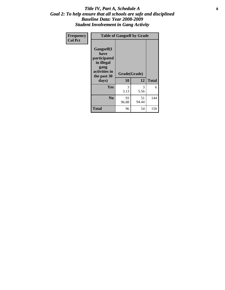### Title IV, Part A, Schedule A **8** *Goal 2: To help ensure that all schools are safe and disciplined Baseline Data: Year 2008-2009 Student Involvement in Gang Activity*

| Frequency      |                                                                                                   | <b>Table of Gangself by Grade</b> |             |              |
|----------------|---------------------------------------------------------------------------------------------------|-----------------------------------|-------------|--------------|
| <b>Col Pct</b> | Gangself(I<br>have<br>participated<br>in illegal<br>gang<br>activities in<br>the past 30<br>days) | Grade(Grade)<br>10                | 12          | <b>Total</b> |
|                | Yes                                                                                               | 3<br>3.13                         | 3<br>5.56   | 6            |
|                | N <sub>0</sub>                                                                                    | 93<br>96.88                       | 51<br>94.44 | 144          |
|                | <b>Total</b>                                                                                      | 96                                | 54          | 150          |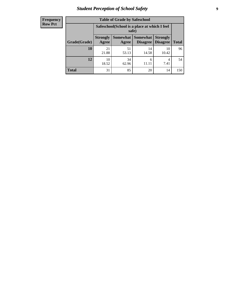# *Student Perception of School Safety* **9**

| <b>Frequency</b><br>Row Pct |
|-----------------------------|
|                             |

| <b>Table of Grade by Safeschool</b> |                                                                                                                          |                                                        |             |             |     |  |
|-------------------------------------|--------------------------------------------------------------------------------------------------------------------------|--------------------------------------------------------|-------------|-------------|-----|--|
|                                     |                                                                                                                          | Safeschool (School is a place at which I feel<br>safe) |             |             |     |  |
| Grade(Grade)                        | Somewhat Somewhat<br><b>Strongly</b><br><b>Strongly</b><br><b>Disagree</b><br>Agree<br>Disagree<br><b>Total</b><br>Agree |                                                        |             |             |     |  |
| 10                                  | 21<br>21.88                                                                                                              | 51<br>53.13                                            | 14<br>14.58 | 10<br>10.42 | 96  |  |
| 12                                  | 10<br>18.52                                                                                                              | 34<br>62.96                                            | 6           | 4<br>7.41   | 54  |  |
| <b>Total</b>                        | 31                                                                                                                       | 85                                                     | 20          | 14          | 150 |  |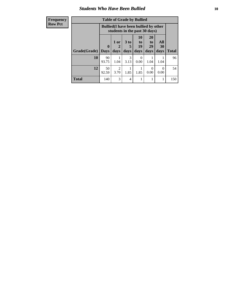### *Students Who Have Been Bullied* **10**

| <b>Frequency</b> | <b>Table of Grade by Bullied</b> |              |                                                                               |                      |                  |                       |                  |              |
|------------------|----------------------------------|--------------|-------------------------------------------------------------------------------|----------------------|------------------|-----------------------|------------------|--------------|
| <b>Row Pct</b>   |                                  |              | <b>Bullied</b> (I have been bullied by other<br>students in the past 30 days) |                      |                  |                       |                  |              |
|                  |                                  | $\mathbf{0}$ | 1 or<br>2                                                                     | 3 <sub>to</sub><br>5 | 10<br>to  <br>19 | <b>20</b><br>to<br>29 | All<br>30        |              |
|                  | <b>Grade</b> (Grade)             | <b>Days</b>  | days                                                                          | days                 | days             | days                  | days             | <b>Total</b> |
|                  | 10                               | 90<br>93.75  | 1.04                                                                          | 3<br>3.13            | $\Omega$<br>0.00 | 1.04                  | 1.04             | 96           |
|                  | 12                               | 50<br>92.59  | $\mathfrak{D}$<br>3.70                                                        | 1.85                 | 1.85             | 0<br>0.00             | $\Omega$<br>0.00 | 54           |
|                  | <b>Total</b>                     | 140          | 3                                                                             | 4                    |                  |                       | 1                | 150          |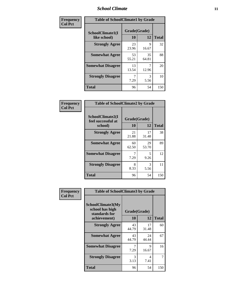### *School Climate* **11**

| Frequency      | <b>Table of SchoolClimate1 by Grade</b> |                    |             |              |  |
|----------------|-----------------------------------------|--------------------|-------------|--------------|--|
| <b>Col Pct</b> | SchoolClimate1(I<br>like school)        | Grade(Grade)<br>10 | 12          | <b>Total</b> |  |
|                | <b>Strongly Agree</b>                   | 23<br>23.96        | 9<br>16.67  | 32           |  |
|                | <b>Somewhat Agree</b>                   | 53<br>55.21        | 35<br>64.81 | 88           |  |
|                | <b>Somewhat Disagree</b>                | 13<br>13.54        | 12.96       | 20           |  |
|                | <b>Strongly Disagree</b>                | 7.29               | 3<br>5.56   | 10           |  |
|                | <b>Total</b>                            | 96                 | 54          | 150          |  |

| Frequency      | <b>Table of SchoolClimate2 by Grade</b>           |                           |             |              |
|----------------|---------------------------------------------------|---------------------------|-------------|--------------|
| <b>Col Pct</b> | SchoolClimate2(I<br>feel successful at<br>school) | Grade(Grade)<br><b>10</b> | 12          | <b>Total</b> |
|                | <b>Strongly Agree</b>                             | 21<br>21.88               | 17<br>31.48 | 38           |
|                | <b>Somewhat Agree</b>                             | 60<br>62.50               | 29<br>53.70 | 89           |
|                | <b>Somewhat Disagree</b>                          | 7.29                      | 5<br>9.26   | 12           |
|                | <b>Strongly Disagree</b>                          | 8<br>8.33                 | 3<br>5.56   | 11           |
|                | <b>Total</b>                                      | 96                        | 54          | 150          |

| Frequency      | <b>Table of SchoolClimate3 by Grade</b>                      |              |             |              |
|----------------|--------------------------------------------------------------|--------------|-------------|--------------|
| <b>Col Pct</b> | <b>SchoolClimate3(My</b><br>school has high<br>standards for | Grade(Grade) |             |              |
|                | achievement)                                                 | 10           | 12          | <b>Total</b> |
|                | <b>Strongly Agree</b>                                        | 43<br>44.79  | 17<br>31.48 | 60           |
|                | <b>Somewhat Agree</b>                                        | 43<br>44.79  | 24<br>44.44 | 67           |
|                | <b>Somewhat Disagree</b>                                     | 7<br>7.29    | 9<br>16.67  | 16           |
|                | <b>Strongly Disagree</b>                                     | 3<br>3.13    | 4<br>7.41   | 7            |
|                | Total                                                        | 96           | 54          | 150          |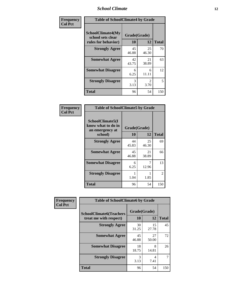### *School Climate* **12**

| Frequency      | <b>Table of SchoolClimate4 by Grade</b>                              |                    |                        |              |
|----------------|----------------------------------------------------------------------|--------------------|------------------------|--------------|
| <b>Col Pct</b> | <b>SchoolClimate4(My</b><br>school sets clear<br>rules for behavior) | Grade(Grade)<br>10 | 12                     | <b>Total</b> |
|                | <b>Strongly Agree</b>                                                | 45<br>46.88        | 25<br>46.30            | 70           |
|                | <b>Somewhat Agree</b>                                                | 42<br>43.75        | 21<br>38.89            | 63           |
|                | <b>Somewhat Disagree</b>                                             | 6<br>6.25          | 6<br>11.11             | 12           |
|                | <b>Strongly Disagree</b>                                             | 3<br>3.13          | $\mathfrak{D}$<br>3.70 | 5            |
|                | <b>Total</b>                                                         | 96                 | 54                     | 150          |

| <b>Table of SchoolClimate5 by Grade</b>                   |                    |              |     |  |  |
|-----------------------------------------------------------|--------------------|--------------|-----|--|--|
| SchoolClimate5(I<br>know what to do in<br>an emergency at | Grade(Grade)<br>10 | <b>Total</b> |     |  |  |
| school)                                                   |                    | 12           |     |  |  |
| <b>Strongly Agree</b>                                     | 44<br>45.83        | 25<br>46.30  | 69  |  |  |
| <b>Somewhat Agree</b>                                     | 45<br>46.88        | 21<br>38.89  | 66  |  |  |
| <b>Somewhat Disagree</b>                                  | 6<br>6.25          | 7<br>12.96   | 13  |  |  |
| <b>Strongly Disagree</b>                                  | 1.04               | 1.85         | 2   |  |  |
| <b>Total</b>                                              | 96                 | 54           | 150 |  |  |

| Frequency      | <b>Table of SchoolClimate6 by Grade</b>                  |                           |             |              |
|----------------|----------------------------------------------------------|---------------------------|-------------|--------------|
| <b>Col Pct</b> | <b>SchoolClimate6(Teachers</b><br>treat me with respect) | Grade(Grade)<br><b>10</b> | 12          | <b>Total</b> |
|                | <b>Strongly Agree</b>                                    | 30<br>31.25               | 15<br>27.78 | 45           |
|                | <b>Somewhat Agree</b>                                    | 45<br>46.88               | 27<br>50.00 | 72           |
|                | <b>Somewhat Disagree</b>                                 | 18<br>18.75               | 8<br>14.81  | 26           |
|                | <b>Strongly Disagree</b>                                 | 3<br>3.13                 | 4<br>7.41   |              |
|                | <b>Total</b>                                             | 96                        | 54          | 150          |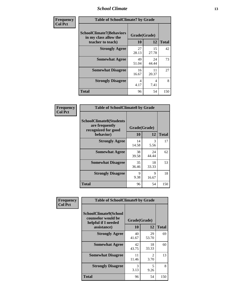### *School Climate* **13**

| Frequency      | <b>Table of SchoolClimate7 by Grade</b>                                       |                    |             |              |
|----------------|-------------------------------------------------------------------------------|--------------------|-------------|--------------|
| <b>Col Pct</b> | <b>SchoolClimate7(Behaviors</b><br>in my class allow the<br>teacher to teach) | Grade(Grade)<br>10 | 12          | <b>Total</b> |
|                | <b>Strongly Agree</b>                                                         | 27<br>28.13        | 15<br>27.78 | 42           |
|                | <b>Somewhat Agree</b>                                                         | 49<br>51.04        | 24<br>44.44 | 73           |
|                | <b>Somewhat Disagree</b>                                                      | 16<br>16.67        | 11<br>20.37 | 27           |
|                | <b>Strongly Disagree</b>                                                      | 4<br>4.17          | 4<br>7.41   | 8            |
|                | <b>Total</b>                                                                  | 96                 | 54          | 150          |

| Frequency      | <b>Table of SchoolClimate8 by Grade</b>                                 |              |             |              |
|----------------|-------------------------------------------------------------------------|--------------|-------------|--------------|
| <b>Col Pct</b> | <b>SchoolClimate8(Students</b><br>are frequently<br>recognized for good | Grade(Grade) |             |              |
|                | behavior)                                                               | 10           | 12          | <b>Total</b> |
|                | <b>Strongly Agree</b>                                                   | 14<br>14.58  | 3<br>5.56   | 17           |
|                | <b>Somewhat Agree</b>                                                   | 38<br>39.58  | 24<br>44.44 | 62           |
|                | <b>Somewhat Disagree</b>                                                | 35<br>36.46  | 18<br>33.33 | 53           |
|                | <b>Strongly Disagree</b>                                                | 9<br>9.38    | 9<br>16.67  | 18           |
|                | <b>Total</b>                                                            | 96           | 54          | 150          |

| Frequency      | <b>Table of SchoolClimate9 by Grade</b>                                                  |                    |                        |              |
|----------------|------------------------------------------------------------------------------------------|--------------------|------------------------|--------------|
| <b>Col Pct</b> | <b>SchoolClimate9(School</b><br>counselor would be<br>helpful if I needed<br>assistance) | Grade(Grade)<br>10 | 12                     | <b>Total</b> |
|                | <b>Strongly Agree</b>                                                                    | 40<br>41.67        | 29<br>53.70            | 69           |
|                | <b>Somewhat Agree</b>                                                                    | 42<br>43.75        | 18<br>33.33            | 60           |
|                | <b>Somewhat Disagree</b>                                                                 | 11<br>11.46        | $\mathfrak{D}$<br>3.70 | 13           |
|                | <b>Strongly Disagree</b>                                                                 | 3<br>3.13          | 5<br>9.26              | 8            |
|                | Total                                                                                    | 96                 | 54                     | 150          |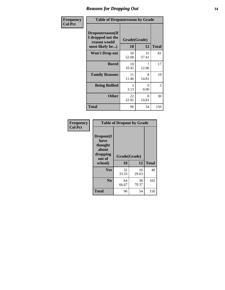### *Reasons for Dropping Out* **14**

| Frequency      | <b>Table of Dropoutreason by Grade</b>                                   |                    |                  |              |
|----------------|--------------------------------------------------------------------------|--------------------|------------------|--------------|
| <b>Col Pct</b> | Dropoutreason(If<br>I dropped out the<br>reason would<br>most likely be) | Grade(Grade)<br>10 | 12               | <b>Total</b> |
|                | <b>Won't Drop out</b>                                                    | 50<br>52.08        | 31<br>57.41      | 81           |
|                | <b>Bored</b>                                                             | 10<br>10.42        | 12.96            | 17           |
|                | <b>Family Reasons</b>                                                    | 11<br>11.46        | 8<br>14.81       | 19           |
|                | <b>Being Bullied</b>                                                     | 3<br>3.13          | $\Omega$<br>0.00 | 3            |
|                | <b>Other</b>                                                             | 22<br>22.92        | 8<br>14.81       | 30           |
|                | <b>Total</b>                                                             | 96                 | 54               | 150          |

| Frequency<br><b>Col Pct</b> | <b>Table of Dropout by Grade</b>                                       |                    |             |              |  |
|-----------------------------|------------------------------------------------------------------------|--------------------|-------------|--------------|--|
|                             | Dropout(I<br>have<br>thought<br>about<br>dropping<br>out of<br>school) | Grade(Grade)<br>10 | 12          | <b>Total</b> |  |
|                             |                                                                        |                    |             |              |  |
|                             | Yes                                                                    | 32<br>33.33        | 16<br>29.63 | 48           |  |
|                             | N <sub>0</sub>                                                         | 64<br>66.67        | 38<br>70.37 | 102          |  |
|                             | <b>Total</b>                                                           | 96                 | 54          | 150          |  |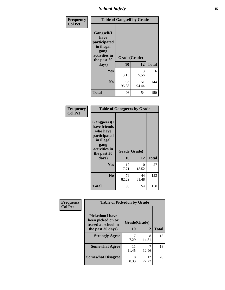*School Safety* **15**

| Frequency      | <b>Table of Gangself by Grade</b>                                                                 |                    |             |              |
|----------------|---------------------------------------------------------------------------------------------------|--------------------|-------------|--------------|
| <b>Col Pct</b> | Gangself(I<br>have<br>participated<br>in illegal<br>gang<br>activities in<br>the past 30<br>days) | Grade(Grade)<br>10 | 12          | <b>Total</b> |
|                | Yes                                                                                               | 3<br>3.13          | 3<br>5.56   | 6            |
|                | N <sub>0</sub>                                                                                    | 93<br>96.88        | 51<br>94.44 | 144          |
|                | <b>Total</b>                                                                                      | 96                 | 54          | 150          |

| Frequency<br><b>Col Pct</b> | <b>Table of Gangpeers by Grade</b>                                                                                             |                    |             |              |
|-----------------------------|--------------------------------------------------------------------------------------------------------------------------------|--------------------|-------------|--------------|
|                             | <b>Gangpeers</b> (I<br>have friends<br>who have<br>participated<br>in illegal<br>gang<br>activities in<br>the past 30<br>days) | Grade(Grade)<br>10 | 12          | <b>Total</b> |
|                             | <b>Yes</b>                                                                                                                     | 17<br>17.71        | 10<br>18.52 | 27           |
|                             | N <sub>0</sub>                                                                                                                 | 79<br>82.29        | 44<br>81.48 | 123          |
|                             | <b>Total</b>                                                                                                                   | 96                 | 54          | 150          |

| Frequency<br><b>Col Pct</b>                                         | <b>Table of Pickedon by Grade</b> |              |             |              |
|---------------------------------------------------------------------|-----------------------------------|--------------|-------------|--------------|
| <b>Pickedon</b> (I have<br>been picked on or<br>teased at school in |                                   | Grade(Grade) |             |              |
|                                                                     | the past 30 days)                 | 10           | 12          | <b>Total</b> |
|                                                                     | <b>Strongly Agree</b>             | 7.29         | 8<br>14.81  | 15           |
|                                                                     | <b>Somewhat Agree</b>             | 11<br>11.46  | 12.96       | 18           |
|                                                                     | <b>Somewhat Disagree</b>          | 8<br>8.33    | 12<br>22.22 | 20           |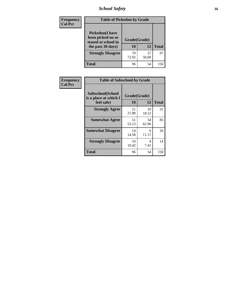*School Safety* **16**

| <b>Frequency</b> | <b>Table of Pickedon by Grade</b>                                                        |                    |             |              |  |  |  |  |  |  |
|------------------|------------------------------------------------------------------------------------------|--------------------|-------------|--------------|--|--|--|--|--|--|
| <b>Col Pct</b>   | <b>Pickedon</b> (I have<br>been picked on or<br>teased at school in<br>the past 30 days) | Grade(Grade)<br>10 | 12          | <b>Total</b> |  |  |  |  |  |  |
|                  | <b>Strongly Disagree</b>                                                                 | 70<br>72.92        | 27<br>50.00 | 97           |  |  |  |  |  |  |
|                  | Total                                                                                    | 96                 | 54          | 150          |  |  |  |  |  |  |

| <b>Frequency</b> | <b>Table of Safeschool by Grade</b>        |              |             |              |
|------------------|--------------------------------------------|--------------|-------------|--------------|
| <b>Col Pct</b>   | Safeschool(School<br>is a place at which I | Grade(Grade) |             |              |
|                  | feel safe)                                 | 10           | 12          | <b>Total</b> |
|                  | <b>Strongly Agree</b>                      | 21<br>21.88  | 10<br>18.52 | 31           |
|                  | <b>Somewhat Agree</b>                      | 51<br>53.13  | 34<br>62.96 | 85           |
|                  | <b>Somewhat Disagree</b>                   | 14<br>14.58  | 6<br>11.11  | 20           |
|                  | <b>Strongly Disagree</b>                   | 10<br>10.42  | 4<br>7.41   | 14           |
|                  | <b>Total</b>                               | 96           | 54          | 150          |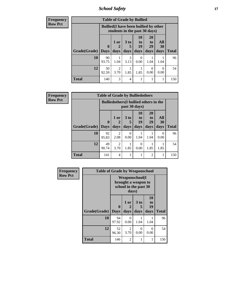*School Safety* **17**

| <b>Frequency</b> |                             |             | <b>Table of Grade by Bullied</b>                                              |                      |                  |                       |                  |              |
|------------------|-----------------------------|-------------|-------------------------------------------------------------------------------|----------------------|------------------|-----------------------|------------------|--------------|
| <b>Row Pct</b>   |                             |             | <b>Bullied</b> (I have been bullied by other<br>students in the past 30 days) |                      |                  |                       |                  |              |
|                  |                             | $\mathbf 0$ | 1 or                                                                          | 3 <sub>to</sub><br>5 | 10<br>to<br>19   | <b>20</b><br>to<br>29 | All<br><b>30</b> |              |
|                  | <b>Grade</b> (Grade)   Days |             | days                                                                          | days                 | days             | days                  | days             | <b>Total</b> |
|                  | 10                          | 90<br>93.75 | 1.04                                                                          | 3<br>3.13            | $\Omega$<br>0.00 | 1.04                  | 1.04             | 96           |
|                  | 12                          | 50<br>92.59 | $\overline{c}$<br>3.70                                                        | 1.85                 | 1.85             | $\Omega$<br>0.00      | $\Omega$<br>0.00 | 54           |
|                  | <b>Total</b>                | 140         | 3                                                                             | 4                    |                  |                       |                  | 150          |

| Frequency      |                     | <b>Table of Grade by Bulliedothers</b> |                                                                |              |                        |                               |                   |              |  |  |
|----------------|---------------------|----------------------------------------|----------------------------------------------------------------|--------------|------------------------|-------------------------------|-------------------|--------------|--|--|
| <b>Row Pct</b> |                     |                                        | <b>Bulliedothers</b> (I bullied others in the<br>past 30 days) |              |                        |                               |                   |              |  |  |
|                | Grade(Grade)   Days | $\bf{0}$                               | 1 or<br>days                                                   | 3 to<br>days | 10<br>to<br>19<br>days | <b>20</b><br>to<br>29<br>days | All<br>30<br>days | <b>Total</b> |  |  |
|                | 10                  | 92                                     | 2                                                              | $\Omega$     |                        |                               | 0                 | 96           |  |  |
|                |                     | 95.83                                  | 2.08                                                           | 0.00         | 1.04                   | 1.04                          | 0.00              |              |  |  |
|                | 12                  | 49<br>90.74                            | $\overline{2}$<br>3.70                                         | 1.85         | 0<br>0.00              | 1.85                          | 1.85              | 54           |  |  |
|                | <b>Total</b>        | 141                                    | $\overline{4}$                                                 |              |                        | 2                             | 1                 | 150          |  |  |

| Frequency      | <b>Table of Grade by Weaponschool</b> |                                                                        |                   |                   |                        |              |  |  |  |  |
|----------------|---------------------------------------|------------------------------------------------------------------------|-------------------|-------------------|------------------------|--------------|--|--|--|--|
| <b>Row Pct</b> |                                       | <b>Weaponschool</b> (I<br>brought a weapon to<br>school in the past 30 |                   |                   |                        |              |  |  |  |  |
|                | Grade(Grade)   Days                   | $\bf{0}$                                                               | 1 or<br>2<br>days | 3 to<br>5<br>days | 10<br>to<br>19<br>days | <b>Total</b> |  |  |  |  |
|                | 10                                    | 94<br>97.92                                                            | 0<br>0.00         | 1.04              | 1.04                   | 96           |  |  |  |  |
|                | 12                                    | 52<br>96.30                                                            | 2<br>3.70         | 0<br>0.00         | 0<br>0.00              | 54           |  |  |  |  |
|                | <b>Total</b>                          | 146                                                                    | $\overline{2}$    | 1                 | 1                      | 150          |  |  |  |  |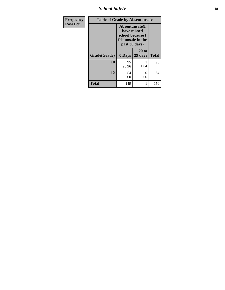*School Safety* **18**

| <b>Frequency</b> | <b>Table of Grade by Absentunsafe</b> |                                                                                           |                    |              |  |  |  |  |  |
|------------------|---------------------------------------|-------------------------------------------------------------------------------------------|--------------------|--------------|--|--|--|--|--|
| <b>Row Pct</b>   |                                       | Absentunsafe(I)<br>have missed<br>school because I<br>felt unsafe in the<br>past 30 days) |                    |              |  |  |  |  |  |
|                  | Grade(Grade)                          | 0 Days                                                                                    | $20$ to<br>29 days | <b>Total</b> |  |  |  |  |  |
|                  | 10                                    | 95<br>98.96                                                                               | 1.04               | 96           |  |  |  |  |  |
|                  | 12                                    | 54<br>100.00                                                                              | 0<br>0.00          | 54           |  |  |  |  |  |
|                  | <b>Total</b>                          | 149                                                                                       | 1                  | 150          |  |  |  |  |  |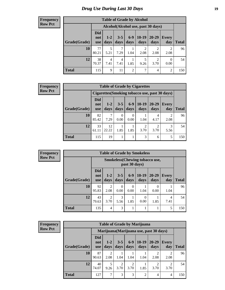#### **Frequency Row Pct**

| <b>Table of Grade by Alcohol</b> |                                 |                                     |                 |                |                        |                        |                        |              |  |  |  |  |
|----------------------------------|---------------------------------|-------------------------------------|-----------------|----------------|------------------------|------------------------|------------------------|--------------|--|--|--|--|
|                                  |                                 | Alcohol (Alcohol use, past 30 days) |                 |                |                        |                        |                        |              |  |  |  |  |
| Grade(Grade)                     | <b>Did</b><br>not<br><b>use</b> | $1 - 2$<br>days                     | $3 - 5$<br>days | $6-9$<br>days  | $10-19$<br>days        | 20-29<br>days          | Every<br>day           | <b>Total</b> |  |  |  |  |
| 10                               | 77<br>80.21                     | 5<br>5.21                           | 7.29            | 1.04           | $\mathfrak{D}$<br>2.08 | $\overline{2}$<br>2.08 | $\overline{2}$<br>2.08 | 96           |  |  |  |  |
| 12                               | 38<br>70.37                     | 4<br>7.41                           | 4<br>7.41       | 1.85           | 5<br>9.26              | $\overline{2}$<br>3.70 | 0<br>0.00              | 54           |  |  |  |  |
| <b>Total</b>                     | 115                             | 9                                   | 11              | $\overline{2}$ | 7                      | 4                      | $\overline{2}$         | 150          |  |  |  |  |

#### **Frequency Row Pct**

| <b>Table of Grade by Cigarettes</b> |                                                |               |                 |                  |                        |                   |                     |              |  |  |  |
|-------------------------------------|------------------------------------------------|---------------|-----------------|------------------|------------------------|-------------------|---------------------|--------------|--|--|--|
|                                     | Cigarettes (Smoking tobacco use, past 30 days) |               |                 |                  |                        |                   |                     |              |  |  |  |
| Grade(Grade)                        | Did<br>not<br><b>use</b>                       | $1-2$<br>days | $3 - 5$<br>days | $6-9$<br>days    | $10-19$<br>days        | $20 - 29$<br>days | <b>Every</b><br>day | <b>Total</b> |  |  |  |
| 10                                  | 82<br>85.42                                    | 7.29          | 0<br>0.00       | $\Omega$<br>0.00 | 1.04                   | 4<br>4.17         | 2.08                | 96           |  |  |  |
| 12                                  | 33<br>61.11                                    | 12<br>22.22   | 1.85            | 1.85             | $\overline{2}$<br>3.70 | $\gamma$<br>3.70  | 3<br>5.56           | 54           |  |  |  |
| <b>Total</b>                        | 115                                            | 19            |                 | 1                | 3                      | 6                 | 5                   | 150          |  |  |  |

**Frequency Row Pct**

| <b>Table of Grade by Smokeless</b> |              |                                 |                                                        |                 |                 |                  |               |                     |              |  |  |  |
|------------------------------------|--------------|---------------------------------|--------------------------------------------------------|-----------------|-----------------|------------------|---------------|---------------------|--------------|--|--|--|
|                                    |              |                                 | <b>Smokeless</b> (Chewing tobaccouse,<br>past 30 days) |                 |                 |                  |               |                     |              |  |  |  |
|                                    | Grade(Grade) | <b>Did</b><br>not<br><b>use</b> | $1 - 2$<br>days                                        | $3 - 5$<br>days | $6 - 9$<br>days | $10-19$<br>days  | 20-29<br>days | <b>Every</b><br>day | <b>Total</b> |  |  |  |
|                                    | 10           | 92<br>95.83                     | $\overline{2}$<br>2.08                                 | 0<br>0.00       | 0<br>0.00       | 1.04             | 0<br>0.00     | 1.04                | 96           |  |  |  |
|                                    | 12           | 43<br>79.63                     | $\overline{2}$<br>3.70                                 | 3<br>5.56       | 1.85            | $\theta$<br>0.00 | 1.85          | 4<br>7.41           | 54           |  |  |  |
|                                    | <b>Total</b> | 135                             | 4                                                      | 3               |                 |                  |               | 5                   | 150          |  |  |  |

| <b>Frequency</b> |
|------------------|
| <b>Row Pct</b>   |

| <b>Table of Grade by Marijuana</b> |                                 |                                         |                 |                 |                 |                        |                        |              |  |  |
|------------------------------------|---------------------------------|-----------------------------------------|-----------------|-----------------|-----------------|------------------------|------------------------|--------------|--|--|
|                                    |                                 | Marijuana (Marijuana use, past 30 days) |                 |                 |                 |                        |                        |              |  |  |
| Grade(Grade)                       | <b>Did</b><br>not<br><b>use</b> | $1 - 2$<br>days                         | $3 - 5$<br>days | $6 - 9$<br>days | $10-19$<br>days | $20 - 29$<br>days      | <b>Every</b><br>day    | <b>Total</b> |  |  |
| 10                                 | 87<br>90.63                     | 2<br>2.08                               | 1.04            | 1.04            | 1.04            | $\mathfrak{D}$<br>2.08 | $\mathfrak{D}$<br>2.08 | 96           |  |  |
| 12                                 | 40<br>74.07                     | 5<br>9.26                               | 2<br>3.70       | 2<br>3.70       | 1<br>1.85       | 3.70                   | 3.70                   | 54           |  |  |
| <b>Total</b>                       | 127                             | 7                                       | 3               | 3               | $\overline{2}$  | 4                      | $\overline{4}$         | 150          |  |  |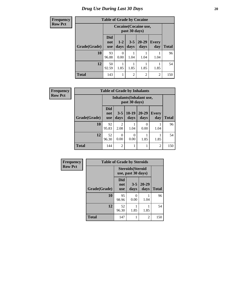| <b>Frequency</b> | <b>Table of Grade by Cocaine</b> |                                 |                 |                 |                   |                |              |  |
|------------------|----------------------------------|---------------------------------|-----------------|-----------------|-------------------|----------------|--------------|--|
| <b>Row Pct</b>   |                                  | Cocaine (Cocaine use,           |                 |                 |                   |                |              |  |
|                  | Grade(Grade)                     | <b>Did</b><br>not<br><b>use</b> | $1 - 2$<br>days | $3 - 5$<br>days | $20 - 29$<br>days | Every<br>day   | <b>Total</b> |  |
|                  | 10                               | 93<br>96.88                     | 0<br>0.00       | 1.04            | 1.04              | 1.04           | 96           |  |
|                  | 12                               | 50<br>92.59                     | 1.85            | 1.85            | 1.85              | 1.85           | 54           |  |
|                  | <b>Total</b>                     | 143                             |                 | $\overline{2}$  | $\overline{c}$    | $\overline{2}$ | 150          |  |

| <b>Frequency</b> | <b>Table of Grade by Inhalants</b>       |                                 |                        |                  |                   |                     |              |  |
|------------------|------------------------------------------|---------------------------------|------------------------|------------------|-------------------|---------------------|--------------|--|
| <b>Row Pct</b>   | Inhalants(Inhalant use,<br>past 30 days) |                                 |                        |                  |                   |                     |              |  |
|                  | Grade(Grade)                             | <b>Did</b><br>not<br><b>use</b> | $3 - 5$<br>days        | $ 10-19$<br>days | $20 - 29$<br>days | <b>Every</b><br>day | <b>Total</b> |  |
|                  | 10                                       | 92<br>95.83                     | $\overline{c}$<br>2.08 | 1.04             | 0<br>0.00         | 1.04                | 96           |  |
|                  | 12                                       | 52<br>96.30                     | $\Omega$<br>0.00       | $\Omega$<br>0.00 | 1.85              | 1.85                | 54           |  |
|                  | <b>Total</b>                             | 144                             | $\overline{c}$         |                  | 1                 | $\overline{2}$      | 150          |  |

| Frequency      | <b>Table of Grade by Steroids</b> |                          |                                                |                   |              |
|----------------|-----------------------------------|--------------------------|------------------------------------------------|-------------------|--------------|
| <b>Row Pct</b> |                                   |                          | <b>Steroids</b> (Steroid<br>use, past 30 days) |                   |              |
|                | Grade(Grade)                      | Did<br>not<br><b>use</b> | $3 - 5$<br>days                                | $20 - 29$<br>days | <b>Total</b> |
|                | 10                                | 95<br>98.96              | 0<br>0.00                                      | 1.04              | 96           |
|                | 12                                | 52<br>96.30              | 1.85                                           | 1.85              | 54           |
|                | <b>Total</b>                      | 147                      | 1                                              | 2                 | 150          |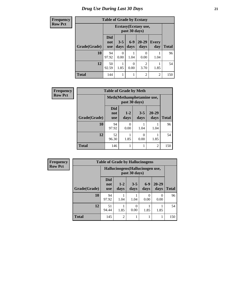| <b>Frequency</b> | <b>Table of Grade by Ecstasy</b> |                                        |                 |               |                        |                |              |
|------------------|----------------------------------|----------------------------------------|-----------------|---------------|------------------------|----------------|--------------|
| <b>Row Pct</b>   |                                  | Ecstasy (Ecstasy use,<br>past 30 days) |                 |               |                        |                |              |
|                  | Grade(Grade)                     | <b>Did</b><br>not<br><b>use</b>        | $3 - 5$<br>days | $6-9$<br>days | $20 - 29$<br>days      | Every<br>day   | <b>Total</b> |
|                  | 10                               | 94<br>97.92                            | 0<br>0.00       | 1.04          | 0<br>0.00              | 1.04           | 96           |
|                  | 12                               | 50<br>92.59                            | 1.85            | 0<br>0.00     | $\overline{c}$<br>3.70 | 1.85           | 54           |
|                  | <b>Total</b>                     | 144                                    |                 | 1             | $\overline{2}$         | $\overline{2}$ | 150          |

| Frequency      | <b>Table of Grade by Meth</b><br>Meth(Methamphetamine use,<br>past 30 days) |                                 |               |                 |                |              |
|----------------|-----------------------------------------------------------------------------|---------------------------------|---------------|-----------------|----------------|--------------|
| <b>Row Pct</b> |                                                                             |                                 |               |                 |                |              |
|                | Grade(Grade)                                                                | <b>Did</b><br>not<br><b>use</b> | $1-2$<br>days | $3 - 5$<br>days | 20-29<br>days  | <b>Total</b> |
|                | 10                                                                          | 94<br>97.92                     | 0<br>0.00     | 1.04            | 1.04           | 96           |
|                | 12                                                                          | 52<br>96.30                     | 1.85          | 0<br>0.00       | 1.85           | 54           |
|                | <b>Total</b>                                                                | 146                             |               |                 | $\overline{2}$ | 150          |

| <b>Frequency</b> |              | <b>Table of Grade by Hallucinogens</b> |                 |                                                   |               |                   |              |  |  |
|------------------|--------------|----------------------------------------|-----------------|---------------------------------------------------|---------------|-------------------|--------------|--|--|
| <b>Row Pct</b>   |              |                                        |                 | Hallucinogens (Hallucinogen use,<br>past 30 days) |               |                   |              |  |  |
|                  | Grade(Grade) | <b>Did</b><br>not<br><b>use</b>        | $1 - 2$<br>days | $3 - 5$<br>days                                   | $6-9$<br>days | $20 - 29$<br>days | <b>Total</b> |  |  |
|                  | 10           | 94<br>97.92                            | 1.04            | 1.04                                              | 0<br>0.00     | $\Omega$<br>0.00  | 96           |  |  |
|                  | 12           | 51<br>94.44                            | 1.85            | 0<br>0.00                                         | 1.85          | 1.85              | 54           |  |  |
|                  | <b>Total</b> | 145                                    | $\mathfrak{D}$  |                                                   |               | 1                 | 150          |  |  |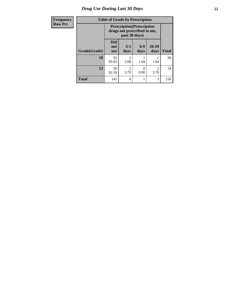| Frequency      | <b>Table of Grade by Prescription</b> |                                                                                   |                        |               |                        |              |
|----------------|---------------------------------------|-----------------------------------------------------------------------------------|------------------------|---------------|------------------------|--------------|
| <b>Row Pct</b> |                                       | <b>Prescription</b> (Prescription<br>drugs not prescribed to me,<br>past 30 days) |                        |               |                        |              |
|                | Grade(Grade)                          | <b>Did</b><br>not<br><b>use</b>                                                   | $3 - 5$<br>days        | $6-9$<br>days | $20 - 29$<br>days      | <b>Total</b> |
|                | 10                                    | 92<br>95.83                                                                       | っ<br>2.08              | 1.04          | 1.04                   | 96           |
|                | 12                                    | 50<br>92.59                                                                       | $\mathfrak{D}$<br>3.70 | 0<br>0.00     | $\mathfrak{D}$<br>3.70 | 54           |
|                | <b>Total</b>                          | 142                                                                               | 4                      | 1             | 3                      | 150          |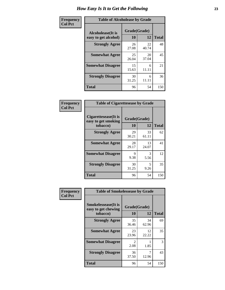| Frequency      | <b>Table of Alcoholease by Grade</b>              |                    |             |              |  |  |
|----------------|---------------------------------------------------|--------------------|-------------|--------------|--|--|
| <b>Col Pct</b> | <b>Alcoholease</b> (It is<br>easy to get alcohol) | Grade(Grade)<br>10 | 12          | <b>Total</b> |  |  |
|                | <b>Strongly Agree</b>                             | 26<br>27.08        | 22<br>40.74 | 48           |  |  |
|                | <b>Somewhat Agree</b>                             | 25<br>26.04        | 20<br>37.04 | 45           |  |  |
|                | <b>Somewhat Disagree</b>                          | 15<br>15.63        | 6<br>11.11  | 21           |  |  |
|                | <b>Strongly Disagree</b>                          | 30<br>31.25        | 6<br>11.11  | 36           |  |  |
|                | <b>Total</b>                                      | 96                 | 54          | 150          |  |  |

| Frequency      | <b>Table of Cigarettesease by Grade</b>                 |                           |             |              |  |  |
|----------------|---------------------------------------------------------|---------------------------|-------------|--------------|--|--|
| <b>Col Pct</b> | Cigarettesease(It is<br>easy to get smoking<br>tobacco) | Grade(Grade)<br><b>10</b> | 12          | <b>Total</b> |  |  |
|                | <b>Strongly Agree</b>                                   | 29<br>30.21               | 33<br>61.11 | 62           |  |  |
|                | <b>Somewhat Agree</b>                                   | 28<br>29.17               | 13<br>24.07 | 41           |  |  |
|                | <b>Somewhat Disagree</b>                                | 9<br>9.38                 | 3<br>5.56   | 12           |  |  |
|                | <b>Strongly Disagree</b>                                | 30<br>31.25               | 5<br>9.26   | 35           |  |  |
|                | <b>Total</b>                                            | 96                        | 54          | 150          |  |  |

| Frequency      | <b>Table of Smokelessease by Grade</b>             |                        |             |              |
|----------------|----------------------------------------------------|------------------------|-------------|--------------|
| <b>Col Pct</b> | <b>Smokelessease</b> (It is<br>easy to get chewing | Grade(Grade)           |             |              |
|                | tobacco)                                           | <b>10</b>              | 12          | <b>Total</b> |
|                | <b>Strongly Agree</b>                              | 35<br>36.46            | 34<br>62.96 | 69           |
|                | <b>Somewhat Agree</b>                              | 23<br>23.96            | 12<br>22.22 | 35           |
|                | <b>Somewhat Disagree</b>                           | $\mathfrak{D}$<br>2.08 | 1.85        | 3            |
|                | <b>Strongly Disagree</b>                           | 36<br>37.50            | 7<br>12.96  | 43           |
|                | Total                                              | 96                     | 54          | 150          |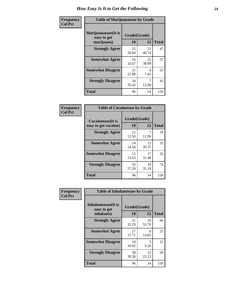| Frequency      | <b>Table of Marijuanaease by Grade</b>            |                           |             |              |  |  |
|----------------|---------------------------------------------------|---------------------------|-------------|--------------|--|--|
| <b>Col Pct</b> | Marijuanaease (It is<br>easy to get<br>marijuana) | Grade(Grade)<br><b>10</b> | 12          | <b>Total</b> |  |  |
|                | <b>Strongly Agree</b>                             | 25<br>26.04               | 22<br>40.74 | 47           |  |  |
|                | <b>Somewhat Agree</b>                             | 16<br>16.67               | 21<br>38.89 | 37           |  |  |
|                | <b>Somewhat Disagree</b>                          | 21<br>21.88               | 4<br>7.41   | 25           |  |  |
|                | <b>Strongly Disagree</b>                          | 34<br>35.42               | 7<br>12.96  | 41           |  |  |
|                | <b>Total</b>                                      | 96                        | 54          | 150          |  |  |

| <b>Table of Cocaineease by Grade</b>              |             |                    |     |  |  |  |  |
|---------------------------------------------------|-------------|--------------------|-----|--|--|--|--|
| <b>Cocaineease</b> (It is<br>easy to get cocaine) | 10          | Grade(Grade)<br>12 |     |  |  |  |  |
| <b>Strongly Agree</b>                             | 12<br>12.50 | 12.96              | 19  |  |  |  |  |
| <b>Somewhat Agree</b>                             | 14<br>14.58 | 11<br>20.37        | 25  |  |  |  |  |
| <b>Somewhat Disagree</b>                          | 15<br>15.63 | 17<br>31.48        | 32  |  |  |  |  |
| <b>Strongly Disagree</b>                          | 55<br>57.29 | 19<br>35.19        | 74  |  |  |  |  |
| <b>Total</b>                                      | 96          | 54                 | 150 |  |  |  |  |

| Frequency      | <b>Table of Inhalantsease by Grade</b>                   |             |                    |              |  |  |
|----------------|----------------------------------------------------------|-------------|--------------------|--------------|--|--|
| <b>Col Pct</b> | <b>Inhalantsease</b> (It is<br>easy to get<br>inhalants) | <b>10</b>   | Grade(Grade)<br>12 | <b>Total</b> |  |  |
|                | <b>Strongly Agree</b>                                    | 31<br>32.29 | 29<br>53.70        | 60           |  |  |
|                | <b>Somewhat Agree</b>                                    | 17<br>17.71 | 8<br>14.81         | 25           |  |  |
|                | <b>Somewhat Disagree</b>                                 | 10<br>10.42 | 5<br>9.26          | 15           |  |  |
|                | <b>Strongly Disagree</b>                                 | 38<br>39.58 | 12<br>22.22        | 50           |  |  |
|                | <b>Total</b>                                             | 96          | 54                 | 150          |  |  |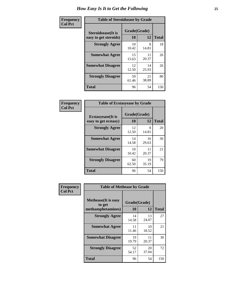| Frequency      | <b>Table of Steroidsease by Grade</b>               |                    |             |              |  |  |  |  |  |  |
|----------------|-----------------------------------------------------|--------------------|-------------|--------------|--|--|--|--|--|--|
| <b>Col Pct</b> | <b>Steroidsease</b> (It is<br>easy to get steroids) | Grade(Grade)<br>10 | 12          | <b>Total</b> |  |  |  |  |  |  |
|                | <b>Strongly Agree</b>                               | 10<br>10.42        | 8<br>14.81  | 18           |  |  |  |  |  |  |
|                | <b>Somewhat Agree</b>                               | 15<br>15.63        | 11<br>20.37 | 26           |  |  |  |  |  |  |
|                | <b>Somewhat Disagree</b>                            | 12<br>12.50        | 14<br>25.93 | 26           |  |  |  |  |  |  |
|                | <b>Strongly Disagree</b>                            | 59<br>61.46        | 21<br>38.89 | 80           |  |  |  |  |  |  |
|                | <b>Total</b>                                        | 96                 | 54          | 150          |  |  |  |  |  |  |

| Frequency      | <b>Table of Ecstasyease by Grade</b>              |                    |             |              |  |  |  |  |  |  |
|----------------|---------------------------------------------------|--------------------|-------------|--------------|--|--|--|--|--|--|
| <b>Col Pct</b> | <b>Ecstasyease</b> (It is<br>easy to get ecstasy) | Grade(Grade)<br>10 | 12          | <b>Total</b> |  |  |  |  |  |  |
|                | <b>Strongly Agree</b>                             | 12<br>12.50        | 8<br>14.81  | 20           |  |  |  |  |  |  |
|                | <b>Somewhat Agree</b>                             | 14<br>14.58        | 16<br>29.63 | 30           |  |  |  |  |  |  |
|                | <b>Somewhat Disagree</b>                          | 10<br>10.42        | 11<br>20.37 | 21           |  |  |  |  |  |  |
|                | <b>Strongly Disagree</b>                          | 60<br>62.50        | 19<br>35.19 | 79           |  |  |  |  |  |  |
|                | Total                                             | 96                 | 54          | 150          |  |  |  |  |  |  |

| Frequency      | <b>Table of Methease by Grade</b>                          |                    |              |     |
|----------------|------------------------------------------------------------|--------------------|--------------|-----|
| <b>Col Pct</b> | <b>Methease</b> (It is easy<br>to get<br>methamphetamines) | Grade(Grade)<br>10 | <b>Total</b> |     |
|                | <b>Strongly Agree</b>                                      | 14<br>14.58        | 13<br>24.07  | 27  |
|                | <b>Somewhat Agree</b>                                      | 11<br>11.46        | 10<br>18.52  | 21  |
|                | <b>Somewhat Disagree</b>                                   | 19<br>19.79        | 11<br>20.37  | 30  |
|                | <b>Strongly Disagree</b>                                   | 52<br>54.17        | 20<br>37.04  | 72  |
|                | <b>Total</b>                                               | 96                 | 54           | 150 |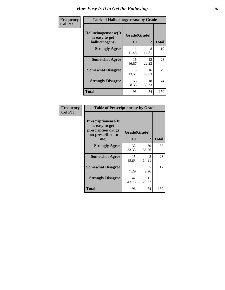| <b>Frequency</b> | <b>Table of Hallucinogensease by Grade</b>               |                    |              |     |
|------------------|----------------------------------------------------------|--------------------|--------------|-----|
| <b>Col Pct</b>   | Hallucinogensease(It<br>is easy to get<br>hallucinogens) | Grade(Grade)<br>10 | <b>Total</b> |     |
|                  | <b>Strongly Agree</b>                                    | 11<br>11.46        | 8<br>14.81   | 19  |
|                  | <b>Somewhat Agree</b>                                    | 16<br>16.67        | 12<br>22.22  | 28  |
|                  | <b>Somewhat Disagree</b>                                 | 13<br>13.54        | 16<br>29.63  | 29  |
|                  | <b>Strongly Disagree</b>                                 | 56<br>58.33        | 18<br>33.33  | 74  |
|                  | <b>Total</b>                                             | 96                 | 54           | 150 |

| Frequency<br>Col Pct |
|----------------------|
|                      |

| <b>Table of Prescriptionease by Grade</b>                                                |              |             |              |  |  |  |  |  |  |  |
|------------------------------------------------------------------------------------------|--------------|-------------|--------------|--|--|--|--|--|--|--|
| <b>Prescriptionease</b> (It<br>is easy to get<br>prescription drugs<br>not prescribed to | Grade(Grade) |             |              |  |  |  |  |  |  |  |
| me)                                                                                      | 10           | 12          | <b>Total</b> |  |  |  |  |  |  |  |
| <b>Strongly Agree</b>                                                                    | 32<br>33.33  | 30<br>55.56 | 62           |  |  |  |  |  |  |  |
| <b>Somewhat Agree</b>                                                                    | 15<br>15.63  | 8<br>14.81  | 23           |  |  |  |  |  |  |  |
| <b>Somewhat Disagree</b>                                                                 | 7.29         | 5<br>9.26   | 12           |  |  |  |  |  |  |  |
| <b>Strongly Disagree</b>                                                                 | 42<br>43.75  | 11<br>20.37 | 53           |  |  |  |  |  |  |  |
| Total                                                                                    | 96           | 54          | 150          |  |  |  |  |  |  |  |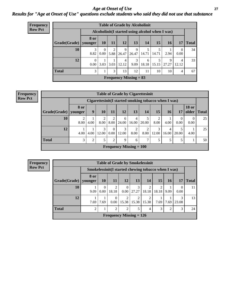### *Age at Onset of Use* **27** *Results for "Age at Onset of Use" questions exclude students who said they did not use that substance*

| <b>Frequency</b> | <b>Table of Grade by Alcoholinit</b> |                                                  |                               |           |                         |                          |            |            |            |                |              |  |
|------------------|--------------------------------------|--------------------------------------------------|-------------------------------|-----------|-------------------------|--------------------------|------------|------------|------------|----------------|--------------|--|
| <b>Row Pct</b>   |                                      | Alcoholinit (I started using alcohol when I was) |                               |           |                         |                          |            |            |            |                |              |  |
|                  | Grade(Grade)                         | 8 or<br>younger                                  | <b>10</b>                     | <b>11</b> | 12                      | 13                       | 14         | 15         | <b>16</b>  | 17             | <b>Total</b> |  |
|                  | 10                                   | 3<br>8.82                                        | $\left($<br>0.00 <sub>l</sub> | 2<br>5.88 | 9<br>26.47              | 9<br>26.47               | 14.71      | 5<br>14.71 | 2.94       | 0<br>0.00      | 34           |  |
|                  | 12                                   | $\theta$<br>0.00                                 | 3.03                          | 3.03      | $\overline{4}$<br>12.12 | 3<br>9.09                | 6<br>18.18 | 5<br>15.15 | 9<br>27.27 | 4<br>12.12     | 33           |  |
|                  | <b>Total</b>                         | 3                                                |                               | 3         | 13                      | 12                       | 11         | 10         | 10         | $\overline{4}$ | 67           |  |
|                  |                                      |                                                  |                               |           |                         | Frequency Missing $= 83$ |            |            |            |                |              |  |

| <b>Frequency</b> |
|------------------|
| <b>Row Pct</b>   |

|              | <b>Table of Grade by Cigarettesinit</b> |                                                       |            |                      |                           |            |             |            |            |                  |                       |              |  |
|--------------|-----------------------------------------|-------------------------------------------------------|------------|----------------------|---------------------------|------------|-------------|------------|------------|------------------|-----------------------|--------------|--|
|              |                                         | Cigarettesinit (I started smoking tobacco when I was) |            |                      |                           |            |             |            |            |                  |                       |              |  |
| Grade(Grade) | <b>8 or</b><br>younger                  | 9                                                     | <b>10</b>  | 11                   | 12                        | 13         | 14          | 15         | <b>16</b>  | 17               | <b>18 or</b><br>older | <b>Total</b> |  |
| 10           | 8.00                                    | 4.00                                                  | 2<br>8.00  | 8.00                 | 6<br>24.00                | 4<br>16.00 | 5.<br>20.00 | 2<br>8.00  | 4.00       | $\Omega$<br>0.00 | 0<br>0.00             | 25           |  |
| 12           | 4.00                                    | 4.00                                                  | 3<br>12.00 | $\theta$<br>$0.00\,$ | 3<br>12.00                | 2<br>8.00  | 2<br>8.00   | 3<br>12.00 | 4<br>16.00 | 5<br>20.00       | 4.00                  | 25           |  |
| <b>Total</b> | 3                                       | $\overline{2}$                                        | 5          | 2                    | 9                         | 6          | $\tau$      | 5          | 5          | 5                |                       | 50           |  |
|              |                                         |                                                       |            |                      | Frequency Missing $= 100$ |            |             |            |            |                  |                       |              |  |

**Frequency Row Pct**

| <b>Table of Grade by Smokelessinit</b> |                 |                                                     |                         |                           |                         |                         |            |      |                  |              |  |  |
|----------------------------------------|-----------------|-----------------------------------------------------|-------------------------|---------------------------|-------------------------|-------------------------|------------|------|------------------|--------------|--|--|
|                                        |                 | Smokelessinit(I started chewing tobacco when I was) |                         |                           |                         |                         |            |      |                  |              |  |  |
| Grade(Grade)                           | 8 or<br>younger | <b>10</b>                                           | <b>11</b>               | 12                        | 13                      | 14                      | 15         | 16   | 17               | <b>Total</b> |  |  |
| 10                                     | 9.09            | $\Omega$<br>0.00                                    | $\overline{2}$<br>18.18 | $\theta$<br>0.00          | 3<br>27.27              | $\overline{2}$<br>18.18 | 2<br>18.18 | 9.09 | $\Omega$<br>0.00 | 11           |  |  |
| 12                                     | 7.69            | 7.69                                                | $\theta$<br>0.00        | $\overline{2}$<br>15.38   | $\overline{2}$<br>15.38 | $\overline{2}$<br>15.38 | 7.69       | 7.69 | 3<br>23.08       | 13           |  |  |
| <b>Total</b>                           | 2               |                                                     | $\overline{2}$          | $\overline{2}$            | 5                       | 4                       | 3          | 2    | 3                | 24           |  |  |
|                                        |                 |                                                     |                         | Frequency Missing $= 126$ |                         |                         |            |      |                  |              |  |  |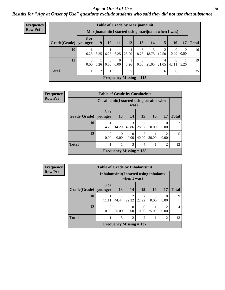#### *Age at Onset of Use* **28**

*Results for "Age at Onset of Use" questions exclude students who said they did not use that substance*

| Frequency      | <b>Table of Grade by Marijuanainit</b> |                                                      |                |                         |                  |            |                           |            |            |                  |                  |              |  |
|----------------|----------------------------------------|------------------------------------------------------|----------------|-------------------------|------------------|------------|---------------------------|------------|------------|------------------|------------------|--------------|--|
| <b>Row Pct</b> |                                        | Marijuanainit (I started using marijuana when I was) |                |                         |                  |            |                           |            |            |                  |                  |              |  |
|                | Grade(Grade)                           | <b>8 or</b><br>younger                               | 9 <sup>°</sup> | 10                      | 11               | 12         | 13                        | 14         | 15         | <b>16</b>        | 17               | <b>Total</b> |  |
|                | 10                                     | 6.25                                                 | 6.25           | 6.25                    | 6.25             | 4<br>25.00 | 3<br>18.75                | 18.75      | 12.50      | $\Omega$<br>0.00 | $\theta$<br>0.00 | 16           |  |
|                | 12                                     | $\Omega$<br>0.00                                     | 5.26           | $\theta$<br>$0.00\vert$ | $\Omega$<br>0.00 | 5.26       | $0.00\degree$             | 4<br>21.05 | 4<br>21.05 | 8<br>42.11       | 5.26             | 19           |  |
|                | <b>Total</b>                           |                                                      | 2              |                         |                  |            | 3                         | ⇁          | 6          | 8                |                  | 35           |  |
|                |                                        |                                                      |                |                         |                  |            | Frequency Missing $= 115$ |            |            |                  |                  |              |  |

| Frequency      |                        | <b>Table of Grade by Cocaineinit</b> |                                                    |                           |                         |           |                         |              |  |  |  |  |
|----------------|------------------------|--------------------------------------|----------------------------------------------------|---------------------------|-------------------------|-----------|-------------------------|--------------|--|--|--|--|
| <b>Row Pct</b> |                        |                                      | Cocaineinit(I started using cocaine when<br>I was) |                           |                         |           |                         |              |  |  |  |  |
|                | Grade(Grade)   younger | 8 or                                 | <b>13</b>                                          | 14                        | 15                      | <b>16</b> | <b>17</b>               | <b>Total</b> |  |  |  |  |
|                | 10                     | 14.29                                | 14.29                                              | 3<br>42.86                | $\overline{2}$<br>28.57 | 0<br>0.00 | $\Omega$<br>0.00        | 7            |  |  |  |  |
|                | 12                     | 0<br>0.00                            | $\theta$<br>0.00                                   | 0<br>0.00                 | $\overline{2}$<br>40.00 | 20.00     | $\mathfrak{D}$<br>40.00 | 5            |  |  |  |  |
|                | <b>Total</b>           |                                      |                                                    | 3                         | $\overline{4}$          |           | $\overline{2}$          | 12           |  |  |  |  |
|                |                        |                                      |                                                    | Frequency Missing $= 138$ |                         |           |                         |              |  |  |  |  |

| <b>Frequency</b> |
|------------------|
| <b>Row Pct</b>   |

| <b>Table of Grade by Inhalantsinit</b>                          |           |                                                         |           |           |           |       |              |  |  |
|-----------------------------------------------------------------|-----------|---------------------------------------------------------|-----------|-----------|-----------|-------|--------------|--|--|
|                                                                 |           | Inhalantsinit (I started using inhalants<br>when I was) |           |           |           |       |              |  |  |
| Grade(Grade)   younger                                          | 8 or      | 13                                                      | 14        | 15        | 16        | 17    | <b>Total</b> |  |  |
| 10                                                              | 11.11     | 4<br>44.44                                              | 22.22     | 22.22     | 0<br>0.00 | 0.00  | q            |  |  |
| 12                                                              | 0<br>0.00 | 25.00                                                   | 0<br>0.00 | 0<br>0.00 | 25.00     | 50.00 |              |  |  |
| <b>Total</b><br>5<br>2<br>$\overline{2}$<br>$\overline{c}$<br>ı |           |                                                         |           |           |           |       |              |  |  |
| Frequency Missing $= 137$                                       |           |                                                         |           |           |           |       |              |  |  |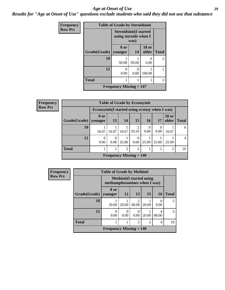#### *Age at Onset of Use* **29**

*Results for "Age at Onset of Use" questions exclude students who said they did not use that substance*

| Frequency      |              | <b>Table of Grade by Steroidsinit</b>       |                                                                |                       |                |  |  |
|----------------|--------------|---------------------------------------------|----------------------------------------------------------------|-----------------------|----------------|--|--|
| <b>Row Pct</b> |              |                                             | <b>Steroidsinit(I started</b><br>using steroids when I<br>was) |                       |                |  |  |
|                | Grade(Grade) | 8 or<br>younger                             | 14                                                             | <b>18 or</b><br>older | <b>Total</b>   |  |  |
|                | 10           | 50.00                                       | 50.00                                                          | 0.00                  | $\overline{2}$ |  |  |
|                | 12           | 0<br>0.00                                   | 0.00                                                           | 100.00                |                |  |  |
|                | <b>Total</b> |                                             |                                                                |                       | 3              |  |  |
|                |              | <b>Frequency Missing <math>= 147</math></b> |                                                                |                       |                |  |  |

| <b>Frequency</b> |                                                       |                                                  |                  |       | <b>Table of Grade by Ecstasyinit</b> |           |                  |                       |                |
|------------------|-------------------------------------------------------|--------------------------------------------------|------------------|-------|--------------------------------------|-----------|------------------|-----------------------|----------------|
| <b>Row Pct</b>   |                                                       | Ecstasyinit (I started using ecstasy when I was) |                  |       |                                      |           |                  |                       |                |
|                  | Grade(Grade)   younger                                | 8 or                                             | 13               | 14    | 15                                   | <b>16</b> | <b>17</b>        | <b>18 or</b><br>older | <b>Total</b>   |
|                  | 10                                                    | 16.67                                            | 16.67            | 16.67 | 33.33                                | 0.00      | $\Omega$<br>0.00 | 16.67                 | 6              |
|                  | 12                                                    | $\theta$<br>0.00                                 | $\Omega$<br>0.00 | 25.00 | 0.00                                 | 25.00     | 25.00            | 25.00                 | $\overline{4}$ |
|                  | <b>Total</b><br>$\overline{2}$<br>$\mathfrak{D}$<br>2 |                                                  |                  |       |                                      |           |                  |                       | 10             |
|                  |                                                       |                                                  |                  |       | Frequency Missing $= 140$            |           |                  |                       |                |

| <b>Frequency</b> | <b>Table of Grade by Methinit</b> |                                                                  |                  |                         |       |            |              |
|------------------|-----------------------------------|------------------------------------------------------------------|------------------|-------------------------|-------|------------|--------------|
| <b>Row Pct</b>   |                                   | <b>Methinit</b> (I started using<br>methamphetamines when I was) |                  |                         |       |            |              |
|                  | Grade(Grade)   younger            | 8 or                                                             | <b>12</b>        | 13                      | 15    | <b>16</b>  | <b>Total</b> |
|                  | 10                                | 20.00                                                            | 20.00            | $\mathfrak{D}$<br>40.00 | 20.00 | 0.00       | 5            |
|                  | 12                                | $\left( \right)$<br>0.00                                         | $\Omega$<br>0.00 | 0<br>0.00               | 20.00 | 4<br>80.00 | 5            |
|                  | <b>Total</b>                      |                                                                  | 10               |                         |       |            |              |
|                  |                                   | <b>Frequency Missing <math>= 140</math></b>                      |                  |                         |       |            |              |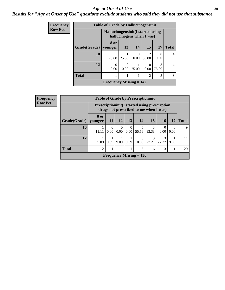#### Age at Onset of Use **30**

### *Results for "Age at Onset of Use" questions exclude students who said they did not use that substance*

| Frequency      | <b>Table of Grade by Hallucinogensinit</b>                      |                           |       |                       |                        |                  |                |  |
|----------------|-----------------------------------------------------------------|---------------------------|-------|-----------------------|------------------------|------------------|----------------|--|
| <b>Row Pct</b> | Hallucinogensinit (I started using<br>hallucinogens when I was) |                           |       |                       |                        |                  |                |  |
|                | Grade(Grade)                                                    | 8 or<br>vounger           | 13    | 14                    | 15                     | 17               | <b>Total</b>   |  |
|                | 10                                                              | 25.00                     | 25.00 | $\mathcal{O}$<br>0.00 | $\mathcal{D}$<br>50.00 | $\theta$<br>0.00 | $\overline{4}$ |  |
|                | 12                                                              | 0<br>0.00                 | 0.00  | 25.00                 | 0.00                   | 3<br>75.00       | $\overline{4}$ |  |
|                | <b>Total</b>                                                    |                           | 8     |                       |                        |                  |                |  |
|                |                                                                 | Frequency Missing $= 142$ |       |                       |                        |                  |                |  |

| Frequency                                     | <b>Table of Grade by Prescriptioninit</b> |                 |                                                                                                 |                  |                  |                           |            |                  |                  |              |  |
|-----------------------------------------------|-------------------------------------------|-----------------|-------------------------------------------------------------------------------------------------|------------------|------------------|---------------------------|------------|------------------|------------------|--------------|--|
| <b>Row Pct</b>                                |                                           |                 | <b>Prescriptioninit (I started using prescription</b><br>drugs not prescribed to me when I was) |                  |                  |                           |            |                  |                  |              |  |
|                                               | Grade(Grade)                              | 8 or<br>younger | 11                                                                                              | 12               | 13               | 14                        | <b>15</b>  | 16               | 17               | <b>Total</b> |  |
|                                               | <b>10</b>                                 | 11.11           | $\overline{0}$<br>0.00                                                                          | $\Omega$<br>0.00 | $\Omega$<br>0.00 | 55.56                     | 33.33      | $\Omega$<br>0.00 | $\theta$<br>0.00 | 9            |  |
|                                               | 12                                        | 9.09            | 9.09                                                                                            | 9.09             | 9.09             | 0.00                      | 3<br>27.27 | 3<br>27.27       | 9.09             | 11           |  |
| <b>Total</b><br>$\overline{2}$<br>3<br>5<br>6 |                                           |                 |                                                                                                 |                  |                  |                           |            | 20               |                  |              |  |
|                                               |                                           |                 |                                                                                                 |                  |                  | Frequency Missing $= 130$ |            |                  |                  |              |  |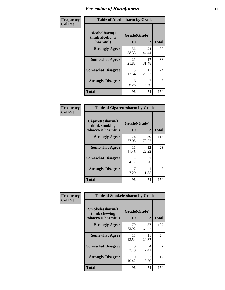| Frequency      | <b>Table of Alcoholharm by Grade</b>          |                    |                        |              |  |
|----------------|-----------------------------------------------|--------------------|------------------------|--------------|--|
| <b>Col Pct</b> | Alcoholharm(I<br>think alcohol is<br>harmful) | Grade(Grade)<br>10 | 12                     | <b>Total</b> |  |
|                | <b>Strongly Agree</b>                         | 56<br>58.33        | 24<br>44.44            | 80           |  |
|                | <b>Somewhat Agree</b>                         | 21<br>21.88        | 17<br>31.48            | 38           |  |
|                | <b>Somewhat Disagree</b>                      | 13<br>13.54        | 11<br>20.37            | 24           |  |
|                | <b>Strongly Disagree</b>                      | 6<br>6.25          | $\mathfrak{D}$<br>3.70 | 8            |  |
|                | <b>Total</b>                                  | 96                 | 54                     | 150          |  |

| <b>Table of Cigarettesharm by Grade</b>                  |                    |                        |              |  |  |  |
|----------------------------------------------------------|--------------------|------------------------|--------------|--|--|--|
| Cigarettesharm(I<br>think smoking<br>tobacco is harmful) | Grade(Grade)<br>10 | 12                     | <b>Total</b> |  |  |  |
| <b>Strongly Agree</b>                                    | 74<br>77.08        | 39<br>72.22            | 113          |  |  |  |
| <b>Somewhat Agree</b>                                    | 11<br>11.46        | 12<br>22.22            | 23           |  |  |  |
| <b>Somewhat Disagree</b>                                 | 4<br>4.17          | $\mathfrak{D}$<br>3.70 | 6            |  |  |  |
| <b>Strongly Disagree</b>                                 | 7<br>7.29          | 1.85                   | 8            |  |  |  |
| <b>Total</b>                                             | 96                 | 54                     | 150          |  |  |  |

| Frequency      | <b>Table of Smokelessharm by Grade</b> |              |                        |              |
|----------------|----------------------------------------|--------------|------------------------|--------------|
| <b>Col Pct</b> | Smokelessharm(I<br>think chewing       | Grade(Grade) |                        |              |
|                | tobacco is harmful)                    | 10           | 12                     | <b>Total</b> |
|                | <b>Strongly Agree</b>                  | 70<br>72.92  | 37<br>68.52            | 107          |
|                | <b>Somewhat Agree</b>                  | 13<br>13.54  | 11<br>20.37            | 24           |
|                | <b>Somewhat Disagree</b>               | 3<br>3.13    | 4<br>7.41              |              |
|                | <b>Strongly Disagree</b>               | 10<br>10.42  | $\mathfrak{D}$<br>3.70 | 12           |
|                | <b>Total</b>                           | 96           | 54                     | 150          |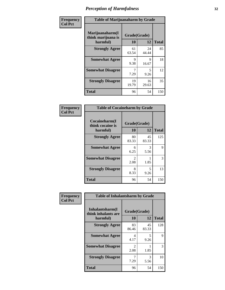| Frequency      | <b>Table of Marijuanaharm by Grade</b>            |                    |             |              |  |
|----------------|---------------------------------------------------|--------------------|-------------|--------------|--|
| <b>Col Pct</b> | Marijuanaharm(I<br>think marijuana is<br>harmful) | Grade(Grade)<br>10 | 12          | <b>Total</b> |  |
|                | <b>Strongly Agree</b>                             | 61<br>63.54        | 24<br>44.44 | 85           |  |
|                | <b>Somewhat Agree</b>                             | 9<br>9.38          | 9<br>16.67  | 18           |  |
|                | <b>Somewhat Disagree</b>                          | 7<br>7.29          | 5<br>9.26   | 12           |  |
|                | <b>Strongly Disagree</b>                          | 19<br>19.79        | 16<br>29.63 | 35           |  |
|                | <b>Total</b>                                      | 96                 | 54          | 150          |  |

| <b>Table of Cocaineharm by Grade</b>          |                    |             |              |  |  |  |  |
|-----------------------------------------------|--------------------|-------------|--------------|--|--|--|--|
| Cocaineharm(I<br>think cocaine is<br>harmful) | Grade(Grade)<br>10 | 12          | <b>Total</b> |  |  |  |  |
| <b>Strongly Agree</b>                         | 80<br>83.33        | 45<br>83.33 | 125          |  |  |  |  |
| <b>Somewhat Agree</b>                         | 6<br>6.25          | 3<br>5.56   | 9            |  |  |  |  |
| <b>Somewhat Disagree</b>                      | 2<br>2.08          | 1.85        | 3            |  |  |  |  |
| <b>Strongly Disagree</b>                      | 8<br>8.33          | 5<br>9.26   | 13           |  |  |  |  |
| <b>Total</b>                                  | 96                 | 54          | 150          |  |  |  |  |

| Frequency      | <b>Table of Inhalantsharm by Grade</b>             |                           |             |              |
|----------------|----------------------------------------------------|---------------------------|-------------|--------------|
| <b>Col Pct</b> | Inhalantsharm(I<br>think inhalants are<br>harmful) | Grade(Grade)<br><b>10</b> | 12          | <b>Total</b> |
|                | <b>Strongly Agree</b>                              | 83<br>86.46               | 45<br>83.33 | 128          |
|                | <b>Somewhat Agree</b>                              | 4<br>4.17                 | 5<br>9.26   | 9            |
|                | <b>Somewhat Disagree</b>                           | $\mathfrak{D}$<br>2.08    | 1.85        | 3            |
|                | <b>Strongly Disagree</b>                           | 7.29                      | 3<br>5.56   | 10           |
|                | <b>Total</b>                                       | 96                        | 54          | 150          |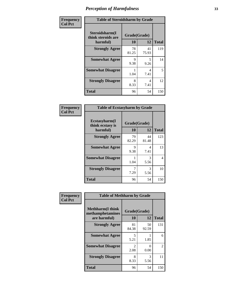| Frequency      | <b>Table of Steroidsharm by Grade</b>            |                    |             |              |
|----------------|--------------------------------------------------|--------------------|-------------|--------------|
| <b>Col Pct</b> | Steroidsharm(I<br>think steroids are<br>harmful) | Grade(Grade)<br>10 | 12          | <b>Total</b> |
|                | <b>Strongly Agree</b>                            | 78<br>81.25        | 41<br>75.93 | 119          |
|                | <b>Somewhat Agree</b>                            | 9<br>9.38          | 5<br>9.26   | 14           |
|                | <b>Somewhat Disagree</b>                         | 1.04               | 4<br>7.41   | 5            |
|                | <b>Strongly Disagree</b>                         | 8<br>8.33          | 4<br>7.41   | 12           |
|                | <b>Total</b>                                     | 96                 | 54          | 150          |

| <b>Table of Ecstasyharm by Grade</b>          |                    |              |     |  |  |
|-----------------------------------------------|--------------------|--------------|-----|--|--|
| Ecstasyharm(I<br>think ecstasy is<br>harmful) | Grade(Grade)<br>10 | <b>Total</b> |     |  |  |
| <b>Strongly Agree</b>                         | 79<br>82.29        | 44<br>81.48  | 123 |  |  |
| <b>Somewhat Agree</b>                         | 9<br>9.38          | 4<br>7.41    | 13  |  |  |
| <b>Somewhat Disagree</b>                      | 1<br>1.04          | 3<br>5.56    | 4   |  |  |
| <b>Strongly Disagree</b>                      | 7<br>7.29          | 3<br>5.56    | 10  |  |  |
| <b>Total</b>                                  | 96                 | 54           | 150 |  |  |

| Frequency      | <b>Table of Methharm by Grade</b>                           |                        |             |              |
|----------------|-------------------------------------------------------------|------------------------|-------------|--------------|
| <b>Col Pct</b> | <b>Methharm(I think</b><br>methamphetamines<br>are harmful) | Grade(Grade)<br>10     | 12          | <b>Total</b> |
|                | <b>Strongly Agree</b>                                       | 81<br>84.38            | 50<br>92.59 | 131          |
|                | <b>Somewhat Agree</b>                                       | 5<br>5.21              | 1.85        | 6            |
|                | <b>Somewhat Disagree</b>                                    | $\mathfrak{D}$<br>2.08 | 0<br>0.00   | 2            |
|                | <b>Strongly Disagree</b>                                    | 8<br>8.33              | 3<br>5.56   | 11           |
|                | Total                                                       | 96                     | 54          | 150          |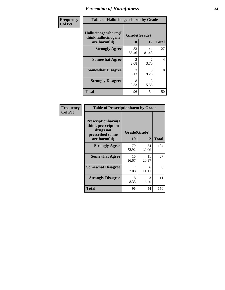| Frequency      | <b>Table of Hallucinogensharm by Grade</b>                 |                       |                       |              |
|----------------|------------------------------------------------------------|-----------------------|-----------------------|--------------|
| <b>Col Pct</b> | Hallucinogensharm(I<br>think hallucinogens<br>are harmful) | Grade(Grade)<br>10    | 12                    | <b>Total</b> |
|                | <b>Strongly Agree</b>                                      | 83<br>86.46           | 44<br>81.48           | 127          |
|                | <b>Somewhat Agree</b>                                      | $\mathcal{L}$<br>2.08 | $\mathcal{L}$<br>3.70 | 4            |
|                | <b>Somewhat Disagree</b>                                   | 3<br>3.13             | 5<br>9.26             | 8            |
|                | <b>Strongly Disagree</b>                                   | 8<br>8.33             | 3<br>5.56             | 11           |
|                | <b>Total</b>                                               | 96                    | 54                    | 150          |

| <b>Table of Prescriptionharm by Grade</b>                                         |              |             |              |  |  |
|-----------------------------------------------------------------------------------|--------------|-------------|--------------|--|--|
| <b>Prescriptionharm</b> (I<br>think prescription<br>drugs not<br>prescribed to me | Grade(Grade) |             |              |  |  |
| are harmful)                                                                      | 10           | 12          | <b>Total</b> |  |  |
| <b>Strongly Agree</b>                                                             | 70<br>72.92  | 34<br>62.96 | 104          |  |  |
| <b>Somewhat Agree</b>                                                             | 16<br>16.67  | 11<br>20.37 | 27           |  |  |
| <b>Somewhat Disagree</b>                                                          | 2<br>2.08    | 6<br>11.11  | 8            |  |  |
| <b>Strongly Disagree</b>                                                          | 8<br>8.33    | 3<br>5.56   | 11           |  |  |
| <b>Total</b>                                                                      | 96           | 54          | 150          |  |  |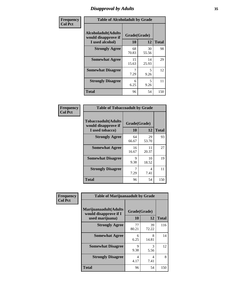# *Disapproval by Adults* **35**

| Frequency      | <b>Table of Alcoholadult by Grade</b>                                 |                    |             |              |
|----------------|-----------------------------------------------------------------------|--------------------|-------------|--------------|
| <b>Col Pct</b> | <b>Alcoholadult</b> (Adults<br>would disapprove if<br>I used alcohol) | Grade(Grade)<br>10 | 12          | <b>Total</b> |
|                | <b>Strongly Agree</b>                                                 | 68<br>70.83        | 30<br>55.56 | 98           |
|                | <b>Somewhat Agree</b>                                                 | 15<br>15.63        | 14<br>25.93 | 29           |
|                | <b>Somewhat Disagree</b>                                              | 7<br>7.29          | 5<br>9.26   | 12           |
|                | <b>Strongly Disagree</b>                                              | 6<br>6.25          | 5<br>9.26   | 11           |
|                | <b>Total</b>                                                          | 96                 | 54          | 150          |

| <b>Table of Tobaccoadult by Grade</b>                                |                    |             |              |  |  |
|----------------------------------------------------------------------|--------------------|-------------|--------------|--|--|
| <b>Tobaccoadult(Adults</b><br>would disapprove if<br>I used tobacco) | Grade(Grade)<br>10 | 12          | <b>Total</b> |  |  |
| <b>Strongly Agree</b>                                                | 64<br>66.67        | 29<br>53.70 | 93           |  |  |
| <b>Somewhat Agree</b>                                                | 16<br>16.67        | 11<br>20.37 | 27           |  |  |
| <b>Somewhat Disagree</b>                                             | 9<br>9.38          | 10<br>18.52 | 19           |  |  |
| <b>Strongly Disagree</b>                                             | 7<br>7.29          | 4<br>7.41   | 11           |  |  |
| <b>Total</b>                                                         | 96                 | 54          | 150          |  |  |

| Frequency      | <b>Table of Marijuanaadult by Grade</b>                           |                    |                                  |              |
|----------------|-------------------------------------------------------------------|--------------------|----------------------------------|--------------|
| <b>Col Pct</b> | Marijuanaadult(Adults<br>would disapprove if I<br>used marijuana) | Grade(Grade)<br>10 | 12                               | <b>Total</b> |
|                | <b>Strongly Agree</b>                                             | 77<br>80.21        | 39<br>72.22                      | 116          |
|                | <b>Somewhat Agree</b>                                             | 6<br>6.25          | 8<br>14.81                       | 14           |
|                | <b>Somewhat Disagree</b>                                          | 9<br>9.38          | 3<br>5.56                        | 12           |
|                | <b>Strongly Disagree</b>                                          | 4<br>4.17          | $\overline{\mathcal{A}}$<br>7.41 | 8            |
|                | <b>Total</b>                                                      | 96                 | 54                               | 150          |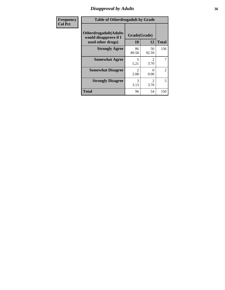### *Disapproval by Adults* **36**

| <b>Frequency</b> | <b>Table of Otherdrugadult by Grade</b>                                     |                    |                                     |              |
|------------------|-----------------------------------------------------------------------------|--------------------|-------------------------------------|--------------|
| <b>Col Pct</b>   | <b>Otherdrugadult</b> (Adults<br>would disapprove if I<br>used other drugs) | Grade(Grade)<br>10 | 12                                  | <b>Total</b> |
|                  | <b>Strongly Agree</b>                                                       | 86<br>89.58        | 50<br>92.59                         | 136          |
|                  | <b>Somewhat Agree</b>                                                       | 5<br>5.21          | $\mathcal{D}_{\mathcal{L}}$<br>3.70 | 7            |
|                  | <b>Somewhat Disagree</b>                                                    | っ<br>2.08          | 0<br>0.00                           | 2            |
|                  | <b>Strongly Disagree</b>                                                    | 3<br>3.13          | $\mathfrak{D}$<br>3.70              | 5            |
|                  | <b>Total</b>                                                                | 96                 | 54                                  | 150          |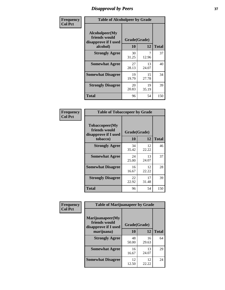## *Disapproval by Peers* **37**

| Frequency      | <b>Table of Alcoholpeer by Grade</b>                    |              |             |              |  |
|----------------|---------------------------------------------------------|--------------|-------------|--------------|--|
| <b>Col Pct</b> | Alcoholpeer(My<br>friends would<br>disapprove if I used | Grade(Grade) |             |              |  |
|                | alcohol)                                                | 10           | 12          | <b>Total</b> |  |
|                | <b>Strongly Agree</b>                                   | 30<br>31.25  | 7<br>12.96  | 37           |  |
|                | <b>Somewhat Agree</b>                                   | 27<br>28.13  | 13<br>24.07 | 40           |  |
|                | <b>Somewhat Disagree</b>                                | 19<br>19.79  | 15<br>27.78 | 34           |  |
|                | <b>Strongly Disagree</b>                                | 20<br>20.83  | 19<br>35.19 | 39           |  |
|                | Total                                                   | 96           | 54          | 150          |  |

| Frequency      | <b>Table of Tobaccopeer by Grade</b>                                |                    |             |              |
|----------------|---------------------------------------------------------------------|--------------------|-------------|--------------|
| <b>Col Pct</b> | Tobaccopeer(My<br>friends would<br>disapprove if I used<br>tobacco) | Grade(Grade)<br>10 | 12          | <b>Total</b> |
|                | <b>Strongly Agree</b>                                               | 34                 | 12          | 46           |
|                |                                                                     | 35.42              | 22.22       |              |
|                | <b>Somewhat Agree</b>                                               | 24<br>25.00        | 13<br>24.07 | 37           |
|                | <b>Somewhat Disagree</b>                                            | 16<br>16.67        | 12<br>22.22 | 28           |
|                | <b>Strongly Disagree</b>                                            | 22<br>22.92        | 17<br>31.48 | 39           |
|                | Total                                                               | 96                 | 54          | 150          |

| Frequency      | <b>Table of Marijuanapeer by Grade</b>                    |              |             |              |
|----------------|-----------------------------------------------------------|--------------|-------------|--------------|
| <b>Col Pct</b> | Marijuanapeer(My<br>friends would<br>disapprove if I used | Grade(Grade) |             |              |
|                | marijuana)                                                | 10           | 12          | <b>Total</b> |
|                | <b>Strongly Agree</b>                                     | 48<br>50.00  | 16<br>29.63 | 64           |
|                | <b>Somewhat Agree</b>                                     | 16<br>16.67  | 13<br>24.07 | 29           |
|                | <b>Somewhat Disagree</b>                                  | 12<br>12.50  | 12<br>22.22 | 24           |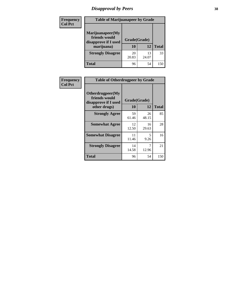# *Disapproval by Peers* **38**

| Frequency<br><b>Col Pct</b> | <b>Table of Marijuanapeer by Grade</b>                                  |                    |             |              |  |
|-----------------------------|-------------------------------------------------------------------------|--------------------|-------------|--------------|--|
|                             | Marijuanapeer(My<br>friends would<br>disapprove if I used<br>marijuana) | Grade(Grade)<br>10 | 12          | <b>Total</b> |  |
|                             | <b>Strongly Disagree</b>                                                | 20<br>20.83        | 13<br>24.07 | 33           |  |
|                             | Total                                                                   | 96                 | 54          | 150          |  |

| Frequency      | <b>Table of Otherdrugpeer by Grade</b>                                    |                           |             |              |
|----------------|---------------------------------------------------------------------------|---------------------------|-------------|--------------|
| <b>Col Pct</b> | Otherdrugpeer(My<br>friends would<br>disapprove if I used<br>other drugs) | Grade(Grade)<br><b>10</b> | 12          | <b>Total</b> |
|                | <b>Strongly Agree</b>                                                     | 59<br>61.46               | 26<br>48.15 | 85           |
|                | <b>Somewhat Agree</b>                                                     | 12<br>12.50               | 16<br>29.63 | 28           |
|                | <b>Somewhat Disagree</b>                                                  | 11<br>11.46               | 5<br>9.26   | 16           |
|                | <b>Strongly Disagree</b>                                                  | 14<br>14.58               | 7<br>12.96  | 21           |
|                | <b>Total</b>                                                              | 96                        | 54          | 150          |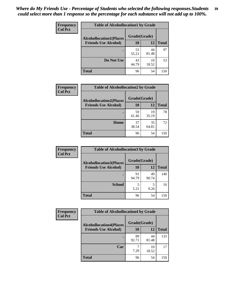| Frequency      | <b>Table of Alcohollocation1 by Grade</b>                     |             |             |              |
|----------------|---------------------------------------------------------------|-------------|-------------|--------------|
| <b>Col Pct</b> | Grade(Grade)                                                  |             |             |              |
|                | <b>Alcohollocation1(Places</b><br><b>Friends Use Alcohol)</b> | 10          | 12          | <b>Total</b> |
|                |                                                               | 53<br>55.21 | 44<br>81.48 | 97           |
|                | Do Not Use                                                    | 43<br>44.79 | 10<br>18.52 | 53           |
|                | <b>Total</b>                                                  | 96          | 54          | 150          |

| Frequency      | <b>Table of Alcohollocation2 by Grade</b>                     |                           |             |              |
|----------------|---------------------------------------------------------------|---------------------------|-------------|--------------|
| <b>Col Pct</b> | <b>Alcohollocation2(Places</b><br><b>Friends Use Alcohol)</b> | Grade(Grade)<br><b>10</b> | <b>12</b>   | <b>Total</b> |
|                |                                                               | 59<br>61.46               | 19<br>35.19 | 78           |
|                | Home                                                          | 37<br>38.54               | 35<br>64.81 | 72           |
|                | <b>Total</b>                                                  | 96                        | 54          | 150          |

| Frequency<br><b>Col Pct</b> | <b>Table of Alcohollocation 3 by Grade</b>                    |                    |             |              |
|-----------------------------|---------------------------------------------------------------|--------------------|-------------|--------------|
|                             | <b>Alcohollocation3(Places</b><br><b>Friends Use Alcohol)</b> | Grade(Grade)<br>10 | 12          | <b>Total</b> |
|                             |                                                               | 91<br>94.79        | 49<br>90.74 | 140          |
|                             | <b>School</b>                                                 | 5<br>5.21          | 5<br>9.26   | 10           |
|                             | <b>Total</b>                                                  | 96                 | 54          | 150          |

| <b>Frequency</b> | <b>Table of Alcohollocation4 by Grade</b> |              |             |              |
|------------------|-------------------------------------------|--------------|-------------|--------------|
| <b>Col Pct</b>   | <b>Alcohollocation4(Places</b>            | Grade(Grade) |             |              |
|                  | <b>Friends Use Alcohol)</b>               | 10           | 12          | <b>Total</b> |
|                  |                                           | 89<br>92.71  | 44<br>81.48 | 133          |
|                  | Car                                       | 7<br>7.29    | 10<br>18.52 | 17           |
|                  | <b>Total</b>                              | 96           | 54          | 150          |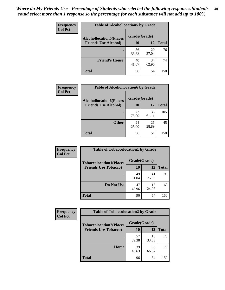| Frequency<br><b>Col Pct</b> | <b>Table of Alcohollocation5 by Grade</b><br>Grade(Grade)<br><b>Alcohollocation5(Places</b> |             |             |              |
|-----------------------------|---------------------------------------------------------------------------------------------|-------------|-------------|--------------|
|                             |                                                                                             |             |             |              |
|                             | <b>Friends Use Alcohol)</b>                                                                 | 10          | 12          | <b>Total</b> |
|                             |                                                                                             | 56<br>58.33 | 20<br>37.04 | 76           |
|                             | <b>Friend's House</b>                                                                       | 40<br>41.67 | 34<br>62.96 | 74           |
|                             | <b>Total</b>                                                                                | 96          | 54          | 150          |

| <b>Frequency</b> | <b>Table of Alcohollocation6 by Grade</b> |              |             |              |  |  |
|------------------|-------------------------------------------|--------------|-------------|--------------|--|--|
| <b>Col Pct</b>   | <b>Alcohollocation6(Places</b>            | Grade(Grade) |             |              |  |  |
|                  | <b>Friends Use Alcohol)</b>               | 10           | 12          | <b>Total</b> |  |  |
|                  |                                           | 72<br>75.00  | 33<br>61.11 | 105          |  |  |
|                  | <b>Other</b>                              | 24<br>25.00  | 21<br>38.89 | 45           |  |  |
|                  | <b>Total</b>                              | 96           | 54          | 150          |  |  |

| Frequency      | <b>Table of Tobaccolocation1 by Grade</b> |              |             |              |
|----------------|-------------------------------------------|--------------|-------------|--------------|
| <b>Col Pct</b> | <b>Tobaccolocation1(Places</b>            | Grade(Grade) |             |              |
|                | <b>Friends Use Tobacco)</b>               | 10           | 12          | <b>Total</b> |
|                |                                           | 49<br>51.04  | 41<br>75.93 | 90           |
|                | Do Not Use                                | 47<br>48.96  | 13<br>24.07 | 60           |
|                | <b>Total</b>                              | 96           | 54          | 150          |

| <b>Frequency</b> | <b>Table of Tobaccolocation2 by Grade</b> |              |             |              |  |
|------------------|-------------------------------------------|--------------|-------------|--------------|--|
| <b>Col Pct</b>   | <b>Tobaccolocation2(Places</b>            | Grade(Grade) |             |              |  |
|                  | <b>Friends Use Tobacco)</b>               | 10           | 12          | <b>Total</b> |  |
|                  |                                           | 57<br>59.38  | 18<br>33.33 | 75           |  |
|                  | Home                                      | 39<br>40.63  | 36<br>66.67 | 75           |  |
|                  | <b>Total</b>                              | 96           | 54          | 150          |  |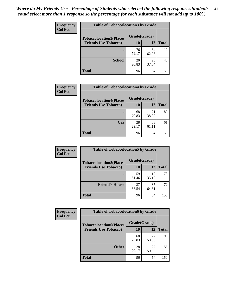| Frequency      | <b>Table of Tobaccolocation 3 by Grade</b> |              |             |              |  |
|----------------|--------------------------------------------|--------------|-------------|--------------|--|
| <b>Col Pct</b> | <b>Tobaccolocation3(Places</b>             | Grade(Grade) |             |              |  |
|                | <b>Friends Use Tobacco)</b>                | 10           | <b>12</b>   | <b>Total</b> |  |
|                | ٠                                          | 76<br>79.17  | 34<br>62.96 | 110          |  |
|                | <b>School</b>                              | 20<br>20.83  | 20<br>37.04 | 40           |  |
|                | <b>Total</b>                               | 96           | 54          | 150          |  |

| Frequency      | <b>Table of Tobaccolocation4 by Grade</b> |              |             |              |
|----------------|-------------------------------------------|--------------|-------------|--------------|
| <b>Col Pct</b> | <b>Tobaccolocation4(Places</b>            | Grade(Grade) |             |              |
|                | <b>Friends Use Tobacco)</b>               | 10           | 12          | <b>Total</b> |
|                |                                           | 68<br>70.83  | 21<br>38.89 | 89           |
|                | Car                                       | 28<br>29.17  | 33<br>61.11 | 61           |
|                | <b>Total</b>                              | 96           | 54          | 150          |

| Frequency      | <b>Table of Tobaccolocation5 by Grade</b> |              |             |              |
|----------------|-------------------------------------------|--------------|-------------|--------------|
| <b>Col Pct</b> | <b>Tobaccolocation5(Places</b>            | Grade(Grade) |             |              |
|                | <b>Friends Use Tobacco)</b>               | 10           | 12          | <b>Total</b> |
|                |                                           | 59<br>61.46  | 19<br>35.19 | 78           |
|                | <b>Friend's House</b>                     | 37<br>38.54  | 35<br>64.81 | 72           |
|                | <b>Total</b>                              | 96           | 54          | 150          |

| <b>Frequency</b> | <b>Table of Tobaccolocation6 by Grade</b> |              |             |              |  |
|------------------|-------------------------------------------|--------------|-------------|--------------|--|
| <b>Col Pct</b>   | <b>Tobaccolocation6(Places</b>            | Grade(Grade) |             |              |  |
|                  | <b>Friends Use Tobacco)</b>               | 10           | 12          | <b>Total</b> |  |
|                  |                                           | 68<br>70.83  | 27<br>50.00 | 95           |  |
|                  | <b>Other</b>                              | 28<br>29.17  | 27<br>50.00 | 55           |  |
|                  | <b>Total</b>                              | 96           | 54          | 150          |  |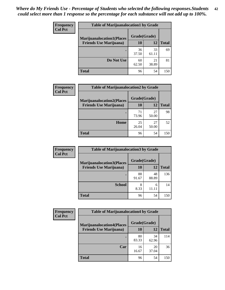| <b>Frequency</b> | <b>Table of Marijuanalocation1 by Grade</b> |              |             |              |
|------------------|---------------------------------------------|--------------|-------------|--------------|
| <b>Col Pct</b>   | <b>Marijuanalocation1(Places</b>            | Grade(Grade) |             |              |
|                  | <b>Friends Use Marijuana</b> )              | 10           | 12          | <b>Total</b> |
|                  |                                             | 36<br>37.50  | 33<br>61.11 | 69           |
|                  | Do Not Use                                  | 60<br>62.50  | 21<br>38.89 | 81           |
|                  | <b>Total</b>                                | 96           | 54          | 150          |

| <b>Frequency</b> | <b>Table of Marijuanalocation2 by Grade</b>                        |                    |             |              |
|------------------|--------------------------------------------------------------------|--------------------|-------------|--------------|
| <b>Col Pct</b>   | <b>Marijuanalocation2(Places</b><br><b>Friends Use Marijuana</b> ) | Grade(Grade)<br>10 | 12          | <b>Total</b> |
|                  |                                                                    | 71<br>73.96        | 27<br>50.00 | 98           |
|                  | Home                                                               | 25<br>26.04        | 27<br>50.00 | 52           |
|                  | <b>Total</b>                                                       | 96                 | 54          | 150          |

| Frequency<br><b>Col Pct</b> | <b>Table of Marijuanalocation3 by Grade</b> |              |             |              |
|-----------------------------|---------------------------------------------|--------------|-------------|--------------|
|                             | <b>Marijuanalocation3</b> (Places           | Grade(Grade) |             |              |
|                             | <b>Friends Use Marijuana</b> )              | <b>10</b>    | 12          | <b>Total</b> |
|                             |                                             | 88<br>91.67  | 48<br>88.89 | 136          |
|                             | <b>School</b>                               | 8<br>8.33    | 6<br>11.11  | 14           |
|                             | <b>Total</b>                                | 96           | 54          | 150          |

| <b>Frequency</b> | <b>Table of Marijuanalocation4 by Grade</b> |              |             |              |  |
|------------------|---------------------------------------------|--------------|-------------|--------------|--|
| <b>Col Pct</b>   | <b>Marijuanalocation4(Places</b>            | Grade(Grade) |             |              |  |
|                  | <b>Friends Use Marijuana</b> )              | <b>10</b>    | 12          | <b>Total</b> |  |
|                  |                                             | 80<br>83.33  | 34<br>62.96 | 114          |  |
|                  | Car                                         | 16<br>16.67  | 20<br>37.04 | 36           |  |
|                  | <b>Total</b>                                | 96           | 54          | 150          |  |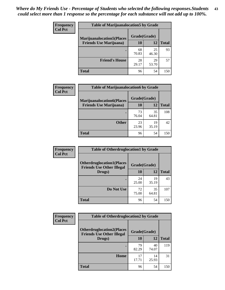| <b>Frequency</b> | <b>Table of Marijuanalocation5 by Grade</b> |              |             |              |
|------------------|---------------------------------------------|--------------|-------------|--------------|
| <b>Col Pct</b>   | <b>Marijuanalocation5</b> (Places           | Grade(Grade) |             |              |
|                  | <b>Friends Use Marijuana</b> )              | 10           | 12          | <b>Total</b> |
|                  |                                             | 68<br>70.83  | 25<br>46.30 | 93           |
|                  | <b>Friend's House</b>                       | 28<br>29.17  | 29<br>53.70 | 57           |
|                  | <b>Total</b>                                | 96           | 54          | 150          |

| <b>Frequency</b> | <b>Table of Marijuanalocation6 by Grade</b>                        |                    |             |              |
|------------------|--------------------------------------------------------------------|--------------------|-------------|--------------|
| <b>Col Pct</b>   | <b>Marijuanalocation6(Places</b><br><b>Friends Use Marijuana</b> ) | Grade(Grade)<br>10 | 12          | <b>Total</b> |
|                  |                                                                    | 73<br>76.04        | 35<br>64.81 | 108          |
|                  | <b>Other</b>                                                       | 23<br>23.96        | 19<br>35.19 | 42           |
|                  | <b>Total</b>                                                       | 96                 | 54          | 150          |

| Frequency      | <b>Table of Otherdruglocation1 by Grade</b>                          |              |             |              |
|----------------|----------------------------------------------------------------------|--------------|-------------|--------------|
| <b>Col Pct</b> | <b>Otherdruglocation1(Places</b><br><b>Friends Use Other Illegal</b> | Grade(Grade) |             |              |
|                | Drugs)                                                               | 10           | 12          | <b>Total</b> |
|                |                                                                      | 24<br>25.00  | 19<br>35.19 | 43           |
|                | Do Not Use                                                           | 72<br>75.00  | 35<br>64.81 | 107          |
|                | <b>Total</b>                                                         | 96           | 54          | 150          |

| Frequency      | <b>Table of Otherdruglocation2 by Grade</b>                          |              |             |              |
|----------------|----------------------------------------------------------------------|--------------|-------------|--------------|
| <b>Col Pct</b> | <b>Otherdruglocation2(Places</b><br><b>Friends Use Other Illegal</b> | Grade(Grade) |             |              |
|                | Drugs)                                                               | 10           | 12          | <b>Total</b> |
|                |                                                                      | 79<br>82.29  | 40<br>74.07 | 119          |
|                | Home                                                                 | 17<br>17.71  | 14<br>25.93 | 31           |
|                | <b>Total</b>                                                         | 96           | 54          | 150          |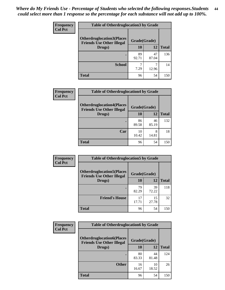| <b>Frequency</b> | <b>Table of Otherdruglocation 3 by Grade</b>                         |              |             |              |
|------------------|----------------------------------------------------------------------|--------------|-------------|--------------|
| <b>Col Pct</b>   | <b>Otherdruglocation3(Places</b><br><b>Friends Use Other Illegal</b> | Grade(Grade) |             |              |
|                  | Drugs)                                                               | 10           | 12          | <b>Total</b> |
|                  |                                                                      | 89<br>92.71  | 47<br>87.04 | 136          |
|                  | <b>School</b>                                                        | 7.29         | 12.96       | 14           |
|                  | <b>Total</b>                                                         | 96           | 54          | 150          |

| <b>Frequency</b> | <b>Table of Otherdruglocation4 by Grade</b>                          |              |             |              |
|------------------|----------------------------------------------------------------------|--------------|-------------|--------------|
| <b>Col Pct</b>   | <b>Otherdruglocation4(Places</b><br><b>Friends Use Other Illegal</b> | Grade(Grade) |             |              |
|                  | Drugs)                                                               | 10           | 12          | <b>Total</b> |
|                  |                                                                      | 86<br>89.58  | 46<br>85.19 | 132          |
|                  | Car                                                                  | 10<br>10.42  | 8<br>14.81  | 18           |
|                  | <b>Total</b>                                                         | 96           | 54          | 150          |

| <b>Frequency</b> | <b>Table of Otherdruglocation5 by Grade</b>                          |              |             |              |
|------------------|----------------------------------------------------------------------|--------------|-------------|--------------|
| <b>Col Pct</b>   | <b>Otherdruglocation5(Places</b><br><b>Friends Use Other Illegal</b> | Grade(Grade) |             |              |
|                  | Drugs)                                                               | 10           | 12          | <b>Total</b> |
|                  |                                                                      | 79<br>82.29  | 39<br>72.22 | 118          |
|                  | <b>Friend's House</b>                                                | 17<br>17.71  | 15<br>27.78 | 32           |
|                  | <b>Total</b>                                                         | 96           | 54          | 150          |

| <b>Frequency</b> | <b>Table of Otherdruglocation6 by Grade</b>                          |              |             |              |
|------------------|----------------------------------------------------------------------|--------------|-------------|--------------|
| <b>Col Pct</b>   | <b>Otherdruglocation6(Places</b><br><b>Friends Use Other Illegal</b> | Grade(Grade) |             |              |
|                  | Drugs)                                                               | <b>10</b>    | 12          | <b>Total</b> |
|                  |                                                                      | 80<br>83.33  | 44<br>81.48 | 124          |
|                  | <b>Other</b>                                                         | 16<br>16.67  | 10<br>18.52 | 26           |
|                  | <b>Total</b>                                                         | 96           | 54          | 150          |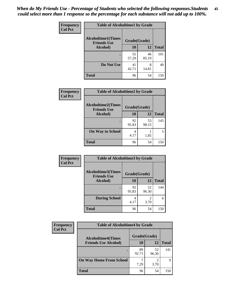| Frequency      | <b>Table of Alcoholtime1 by Grade</b>           |              |             |              |  |
|----------------|-------------------------------------------------|--------------|-------------|--------------|--|
| <b>Col Pct</b> | <b>Alcoholtime1(Times</b><br><b>Friends Use</b> | Grade(Grade) |             |              |  |
|                | Alcohol)                                        | 10           | 12          | <b>Total</b> |  |
|                |                                                 | 55<br>57.29  | 46<br>85.19 | 101          |  |
|                | Do Not Use                                      | 41<br>42.71  | 8<br>14.81  | 49           |  |
|                | <b>Total</b>                                    | 96           | 54          | 150          |  |

| Frequency      | <b>Table of Alcoholtime2 by Grade</b>           |              |             |              |
|----------------|-------------------------------------------------|--------------|-------------|--------------|
| <b>Col Pct</b> | <b>Alcoholtime2(Times</b><br><b>Friends Use</b> | Grade(Grade) |             |              |
|                | Alcohol)                                        | 10           | 12          | <b>Total</b> |
|                |                                                 | 92<br>95.83  | 53<br>98.15 | 145          |
|                | <b>On Way to School</b>                         | 4<br>4.17    | 1.85        | 5            |
|                | <b>Total</b>                                    | 96           | 54          | 150          |

| Frequency<br><b>Col Pct</b> | <b>Table of Alcoholtime3 by Grade</b>           |              |                       |              |
|-----------------------------|-------------------------------------------------|--------------|-----------------------|--------------|
|                             | <b>Alcoholtime3(Times</b><br><b>Friends Use</b> | Grade(Grade) |                       |              |
|                             | Alcohol)                                        | 10           | 12                    | <b>Total</b> |
|                             |                                                 | 92<br>95.83  | 52<br>96.30           | 144          |
|                             | <b>During School</b>                            | 4<br>4.17    | $\mathcal{D}$<br>3.70 | 6            |
|                             | <b>Total</b>                                    | 96           | 54                    | 150          |

| <b>Frequency</b> | <b>Table of Alcoholtime4 by Grade</b><br>Grade(Grade)<br><b>Alcoholtime4(Times</b> |             |             |              |  |
|------------------|------------------------------------------------------------------------------------|-------------|-------------|--------------|--|
| <b>Col Pct</b>   |                                                                                    |             |             |              |  |
|                  | <b>Friends Use Alcohol)</b>                                                        | 10          | 12          | <b>Total</b> |  |
|                  | ٠                                                                                  | 89<br>92.71 | 52<br>96.30 | 141          |  |
|                  | <b>On Way Home From School</b>                                                     | 7.29        | ◠<br>3.70   | q            |  |
|                  | <b>Total</b>                                                                       | 96          | 54          | 150          |  |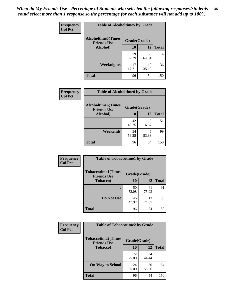*When do My Friends Use - Percentage of Students who selected the following responses.Students could select more than 1 response so the percentage for each substance will not add up to 100%.* **46**

| Frequency      | <b>Table of Alcoholtime5 by Grade</b>           |              |             |              |
|----------------|-------------------------------------------------|--------------|-------------|--------------|
| <b>Col Pct</b> | <b>Alcoholtime5(Times</b><br><b>Friends Use</b> | Grade(Grade) |             |              |
|                | Alcohol)                                        | 10           | 12          | <b>Total</b> |
|                |                                                 | 79<br>82.29  | 35<br>64.81 | 114          |
|                | Weeknights                                      | 17<br>17.71  | 19<br>35.19 | 36           |
|                | <b>Total</b>                                    | 96           | 54          | 150          |

| <b>Frequency</b> | <b>Table of Alcoholtime6 by Grade</b>           |              |             |              |
|------------------|-------------------------------------------------|--------------|-------------|--------------|
| <b>Col Pct</b>   | <b>Alcoholtime6(Times</b><br><b>Friends Use</b> | Grade(Grade) |             |              |
|                  | Alcohol)                                        | 10           | 12          | <b>Total</b> |
|                  |                                                 | 42<br>43.75  | 9<br>16.67  | 51           |
|                  | Weekends                                        | 54<br>56.25  | 45<br>83.33 | 99           |
|                  | <b>Total</b>                                    | 96           | 54          | 150          |

| Frequency      | <b>Table of Tobaccotime1 by Grade</b>           |              |             |              |
|----------------|-------------------------------------------------|--------------|-------------|--------------|
| <b>Col Pct</b> | <b>Tobaccotime1(Times</b><br><b>Friends Use</b> | Grade(Grade) |             |              |
|                | <b>Tobacco</b> )                                | 10           | 12          | <b>Total</b> |
|                | ٠                                               | 50<br>52.08  | 41<br>75.93 | 91           |
|                | Do Not Use                                      | 46<br>47.92  | 13<br>24.07 | 59           |
|                | <b>Total</b>                                    | 96           | 54          | 150          |

| <b>Frequency</b> | <b>Table of Tobaccotime2 by Grade</b>                           |             |             |              |
|------------------|-----------------------------------------------------------------|-------------|-------------|--------------|
| <b>Col Pct</b>   | <b>Tobaccotime2(Times</b><br>Grade(Grade)<br><b>Friends Use</b> |             |             |              |
|                  | <b>Tobacco</b> )                                                | 10          | 12          | <b>Total</b> |
|                  |                                                                 | 72<br>75.00 | 24<br>44.44 | 96           |
|                  | <b>On Way to School</b>                                         | 24<br>25.00 | 30<br>55.56 | 54           |
|                  | <b>Total</b>                                                    | 96          | 54          | 150          |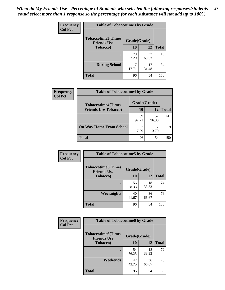*When do My Friends Use - Percentage of Students who selected the following responses.Students could select more than 1 response so the percentage for each substance will not add up to 100%.* **47**

| <b>Frequency</b> | <b>Table of Tobaccotime3 by Grade</b>           |              |             |              |  |
|------------------|-------------------------------------------------|--------------|-------------|--------------|--|
| <b>Col Pct</b>   | <b>Tobaccotime3(Times</b><br><b>Friends Use</b> | Grade(Grade) |             |              |  |
|                  | Tobacco)                                        | 10           | 12          | <b>Total</b> |  |
|                  |                                                 | 79<br>82.29  | 37<br>68.52 | 116          |  |
|                  | <b>During School</b>                            | 17<br>17.71  | 17<br>31.48 | 34           |  |
|                  | <b>Total</b>                                    | 96           | 54          | 150          |  |

| Frequency<br><b>Col Pct</b> | <b>Table of Tobaccotime4 by Grade</b> |              |             |              |
|-----------------------------|---------------------------------------|--------------|-------------|--------------|
|                             | <b>Tobaccotime4(Times</b>             | Grade(Grade) |             |              |
|                             | <b>Friends Use Tobacco)</b>           | 10           | 12          | <b>Total</b> |
|                             |                                       | 89<br>92.71  | 52<br>96.30 | 141          |
|                             | <b>On Way Home From School</b>        | 7.29         | ∍<br>3.70   | 9            |
|                             | Total                                 | 96           | 54          | 150          |

| <b>Frequency</b> | <b>Table of Tobaccotime5 by Grade</b>            |              |             |              |
|------------------|--------------------------------------------------|--------------|-------------|--------------|
| <b>Col Pct</b>   | <b>Tobaccotime5</b> (Times<br><b>Friends Use</b> | Grade(Grade) |             |              |
|                  | <b>Tobacco</b> )                                 | 10           | 12          | <b>Total</b> |
|                  |                                                  | 56<br>58.33  | 18<br>33.33 | 74           |
|                  | Weeknights                                       | 40<br>41.67  | 36<br>66.67 | 76           |
|                  | <b>Total</b>                                     | 96           | 54          | 150          |

| Frequency      | <b>Table of Tobaccotime6 by Grade</b>           |              |             |              |
|----------------|-------------------------------------------------|--------------|-------------|--------------|
| <b>Col Pct</b> | <b>Tobaccotime6(Times</b><br><b>Friends Use</b> | Grade(Grade) |             |              |
|                | <b>Tobacco</b> )                                | 10           | 12          | <b>Total</b> |
|                |                                                 | 54<br>56.25  | 18<br>33.33 | 72           |
|                | Weekends                                        | 42<br>43.75  | 36<br>66.67 | 78           |
|                | <b>Total</b>                                    | 96           | 54          | 150          |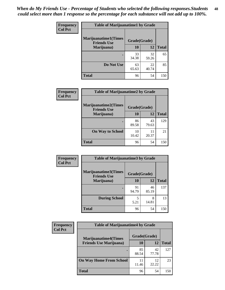| Frequency      | <b>Table of Marijuanatime1 by Grade</b>           |              |             |              |
|----------------|---------------------------------------------------|--------------|-------------|--------------|
| <b>Col Pct</b> | <b>Marijuanatime1(Times</b><br><b>Friends Use</b> | Grade(Grade) |             |              |
|                | Marijuana)                                        | 10           | 12          | <b>Total</b> |
|                |                                                   | 33<br>34.38  | 32<br>59.26 | 65           |
|                | Do Not Use                                        | 63<br>65.63  | 22<br>40.74 | 85           |
|                | <b>Total</b>                                      | 96           | 54          | 150          |

| Frequency      | <b>Table of Marijuanatime2 by Grade</b>           |              |             |              |
|----------------|---------------------------------------------------|--------------|-------------|--------------|
| <b>Col Pct</b> | <b>Marijuanatime2(Times</b><br><b>Friends Use</b> | Grade(Grade) |             |              |
|                | Marijuana)                                        | 10           | 12          | <b>Total</b> |
|                |                                                   | 86<br>89.58  | 43<br>79.63 | 129          |
|                | <b>On Way to School</b>                           | 10<br>10.42  | 11<br>20.37 | 21           |
|                | <b>Total</b>                                      | 96           | 54          | 150          |

| <b>Frequency</b> | <b>Table of Marijuanatime3 by Grade</b>    |              |             |              |
|------------------|--------------------------------------------|--------------|-------------|--------------|
| <b>Col Pct</b>   | Marijuanatime3(Times<br><b>Friends Use</b> | Grade(Grade) |             |              |
|                  | Marijuana)                                 | 10           | 12          | <b>Total</b> |
|                  |                                            | 91<br>94.79  | 46<br>85.19 | 137          |
|                  | <b>During School</b>                       | 5<br>5.21    | 8<br>14.81  | 13           |
|                  | <b>Total</b>                               | 96           | 54          | 150          |

| <b>Frequency</b> | <b>Table of Marijuanatime4 by Grade</b> |              |             |              |
|------------------|-----------------------------------------|--------------|-------------|--------------|
| <b>Col Pct</b>   | <b>Marijuanatime4</b> (Times            | Grade(Grade) |             |              |
|                  | <b>Friends Use Marijuana</b> )          | 10           | 12          | <b>Total</b> |
|                  |                                         | 85<br>88.54  | 42<br>77.78 | 127          |
|                  | <b>On Way Home From School</b>          | 11<br>11.46  | 12<br>22.22 | 23           |
|                  | <b>Total</b>                            | 96           | 54          | 150          |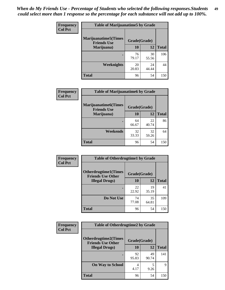| Frequency      | <b>Table of Marijuanatime5 by Grade</b>            |              |             |              |
|----------------|----------------------------------------------------|--------------|-------------|--------------|
| <b>Col Pct</b> | <b>Marijuanatime5</b> (Times<br><b>Friends Use</b> | Grade(Grade) |             |              |
|                | Marijuana)                                         | 10           | 12          | <b>Total</b> |
|                |                                                    | 76<br>79.17  | 30<br>55.56 | 106          |
|                | Weeknights                                         | 20<br>20.83  | 24<br>44.44 | 44           |
|                | <b>Total</b>                                       | 96           | 54          | 150          |

| Frequency      | <b>Table of Marijuanatime6 by Grade</b>    |              |             |              |
|----------------|--------------------------------------------|--------------|-------------|--------------|
| <b>Col Pct</b> | Marijuanatime6(Times<br><b>Friends Use</b> | Grade(Grade) |             |              |
|                | Marijuana)                                 | 10           | 12          | <b>Total</b> |
|                |                                            | 64<br>66.67  | 22<br>40.74 | 86           |
|                | Weekends                                   | 32<br>33.33  | 32<br>59.26 | 64           |
|                | <b>Total</b>                               | 96           | 54          | 150          |

| Frequency      | <b>Table of Otherdrugtime1 by Grade</b>                 |              |             |              |
|----------------|---------------------------------------------------------|--------------|-------------|--------------|
| <b>Col Pct</b> | <b>Otherdrugtime1(Times</b><br><b>Friends Use Other</b> | Grade(Grade) |             |              |
|                | <b>Illegal Drugs</b> )                                  | 10           | 12          | <b>Total</b> |
|                |                                                         | 22<br>22.92  | 19<br>35.19 | 41           |
|                | Do Not Use                                              | 74<br>77.08  | 35<br>64.81 | 109          |
|                | Total                                                   | 96           | 54          | 150          |

| <b>Frequency</b><br><b>Col Pct</b> | <b>Table of Otherdrugtime2 by Grade</b>                                 |             |             |              |
|------------------------------------|-------------------------------------------------------------------------|-------------|-------------|--------------|
|                                    | <b>Otherdrugtime2(Times</b><br>Grade(Grade)<br><b>Friends Use Other</b> |             |             |              |
|                                    | <b>Illegal Drugs</b> )                                                  | 10          | 12          | <b>Total</b> |
|                                    |                                                                         | 92<br>95.83 | 49<br>90.74 | 141          |
|                                    | <b>On Way to School</b>                                                 | 4<br>4.17   | 5<br>9.26   | Q            |
|                                    | Total                                                                   | 96          | 54          | 150          |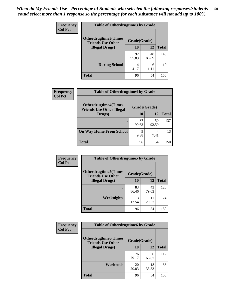| <b>Frequency</b> | <b>Table of Otherdrugtime3 by Grade</b>          |              |             |              |
|------------------|--------------------------------------------------|--------------|-------------|--------------|
| <b>Col Pct</b>   | Otherdrugtime3(Times<br><b>Friends Use Other</b> | Grade(Grade) |             |              |
|                  | <b>Illegal Drugs</b> )                           | 10           | 12          | <b>Total</b> |
|                  |                                                  | 92<br>95.83  | 48<br>88.89 | 140          |
|                  | <b>During School</b>                             | 4<br>4.17    | 6<br>11 11  | 10           |
|                  | Total                                            | 96           | 54          | 150          |

| Frequency      | <b>Table of Otherdrugtime4 by Grade</b>                         |              |             |              |
|----------------|-----------------------------------------------------------------|--------------|-------------|--------------|
| <b>Col Pct</b> | <b>Otherdrugtime4(Times</b><br><b>Friends Use Other Illegal</b> | Grade(Grade) |             |              |
|                | Drugs)                                                          | 10           | 12          | <b>Total</b> |
|                | ٠                                                               | 87<br>90.63  | 50<br>92.59 | 137          |
|                | <b>On Way Home From School</b>                                  | 9<br>9.38    | 4<br>7.41   | 13           |
|                | <b>Total</b>                                                    | 96           | 54          | 150          |

| Frequency      | <b>Table of Otherdrugtime5 by Grade</b>                  |              |             |              |
|----------------|----------------------------------------------------------|--------------|-------------|--------------|
| <b>Col Pct</b> | <b>Otherdrugtime5</b> (Times<br><b>Friends Use Other</b> | Grade(Grade) |             |              |
|                | <b>Illegal Drugs</b> )                                   | 10           | 12          | <b>Total</b> |
|                |                                                          | 83<br>86.46  | 43<br>79.63 | 126          |
|                | Weeknights                                               | 13<br>13.54  | 11<br>20.37 | 24           |
|                | Total                                                    | 96           | 54          | 150          |

| Frequency      | <b>Table of Otherdrugtime6 by Grade</b>                 |              |             |              |
|----------------|---------------------------------------------------------|--------------|-------------|--------------|
| <b>Col Pct</b> | <b>Otherdrugtime6(Times</b><br><b>Friends Use Other</b> | Grade(Grade) |             |              |
|                | <b>Illegal Drugs</b> )                                  | 10           | 12          | <b>Total</b> |
|                |                                                         | 76<br>79.17  | 36<br>66.67 | 112          |
|                | Weekends                                                | 20<br>20.83  | 18<br>33.33 | 38           |
|                | Total                                                   | 96           | 54          | 150          |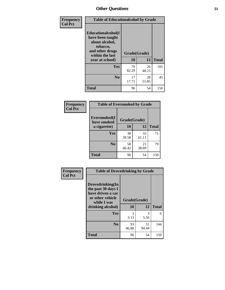| Frequency      | <b>Table of Educationalcohol by Grade</b>                                                                  |              |             |              |
|----------------|------------------------------------------------------------------------------------------------------------|--------------|-------------|--------------|
| <b>Col Pct</b> | Educationalcohol(I<br>have been taught<br>about alcohol,<br>tobacco,<br>and other drugs<br>within the last | Grade(Grade) |             |              |
|                | year at school)                                                                                            | 10           | 12          | <b>Total</b> |
|                | Yes                                                                                                        | 79<br>82.29  | 26<br>48.15 | 105          |
|                | N <sub>0</sub>                                                                                             | 17<br>17.71  | 28<br>51.85 | 45           |
|                | <b>Total</b>                                                                                               | 96           | 54          | 150          |

| Frequency      | <b>Table of Eversmoked by Grade</b> |              |             |              |
|----------------|-------------------------------------|--------------|-------------|--------------|
| <b>Col Pct</b> | Eversmoked(I<br>have smoked         | Grade(Grade) |             |              |
|                | a cigarette)                        | <b>10</b>    | 12          | <b>Total</b> |
|                | <b>Yes</b>                          | 38<br>39.58  | 33<br>61.11 | 71           |
|                | N <sub>0</sub>                      | 58<br>60.42  | 21<br>38.89 | 79           |
|                | Total                               | 96           | 54          | 150          |

| Frequency      | <b>Table of Drovedrinking by Grade</b>                                                                              |                    |             |              |
|----------------|---------------------------------------------------------------------------------------------------------------------|--------------------|-------------|--------------|
| <b>Col Pct</b> | Drovedrinking(In<br>the past 30 days I<br>have driven a car<br>or other vehicle<br>while I was<br>drinking alcohol) | Grade(Grade)<br>10 | 12          | <b>Total</b> |
|                |                                                                                                                     |                    |             |              |
|                | <b>Yes</b>                                                                                                          | 3<br>3.13          | 3<br>5.56   | 6            |
|                | N <sub>0</sub>                                                                                                      | 93<br>96.88        | 51<br>94.44 | 144          |
|                | <b>Total</b>                                                                                                        | 96                 | 54          | 150          |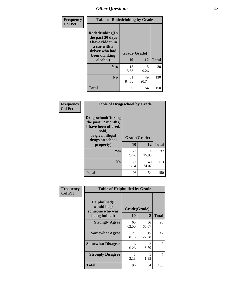| Frequency<br><b>Col Pct</b> | <b>Table of Rodedrinking by Grade</b>                                                                      |              |             |              |
|-----------------------------|------------------------------------------------------------------------------------------------------------|--------------|-------------|--------------|
|                             | Rodedrinking(In<br>the past 30 days<br>I have ridden in<br>a car with a<br>driver who had<br>been drinking | Grade(Grade) |             |              |
|                             | alcohol)                                                                                                   | 10           | 12          | <b>Total</b> |
|                             | <b>Yes</b>                                                                                                 | 15<br>15.63  | 5<br>9.26   | 20           |
|                             | N <sub>0</sub>                                                                                             | 81<br>84.38  | 49<br>90.74 | 130          |
|                             | <b>Total</b>                                                                                               | 96           | 54          | 150          |

#### **Frequency Col Pct**

| <b>Table of Drugsschool by Grade</b>                                                                                      |              |             |              |
|---------------------------------------------------------------------------------------------------------------------------|--------------|-------------|--------------|
| <b>Drugsschool</b> (During<br>the past 12 months,<br>I have been offered,<br>sold,<br>or given illegal<br>drugs on school | Grade(Grade) |             |              |
| property)                                                                                                                 | 10           | 12          | <b>Total</b> |
| Yes                                                                                                                       | 23<br>23.96  | 14<br>25.93 | 37           |
| N <sub>0</sub>                                                                                                            | 73<br>76.04  | 40<br>74.07 | 113          |
| Total                                                                                                                     | 96           | 54          | 150          |

| Frequency      | <b>Table of Helpbullied by Grade</b>                                   |                    |                        |              |
|----------------|------------------------------------------------------------------------|--------------------|------------------------|--------------|
| <b>Col Pct</b> | $Helpb$ ullied $(I$<br>would help<br>someone who was<br>being bullied) | Grade(Grade)<br>10 | 12                     | <b>Total</b> |
|                |                                                                        |                    |                        |              |
|                | <b>Strongly Agree</b>                                                  | 60<br>62.50        | 36<br>66.67            | 96           |
|                | <b>Somewhat Agree</b>                                                  | 27<br>28.13        | 15<br>27.78            | 42           |
|                | <b>Somewhat Disagree</b>                                               | 6<br>6.25          | $\mathfrak{D}$<br>3.70 | 8            |
|                | <b>Strongly Disagree</b>                                               | 3<br>3.13          | 1.85                   | 4            |
|                | <b>Total</b>                                                           | 96                 | 54                     | 150          |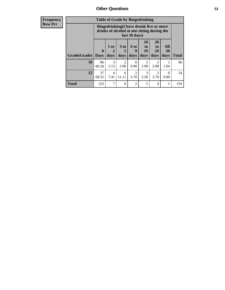| <b>Frequency</b> |  |  |
|------------------|--|--|
| <b>Row Pct</b>   |  |  |
|                  |  |  |

| <b>Table of Grade by Bingedrinking</b> |                         |                                                                                                         |                   |                        |                               |                        |                   |              |
|----------------------------------------|-------------------------|---------------------------------------------------------------------------------------------------------|-------------------|------------------------|-------------------------------|------------------------|-------------------|--------------|
|                                        |                         | Bingedrinking(I have drunk five or more<br>drinks of alcohol at one sitting during the<br>last 30 days) |                   |                        |                               |                        |                   |              |
| Grade(Grade)                           | $\bf{0}$<br><b>Days</b> | 1 or<br>$\overline{2}$<br>days                                                                          | 3 to<br>5<br>days | 6 to<br>9<br>days      | <b>10</b><br>to<br>19<br>days | 20<br>to<br>29<br>days | All<br>30<br>days | <b>Total</b> |
| 10                                     | 86<br>89.58             | 3<br>3.13                                                                                               | 2<br>2.08         | $\Omega$<br>0.00       | $\mathfrak{D}$<br>2.08        | 2<br>2.08              | 1.04              | 96           |
| 12                                     | 37<br>68.52             | 4<br>7.41                                                                                               | 6<br>11.11        | $\overline{2}$<br>3.70 | 3<br>5.56                     | $\overline{c}$<br>3.70 | ∩<br>0.00         | 54           |
| <b>Total</b>                           | 123                     | 7                                                                                                       | 8                 | $\overline{2}$         | 5                             | 4                      |                   | 150          |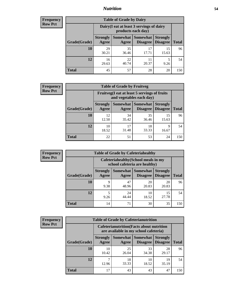### *Nutrition* **54**

| Frequency |
|-----------|
| Row Pct   |

| <b>Table of Grade by Dairy</b> |                          |                                                                 |                             |                                    |              |  |  |  |
|--------------------------------|--------------------------|-----------------------------------------------------------------|-----------------------------|------------------------------------|--------------|--|--|--|
|                                |                          | Dairy (I eat at least 3 servings of dairy<br>products each day) |                             |                                    |              |  |  |  |
| Grade(Grade)                   | <b>Strongly</b><br>Agree | <b>Somewhat</b><br>Agree                                        | <b>Somewhat</b><br>Disagree | <b>Strongly</b><br><b>Disagree</b> | <b>Total</b> |  |  |  |
| 10                             | 29<br>30.21              | 35<br>36.46                                                     | 17<br>17.71                 | 15<br>15.63                        | 96           |  |  |  |
| 12                             | 16<br>29.63              | 22<br>40.74                                                     | 11<br>20.37                 | 5<br>9.26                          | 54           |  |  |  |
| <b>Total</b>                   | 45                       | 57                                                              | 28                          | 20                                 | 150          |  |  |  |

| <b>Frequency</b> |
|------------------|
| <b>Row Pct</b>   |

| V | <b>Table of Grade by Fruitveg</b> |                          |                                                                          |                                               |                                    |              |  |  |
|---|-----------------------------------|--------------------------|--------------------------------------------------------------------------|-----------------------------------------------|------------------------------------|--------------|--|--|
|   |                                   |                          | Fruitveg(I eat at least 5 servings of fruits<br>and vegetables each day) |                                               |                                    |              |  |  |
|   | Grade(Grade)                      | <b>Strongly</b><br>Agree | Agree                                                                    | <b>Somewhat   Somewhat</b><br><b>Disagree</b> | <b>Strongly</b><br><b>Disagree</b> | <b>Total</b> |  |  |
|   | 10                                | 12.<br>12.50             | 34<br>35.42                                                              | 35<br>36.46                                   | 15<br>15.63                        | 96           |  |  |
|   | 12                                | 10<br>18.52              | 17<br>31.48                                                              | 18<br>33.33                                   | 9<br>16.67                         | 54           |  |  |
|   | <b>Total</b>                      | 22                       | 51                                                                       | 53                                            | 24                                 | 150          |  |  |

| <b>Frequency</b> | <b>Table of Grade by Cafeteriahealthy</b> |                          |             |                                                                       |                                    |              |
|------------------|-------------------------------------------|--------------------------|-------------|-----------------------------------------------------------------------|------------------------------------|--------------|
| <b>Row Pct</b>   |                                           |                          |             | Cafeteriahealthy (School meals in my<br>school cafeteria are healthy) |                                    |              |
|                  | Grade(Grade)                              | <b>Strongly</b><br>Agree | Agree       | Somewhat   Somewhat  <br>Disagree                                     | <b>Strongly</b><br><b>Disagree</b> | <b>Total</b> |
|                  | 10                                        | Q<br>9.38                | 47<br>48.96 | 20<br>20.83                                                           | 20<br>20.83                        | 96           |
|                  | 12                                        | 9.26                     | 24<br>44.44 | 10<br>18.52                                                           | 15<br>27.78                        | 54           |
|                  | Total                                     | 14                       | 71          | 30                                                                    | 35                                 | 150          |

| <b>Frequency</b> |
|------------------|
| <b>Row Pct</b>   |

| <b>Table of Grade by Cafeterianutrition</b>                                               |                          |             |                                        |                                    |              |  |  |
|-------------------------------------------------------------------------------------------|--------------------------|-------------|----------------------------------------|------------------------------------|--------------|--|--|
| <b>Cafeterianutrition</b> (Facts about nutrition<br>are available in my school cafeteria) |                          |             |                                        |                                    |              |  |  |
| Grade(Grade)                                                                              | <b>Strongly</b><br>Agree | Agree       | Somewhat   Somewhat<br><b>Disagree</b> | <b>Strongly</b><br><b>Disagree</b> | <b>Total</b> |  |  |
| 10                                                                                        | 10<br>10.42              | 25<br>26.04 | 33<br>34.38                            | 28<br>29.17                        | 96           |  |  |
| 12                                                                                        | 12.96                    | 18<br>33.33 | 10<br>18.52                            | 19<br>35.19                        | 54           |  |  |
| <b>Total</b>                                                                              | 17                       | 43          | 43                                     | 47                                 | 150          |  |  |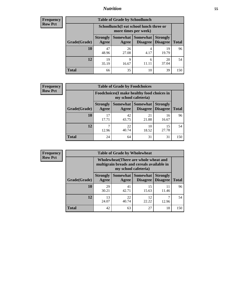### *Nutrition* **55**

| Frequency |
|-----------|
| Row Pct   |

| <b>Table of Grade by Schoollunch</b> |                          |                                                                 |                               |                                    |              |  |  |  |
|--------------------------------------|--------------------------|-----------------------------------------------------------------|-------------------------------|------------------------------------|--------------|--|--|--|
|                                      |                          | Schoollunch(I eat school lunch three or<br>more times per week) |                               |                                    |              |  |  |  |
| Grade(Grade)                         | <b>Strongly</b><br>Agree | Agree                                                           | Somewhat Somewhat<br>Disagree | <b>Strongly</b><br><b>Disagree</b> | <b>Total</b> |  |  |  |
| 10                                   | 47<br>48.96              | 26<br>27.08                                                     | 4<br>4.17                     | 19<br>19.79                        | 96           |  |  |  |
| 12                                   | 19<br>35.19              | q<br>16.67                                                      | 6                             | 20<br>37.04                        | 54           |  |  |  |
| <b>Total</b>                         | 66                       | 35                                                              | 10                            | 39                                 | 150          |  |  |  |

| <b>Frequency</b> |  |
|------------------|--|
| <b>Row Pct</b>   |  |

| 'V | <b>Table of Grade by Foodchoices</b>                                       |                          |             |                                              |                 |              |  |  |
|----|----------------------------------------------------------------------------|--------------------------|-------------|----------------------------------------------|-----------------|--------------|--|--|
|    | <b>Foodchoices</b> (I make healthy food choices in<br>my school cafeteria) |                          |             |                                              |                 |              |  |  |
|    | Grade(Grade)                                                               | <b>Strongly</b><br>Agree | Agree       | Somewhat   Somewhat  <br>Disagree   Disagree | <b>Strongly</b> | <b>Total</b> |  |  |
|    | 10                                                                         | 17<br>17.71              | 42<br>43.75 | 21<br>21.88                                  | 16<br>16.67     | 96           |  |  |
|    | 12                                                                         | 12.96                    | 22<br>40.74 | 10<br>18.52                                  | 15<br>27.78     | 54           |  |  |
|    | <b>Total</b>                                                               | 24                       | 64          | 31                                           | 31              | 150          |  |  |

| <b>Frequency</b> | <b>Table of Grade by Wholewheat</b> |                                                                                                             |             |                                   |                                    |              |
|------------------|-------------------------------------|-------------------------------------------------------------------------------------------------------------|-------------|-----------------------------------|------------------------------------|--------------|
| <b>Row Pct</b>   |                                     | Wholewheat (There are whole wheat and<br>multigrain breads and cereals available in<br>my school cafeteria) |             |                                   |                                    |              |
|                  | Grade(Grade)                        | <b>Strongly</b><br>Agree                                                                                    | Agree       | Somewhat   Somewhat  <br>Disagree | <b>Strongly</b><br><b>Disagree</b> | <b>Total</b> |
|                  | 10                                  | 29<br>30.21                                                                                                 | 41<br>42.71 | 15<br>15.63                       | 11<br>11.46                        | 96           |
|                  | 12                                  | 13<br>24.07                                                                                                 | 22<br>40.74 | 12<br>22.22                       | 12.96                              | 54           |
|                  | <b>Total</b>                        | 42                                                                                                          | 63          | 27                                | 18                                 | 150          |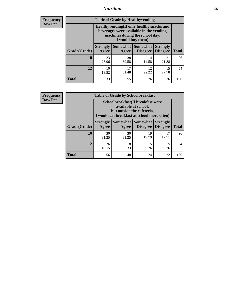### *Nutrition* **56**

**Frequency Row Pct**

| <b>Table of Grade by Healthyvending</b> |                                                                                                                                               |             |                                        |                                    |              |  |
|-----------------------------------------|-----------------------------------------------------------------------------------------------------------------------------------------------|-------------|----------------------------------------|------------------------------------|--------------|--|
|                                         | Healthyvending (If only healthy snacks and<br>beverages were available in the vending<br>machines during the school day,<br>I would buy them) |             |                                        |                                    |              |  |
| Grade(Grade)                            | <b>Strongly</b><br>Agree                                                                                                                      | Agree       | Somewhat   Somewhat<br><b>Disagree</b> | <b>Strongly</b><br><b>Disagree</b> | <b>Total</b> |  |
| 10                                      | 23<br>23.96                                                                                                                                   | 38<br>39.58 | 14<br>14.58                            | 21<br>21.88                        | 96           |  |
| 12                                      | 10<br>18.52                                                                                                                                   | 17<br>31.48 | 12<br>22.22                            | 15<br>27.78                        | 54           |  |
| <b>Total</b>                            | 33                                                                                                                                            | 55          | 26                                     | 36                                 | 150          |  |

**Frequency Row Pct**

| <b>Table of Grade by Schoolbreakfast</b> |                                                                                                                                         |             |                                 |                                    |              |  |
|------------------------------------------|-----------------------------------------------------------------------------------------------------------------------------------------|-------------|---------------------------------|------------------------------------|--------------|--|
|                                          | Schoolbreakfast (If breakfast were<br>available at school,<br>but outside the cafeteria,<br>I would eat breakfast at school more often) |             |                                 |                                    |              |  |
| Grade(Grade)                             | <b>Strongly</b><br>Agree                                                                                                                | Agree       | Somewhat   Somewhat<br>Disagree | <b>Strongly</b><br><b>Disagree</b> | <b>Total</b> |  |
| 10                                       | 30<br>31.25                                                                                                                             | 30<br>31.25 | 19<br>19.79                     | 17<br>17.71                        | 96           |  |
| 12                                       | 26<br>48.15                                                                                                                             | 18<br>33.33 | 5<br>9.26                       | 5<br>9.26                          | 54           |  |
| <b>Total</b>                             | 56                                                                                                                                      | 48          | 24                              | 22                                 | 150          |  |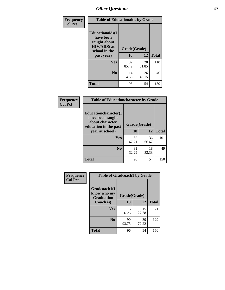| Frequency<br><b>Col Pct</b> | <b>Table of Educationaids by Grade</b>                                                                    |                    |             |              |
|-----------------------------|-----------------------------------------------------------------------------------------------------------|--------------------|-------------|--------------|
|                             | <b>Educationaids</b> (I<br>have been<br>taught about<br><b>HIV/AIDS</b> at<br>school in the<br>past year) | Grade(Grade)<br>10 | 12          | <b>Total</b> |
|                             | <b>Yes</b>                                                                                                | 82<br>85.42        | 28<br>51.85 | 110          |
|                             | N <sub>0</sub>                                                                                            | 14<br>14.58        | 26<br>48.15 | 40           |
|                             | <b>Total</b>                                                                                              | 96                 | 54          | 150          |

| <b>Frequency</b> | <b>Table of Educationcharacter by Grade</b>                                          |              |             |              |
|------------------|--------------------------------------------------------------------------------------|--------------|-------------|--------------|
| <b>Col Pct</b>   | Educationcharacter(I<br>have been taught<br>about character<br>education in the past | Grade(Grade) |             |              |
|                  | year at school)                                                                      | 10           | 12          | <b>Total</b> |
|                  | <b>Yes</b>                                                                           | 65<br>67.71  | 36<br>66.67 | 101          |
|                  | N <sub>0</sub>                                                                       | 31<br>32.29  | 18<br>33.33 | 49           |
|                  | <b>Total</b>                                                                         | 96           | 54          | 150          |

| Frequency      | <b>Table of Gradcoach1 by Grade</b> |              |             |              |
|----------------|-------------------------------------|--------------|-------------|--------------|
| <b>Col Pct</b> | Gradcoach1(I<br>know who my         | Grade(Grade) |             |              |
|                | <b>Graduation</b><br>Coach is)      | 10           | 12          | <b>Total</b> |
|                | Yes                                 | 6<br>6.25    | 15<br>27.78 | 21           |
|                | N <sub>0</sub>                      | 90<br>93.75  | 39<br>72.22 | 129          |
|                | <b>Total</b>                        | 96           | 54          | 150          |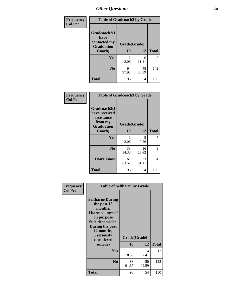| Frequency      | <b>Table of Gradcoach2 by Grade</b>       |              |             |              |
|----------------|-------------------------------------------|--------------|-------------|--------------|
| <b>Col Pct</b> |                                           |              |             |              |
|                | Gradcoach2(I                              |              |             |              |
|                | have<br>contacted my<br><b>Graduation</b> | Grade(Grade) |             |              |
|                | Coach)                                    | 10           | 12          | <b>Total</b> |
|                | Yes                                       | 2<br>2.08    | 6<br>11.11  | 8            |
|                | N <sub>0</sub>                            | 94<br>97.92  | 48<br>88.89 | 142          |
|                | <b>Total</b>                              | 96           | 54          | 150          |

| Frequency<br><b>Col Pct</b> | <b>Table of Gradcoach3 by Grade</b>                    |              |             |              |
|-----------------------------|--------------------------------------------------------|--------------|-------------|--------------|
|                             | Gradcoach3(I<br>have received<br>assistance<br>from my | Grade(Grade) |             |              |
|                             | <b>Graduation</b><br>Coach)                            | 10           | 12          | <b>Total</b> |
|                             | Yes                                                    | 2<br>2.08    | 5<br>9.26   | 7            |
|                             | N <sub>0</sub>                                         | 33<br>34.38  | 16<br>29.63 | 49           |
|                             | Don't know                                             | 61<br>63.54  | 33<br>61.11 | 94           |
|                             | <b>Total</b>                                           | 96           | 54          | 150          |

| Frequency<br><b>Col Pct</b> | <b>Table of Selfharm by Grade</b>                                                                                                                                                      |                           |             |              |
|-----------------------------|----------------------------------------------------------------------------------------------------------------------------------------------------------------------------------------|---------------------------|-------------|--------------|
|                             | <b>Selfharm</b> (During<br>the past 12<br>months,<br>I harmed myself<br>on purpose<br><b>Suicideconsider</b><br>During the past<br>12 months,<br>I seriously<br>considered<br>suicide) | Grade(Grade)<br><b>10</b> | 12          | <b>Total</b> |
|                             | Yes                                                                                                                                                                                    | 8<br>8.33                 | 4<br>7.41   | 12           |
|                             | N <sub>0</sub>                                                                                                                                                                         | 88<br>91.67               | 50<br>92.59 | 138          |
|                             | <b>Total</b>                                                                                                                                                                           | 96                        | 54          | 150          |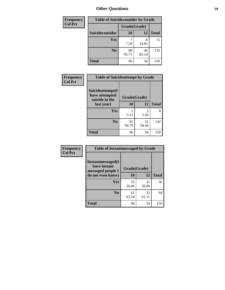| <b>Frequency</b> | <b>Table of Suicideconsider by Grade</b> |              |             |              |
|------------------|------------------------------------------|--------------|-------------|--------------|
| <b>Col Pct</b>   |                                          | Grade(Grade) |             |              |
|                  | Suicideconsider                          | <b>10</b>    | 12          | <b>Total</b> |
|                  | <b>Yes</b>                               | 7.29         | 8<br>14.81  | 15           |
|                  | N <sub>0</sub>                           | 89<br>92.71  | 46<br>85.19 | 135          |
|                  | <b>Total</b>                             | 96           | 54          | 150          |

| Frequency      | <b>Table of Suicideattempt by Grade</b>              |              |             |              |
|----------------|------------------------------------------------------|--------------|-------------|--------------|
| <b>Col Pct</b> | Suicideattempt(I<br>have attempted<br>suicide in the | Grade(Grade) |             |              |
|                | last year)                                           | 10           | 12          | <b>Total</b> |
|                | Yes                                                  | 5<br>5.21    | 3<br>5.56   | 8            |
|                | $\bf No$                                             | 91<br>94.79  | 51<br>94.44 | 142          |
|                | <b>Total</b>                                         | 96           | 54          | 150          |

| Frequency      | <b>Table of Instantmessaged by Grade</b>                       |              |             |              |
|----------------|----------------------------------------------------------------|--------------|-------------|--------------|
| <b>Col Pct</b> | <b>Instantmessaged</b> (I<br>have instant<br>messaged people I | Grade(Grade) |             |              |
|                | do not even know)                                              | 10           | 12          | <b>Total</b> |
|                | Yes                                                            | 35<br>36.46  | 21<br>38.89 | 56           |
|                | N <sub>0</sub>                                                 | 61<br>63.54  | 33<br>61.11 | 94           |
|                | <b>Total</b>                                                   | 96           | 54          | 150          |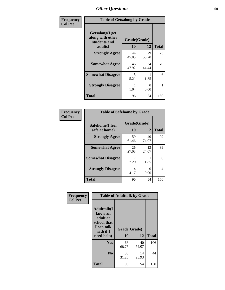| Frequency      | <b>Table of Getsalong by Grade</b>                          |              |             |              |  |  |
|----------------|-------------------------------------------------------------|--------------|-------------|--------------|--|--|
| <b>Col Pct</b> | <b>Getsalong</b> (I get<br>along with other<br>students and | Grade(Grade) |             |              |  |  |
|                | adults)                                                     | 10           | 12          | <b>Total</b> |  |  |
|                | <b>Strongly Agree</b>                                       | 44<br>45.83  | 29<br>53.70 | 73           |  |  |
|                | <b>Somewhat Agree</b>                                       | 46<br>47.92  | 24<br>44.44 | 70           |  |  |
|                | <b>Somewhat Disagree</b>                                    | 5<br>5.21    | 1.85        | 6            |  |  |
|                | <b>Strongly Disagree</b>                                    | 1.04         | 0<br>0.00   |              |  |  |
|                | <b>Total</b>                                                | 96           | 54          | 150          |  |  |

| Frequency      | <b>Table of Safehome by Grade</b> |                           |             |              |  |  |
|----------------|-----------------------------------|---------------------------|-------------|--------------|--|--|
| <b>Col Pct</b> | Safehome(I feel<br>safe at home)  | Grade(Grade)<br><b>10</b> | 12          | <b>Total</b> |  |  |
|                | <b>Strongly Agree</b>             | 59<br>61.46               | 40<br>74.07 | 99           |  |  |
|                | <b>Somewhat Agree</b>             | 26<br>27.08               | 13<br>24.07 | 39           |  |  |
|                | <b>Somewhat Disagree</b>          | 7<br>7.29                 | 1.85        | 8            |  |  |
|                | <b>Strongly Disagree</b>          | 4<br>4.17                 | 0<br>0.00   | 4            |  |  |
|                | <b>Total</b>                      | 96                        | 54          | 150          |  |  |

| Frequency      | <b>Table of Adulttalk by Grade</b>                                                                |                    |             |              |  |  |  |
|----------------|---------------------------------------------------------------------------------------------------|--------------------|-------------|--------------|--|--|--|
| <b>Col Pct</b> | <b>Adulttalk(I</b><br>know an<br>adult at<br>school that<br>I can talk<br>with if I<br>need help) | Grade(Grade)<br>10 | 12          | <b>Total</b> |  |  |  |
|                |                                                                                                   |                    |             |              |  |  |  |
|                | Yes                                                                                               | 66<br>68.75        | 40<br>74.07 | 106          |  |  |  |
|                | N <sub>0</sub>                                                                                    | 30<br>31.25        | 14<br>25.93 | 44           |  |  |  |
|                | <b>Total</b>                                                                                      | 96                 | 54          | 150          |  |  |  |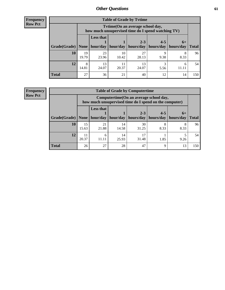**Frequency Row Pct**

| <b>Table of Grade by Tvtime</b> |             |                                                                                         |             |             |           |            |              |  |  |
|---------------------------------|-------------|-----------------------------------------------------------------------------------------|-------------|-------------|-----------|------------|--------------|--|--|
|                                 |             | Tvtime (On an average school day,<br>how much unsupervised time do I spend watching TV) |             |             |           |            |              |  |  |
|                                 |             | <b>Less that</b>                                                                        |             | $2 - 3$     | $4 - 5$   | $6+$       |              |  |  |
| Grade(Grade)   None             |             | hour/day                                                                                | hour/day    | hours/day   | hours/day | hours/day  | <b>Total</b> |  |  |
| 10                              | 19<br>19.79 | 23<br>23.96                                                                             | 10<br>10.42 | 27<br>28.13 | 9.38      | 8<br>8.33  | 96           |  |  |
| 12                              | 8<br>14.81  | 13<br>24.07                                                                             | 11<br>20.37 | 13<br>24.07 | 5.56      | 6<br>11.11 | 54           |  |  |
| <b>Total</b>                    | 27          | 36                                                                                      | 21          | 40          | 12        | 14         | 150          |  |  |

**Frequency Row Pct**

| <b>Table of Grade by Computertime</b> |             |                                                                                                   |                     |                      |                      |                   |              |  |  |  |
|---------------------------------------|-------------|---------------------------------------------------------------------------------------------------|---------------------|----------------------|----------------------|-------------------|--------------|--|--|--|
|                                       |             | Computertime (On an average school day,<br>how much unsupervised time do I spend on the computer) |                     |                      |                      |                   |              |  |  |  |
| Grade(Grade)                          | None        | <b>Less that</b>                                                                                  | hour/day   hour/day | $2 - 3$<br>hours/day | $4 - 5$<br>hours/day | $6+$<br>hours/day | <b>Total</b> |  |  |  |
| 10                                    | 15          | 21                                                                                                | 14                  | 30                   |                      |                   | 96           |  |  |  |
|                                       | 15.63       | 21.88                                                                                             | 14.58               | 31.25                | 8.33                 | 8.33              |              |  |  |  |
| 12                                    | 11<br>20.37 | 17<br>14<br>6<br>31.48<br>11.11<br>25.93<br>1.85<br>9.26                                          |                     |                      |                      |                   |              |  |  |  |
| <b>Total</b>                          | 26          | 27                                                                                                | 28                  | 47                   | 9                    | 13                | 150          |  |  |  |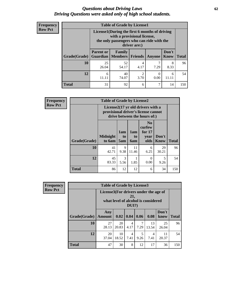#### *Questions about Driving Laws* **62** *Driving Questions were asked only of high school students.*

| <b>Frequency</b> |
|------------------|
| <b>Row Pct</b>   |

| <b>Table of Grade by License1</b> |                                                          |                                                                                                                                           |                |        |               |              |  |  |  |
|-----------------------------------|----------------------------------------------------------|-------------------------------------------------------------------------------------------------------------------------------------------|----------------|--------|---------------|--------------|--|--|--|
|                                   |                                                          | License1(During the first 6 months of driving<br>with a provisional license,<br>the only passengers who can ride with the<br>driver are:) |                |        |               |              |  |  |  |
| Grade(Grade)                      | <b>Parent or</b><br><b>Guardian</b>                      | Family<br>  Members                                                                                                                       | <b>Friends</b> | Anyone | Don't<br>Know | <b>Total</b> |  |  |  |
| 10                                | 25<br>26.04                                              | 52<br>54.17                                                                                                                               | 4<br>4.17      | 7.29   | 8<br>8.33     | 96           |  |  |  |
| 12                                | 40<br>2<br>0<br>6<br>6<br>74.07<br>3.70<br>0.00<br>11.11 |                                                                                                                                           |                |        |               |              |  |  |  |
| <b>Total</b>                      | 31                                                       | 92                                                                                                                                        | 6              | 7      | 14            | 150          |  |  |  |

| <b>Frequency</b> |              | <b>Table of Grade by License2</b> |                  |                  |                                                                                                          |               |              |  |  |  |
|------------------|--------------|-----------------------------------|------------------|------------------|----------------------------------------------------------------------------------------------------------|---------------|--------------|--|--|--|
| <b>Row Pct</b>   |              |                                   |                  |                  | License2(17 yr old drivers with a<br>provisional driver's license cannot<br>drive between the hours of:) |               |              |  |  |  |
|                  | Grade(Grade) | <b>Midnight</b><br>to 6am         | 1am<br>to<br>5am | 1am<br>to<br>6am | N <sub>0</sub><br>curfew<br>for $17$<br>year<br>olds                                                     | Don't<br>Know | <b>Total</b> |  |  |  |
|                  | 10           | 41<br>42.71                       | 9<br>9.38        | 11<br>11.46      | 6<br>6.25                                                                                                | 29<br>30.21   | 96           |  |  |  |
|                  | 12           | 45<br>83.33                       | 3<br>5.56        | 1.85             | $\theta$<br>0.00                                                                                         | 5<br>9.26     | 54           |  |  |  |
|                  | <b>Total</b> | 86                                | 12               | 12               | 6                                                                                                        | 34            | 150          |  |  |  |

| <b>Frequency</b> |              | <b>Table of Grade by License3</b>                                                               |             |                        |           |             |               |              |  |
|------------------|--------------|-------------------------------------------------------------------------------------------------|-------------|------------------------|-----------|-------------|---------------|--------------|--|
| <b>Row Pct</b>   |              | License3(For drivers under the age of<br>21,<br>what level of alcohol is considered<br>$DUI$ ?) |             |                        |           |             |               |              |  |
|                  | Grade(Grade) | Any<br>Amount                                                                                   | 0.02        | 0.04                   | 0.06      | 0.08        | Don't<br>know | <b>Total</b> |  |
|                  | 10           | 27<br>28.13                                                                                     | 20<br>20.83 | $\overline{4}$<br>4.17 | 7<br>7.29 | 13<br>13.54 | 25<br>26.04   | 96           |  |
|                  | 12           | 20<br>37.04                                                                                     | 10<br>18.52 | $\overline{4}$<br>7.41 | 5<br>9.26 | 4<br>7.41   | 11<br>20.37   | 54           |  |
|                  | <b>Total</b> | 47                                                                                              | 30          | 8                      | 12        | 17          | 36            | 150          |  |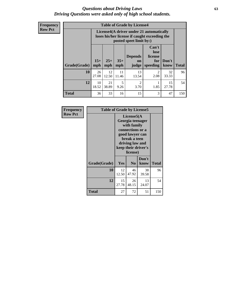#### *Questions about Driving Laws* **63** *Driving Questions were asked only of high school students.*

**Frequency Row Pct**

| <b>Table of Grade by License4</b> |             |                                                                                                                                                                                                                                                                                |             |             |                        |             |     |  |  |  |
|-----------------------------------|-------------|--------------------------------------------------------------------------------------------------------------------------------------------------------------------------------------------------------------------------------------------------------------------------------|-------------|-------------|------------------------|-------------|-----|--|--|--|
|                                   |             | License4(A driver under 21 automatically<br>loses his/her license if caught exceeding the<br>posted speet limit by:)<br>Can't<br>lose<br><b>Depends</b><br>license<br>$15+$<br>$25+$<br>$35+$<br>Don't<br>for<br>on<br><b>Total</b><br>mph<br>mph<br>speeding<br>know<br>judge |             |             |                        |             |     |  |  |  |
| Grade(Grade)                      | mph         |                                                                                                                                                                                                                                                                                |             |             |                        |             |     |  |  |  |
| 10                                | 26<br>27.08 | 12<br>12.50                                                                                                                                                                                                                                                                    | 11<br>11.46 | 13<br>13.54 | $\mathfrak{D}$<br>2.08 | 32<br>33.33 | 96  |  |  |  |
| 12                                | 10<br>18.52 | 21<br>5<br>$\overline{2}$<br>15<br>38.89<br>1.85<br>9.26<br>3.70<br>27.78                                                                                                                                                                                                      |             |             |                        |             |     |  |  |  |
| <b>Total</b>                      | 36          | 33                                                                                                                                                                                                                                                                             | 16          | 15          | 3                      | 47          | 150 |  |  |  |

| Frequency      | <b>Table of Grade by License5</b> |             |                                                                                                                                      |                     |       |
|----------------|-----------------------------------|-------------|--------------------------------------------------------------------------------------------------------------------------------------|---------------------|-------|
| <b>Row Pct</b> |                                   |             | License5(A)<br>Georgia teenager<br>with family<br>connections or a<br>good lawyer can<br>break a teen<br>driving law and<br>license) | keep their driver's |       |
|                | Grade(Grade)                      | Yes         | N <sub>0</sub>                                                                                                                       | Don't<br>know       | Total |
|                | 10                                | 12<br>12.50 | 46<br>47.92                                                                                                                          | 38<br>39.58         | 96    |
|                | 12                                | 15<br>27.78 | 26<br>48.15                                                                                                                          | 13<br>24.07         | 54    |
|                | <b>Total</b>                      | 27          | 72                                                                                                                                   | 51                  | 150   |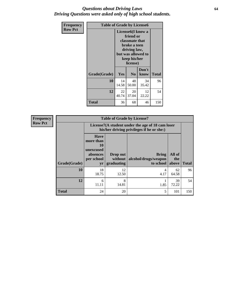#### *Questions about Driving Laws* **64** *Driving Questions were asked only of high school students.*

| <b>Frequency</b> | <b>Table of Grade by License6</b> |                                                                                                                                                 |                |               |              |
|------------------|-----------------------------------|-------------------------------------------------------------------------------------------------------------------------------------------------|----------------|---------------|--------------|
| <b>Row Pct</b>   |                                   | License <sub>6</sub> (I know a<br>friend or<br>classmate that<br>broke a teen<br>driving law,<br>but was allowed to<br>keep his/her<br>license) |                |               |              |
|                  | Grade(Grade)                      | Yes                                                                                                                                             | N <sub>0</sub> | Don't<br>know | <b>Total</b> |
|                  | 10                                | 14<br>14.58                                                                                                                                     | 48<br>50.00    | 34<br>35.42   | 96           |
|                  | 12                                | 22<br>12<br>20<br>40.74<br>37.04<br>22.22                                                                                                       |                |               | 54           |
|                  | Total                             | 36                                                                                                                                              | 68             | 46            | 150          |

| <b>Frequency</b> | <b>Table of Grade by License7</b> |                                                                                               |                                     |                                                   |                        |              |  |
|------------------|-----------------------------------|-----------------------------------------------------------------------------------------------|-------------------------------------|---------------------------------------------------|------------------------|--------------|--|
| <b>Row Pct</b>   |                                   | License7(A student under the age of 18 cam loser<br>his/her driving privileges if he or she:) |                                     |                                                   |                        |              |  |
|                  | Grade(Grade)                      | <b>Have</b><br>more than<br>10<br>unexcused<br>absences<br>per school<br>yr                   | Drop out<br>without  <br>graduating | <b>Bring</b><br>alcohol/drugs/weapon<br>to school | All of<br>the<br>above | <b>Total</b> |  |
|                  | 10                                | 18<br>18.75                                                                                   | 12<br>12.50                         | 4.17                                              | 62<br>64.58            | 96           |  |
|                  | 12                                | 6<br>11.11                                                                                    | 8<br>14.81                          | 1.85                                              | 39<br>72.22            | 54           |  |
|                  | <b>Total</b>                      | 24                                                                                            | 20                                  | 5                                                 | 101                    | 150          |  |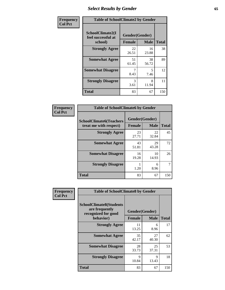# *Select Results by Gender* **65**

| Frequency      | <b>Table of SchoolClimate2 by Gender</b>          |                                 |             |              |
|----------------|---------------------------------------------------|---------------------------------|-------------|--------------|
| <b>Col Pct</b> | SchoolClimate2(I<br>feel successful at<br>school) | Gender(Gender)<br><b>Female</b> | <b>Male</b> | <b>Total</b> |
|                | <b>Strongly Agree</b>                             | 22<br>26.51                     | 16<br>23.88 | 38           |
|                | <b>Somewhat Agree</b>                             | 51<br>61.45                     | 38<br>56.72 | 89           |
|                | <b>Somewhat Disagree</b>                          | 8.43                            | 5<br>7.46   | 12           |
|                | <b>Strongly Disagree</b>                          | $\mathcal{R}$<br>3.61           | 8<br>11.94  | 11           |
|                | <b>Total</b>                                      | 83                              | 67          | 150          |

| <b>Frequency</b> | <b>Table of SchoolClimate6 by Gender</b>                 |                          |                            |     |  |
|------------------|----------------------------------------------------------|--------------------------|----------------------------|-----|--|
| <b>Col Pct</b>   | <b>SchoolClimate6(Teachers</b><br>treat me with respect) | Gender(Gender)<br>Female | <b>Total</b>               |     |  |
|                  | <b>Strongly Agree</b>                                    | 23<br>27.71              | <b>Male</b><br>22<br>32.84 | 45  |  |
|                  | <b>Somewhat Agree</b>                                    | 43<br>51.81              | 29<br>43.28                | 72  |  |
|                  | <b>Somewhat Disagree</b>                                 | 16<br>19.28              | 10<br>14.93                | 26  |  |
|                  | <b>Strongly Disagree</b>                                 | 1.20                     | 6<br>8.96                  |     |  |
|                  | <b>Total</b>                                             | 83                       | 67                         | 150 |  |

| <b>Frequency</b> | <b>Table of SchoolClimate8 by Gender</b>                                             |               |                               |              |
|------------------|--------------------------------------------------------------------------------------|---------------|-------------------------------|--------------|
| <b>Col Pct</b>   | <b>SchoolClimate8(Students</b><br>are frequently<br>recognized for good<br>behavior) | <b>Female</b> | Gender(Gender)<br><b>Male</b> | <b>Total</b> |
|                  | <b>Strongly Agree</b>                                                                | 11<br>13.25   | 6<br>8.96                     | 17           |
|                  | <b>Somewhat Agree</b>                                                                | 35<br>42.17   | 27<br>40.30                   | 62           |
|                  | <b>Somewhat Disagree</b>                                                             | 28<br>33.73   | 25<br>37.31                   | 53           |
|                  | <b>Strongly Disagree</b>                                                             | 9<br>10.84    | 9<br>13.43                    | 18           |
|                  | Total                                                                                | 83            | 67                            | 150          |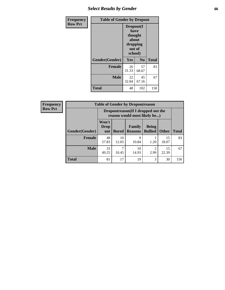## *Select Results by Gender* **66**

| <b>Frequency</b> | <b>Table of Gender by Dropout</b> |                                                                        |                |              |
|------------------|-----------------------------------|------------------------------------------------------------------------|----------------|--------------|
| <b>Row Pct</b>   |                                   | Dropout(I<br>have<br>thought<br>about<br>dropping<br>out of<br>school) |                |              |
|                  | Gender(Gender)                    | Yes                                                                    | N <sub>0</sub> | <b>Total</b> |
|                  | <b>Female</b>                     | 26<br>31.33                                                            | 57<br>68.67    | 83           |
|                  | <b>Male</b>                       | 22<br>32.84                                                            | 45<br>67.16    | 67           |
|                  | <b>Total</b>                      | 48                                                                     | 102            | 150          |

| <b>Frequency</b> | <b>Table of Gender by Dropoutreason</b> |                                                                     |              |                                 |                                |              |              |
|------------------|-----------------------------------------|---------------------------------------------------------------------|--------------|---------------------------------|--------------------------------|--------------|--------------|
| <b>Row Pct</b>   |                                         | Dropoutreason (If I dropped out the<br>reason would most likely be) |              |                                 |                                |              |              |
|                  | <b>Gender</b> (Gender)                  | Won't<br><b>Drop</b><br>out                                         | <b>Bored</b> | <b>Family</b><br><b>Reasons</b> | <b>Being</b><br><b>Bullied</b> | <b>Other</b> | <b>Total</b> |
|                  | <b>Female</b>                           | 48<br>57.83                                                         | 10<br>12.05  | 9<br>10.84                      | 1.20                           | 15<br>18.07  | 83           |
|                  | <b>Male</b>                             | 33<br>49.25                                                         | ┑<br>10.45   | 10<br>14.93                     | 2.99                           | 15<br>22.39  | 67           |
|                  | <b>Total</b>                            | 81                                                                  | 17           | 19                              | 3                              | 30           | 150          |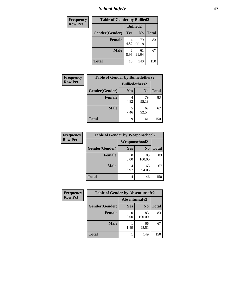*School Safety* **67**

| Frequency      |                | <b>Table of Gender by Bullied2</b> |                |              |  |
|----------------|----------------|------------------------------------|----------------|--------------|--|
| <b>Row Pct</b> |                | <b>Bullied2</b>                    |                |              |  |
|                | Gender(Gender) | Yes                                | N <sub>0</sub> | <b>Total</b> |  |
|                | <b>Female</b>  | 4.82                               | 79<br>95.18    | 83           |  |
|                | <b>Male</b>    | 6<br>8.96                          | 61<br>91.04    | 67           |  |
|                | <b>Total</b>   | 10                                 | 140            | 150          |  |

| <b>Frequency</b> | <b>Table of Gender by Bulliedothers2</b> |                       |                |              |
|------------------|------------------------------------------|-----------------------|----------------|--------------|
| <b>Row Pct</b>   |                                          | <b>Bulliedothers2</b> |                |              |
|                  | Gender(Gender)                           | Yes                   | N <sub>0</sub> | <b>Total</b> |
|                  | <b>Female</b>                            | 4.82                  | 79<br>95.18    | 83           |
|                  | <b>Male</b>                              | 5<br>7.46             | 62<br>92.54    | 67           |
|                  | Total                                    | 9                     | 141            | 150          |

| Frequency      | <b>Table of Gender by Weaponschool2</b> |                      |                |              |
|----------------|-----------------------------------------|----------------------|----------------|--------------|
| <b>Row Pct</b> |                                         | <b>Weaponschool2</b> |                |              |
|                | Gender(Gender)                          | Yes                  | N <sub>0</sub> | <b>Total</b> |
|                | <b>Female</b>                           | 0.00                 | 83<br>100.00   | 83           |
|                | <b>Male</b>                             | 5.97                 | 63<br>94.03    | 67           |
|                | <b>Total</b>                            | 4                    | 146            | 150          |

| Frequency      | <b>Table of Gender by Absentunsafe2</b> |               |                |              |
|----------------|-----------------------------------------|---------------|----------------|--------------|
| <b>Row Pct</b> |                                         | Absentunsafe2 |                |              |
|                | Gender(Gender)                          | Yes           | N <sub>0</sub> | <b>Total</b> |
|                | <b>Female</b>                           | 0.00          | 83<br>100.00   | 83           |
|                | <b>Male</b>                             | 1.49          | 66<br>98.51    | 67           |
|                | <b>Total</b>                            |               | 149            | 150          |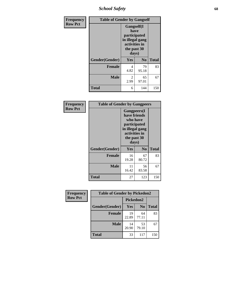*School Safety* **68**

| Frequency      | <b>Table of Gender by Gangself</b> |                                                                                                |                |              |
|----------------|------------------------------------|------------------------------------------------------------------------------------------------|----------------|--------------|
| <b>Row Pct</b> |                                    | Gangself(I<br>have<br>participated<br>in illegal gang<br>activities in<br>the past 30<br>days) |                |              |
|                | Gender(Gender)                     | Yes                                                                                            | N <sub>0</sub> | <b>Total</b> |
|                | <b>Female</b>                      | 4<br>4.82                                                                                      | 79<br>95.18    | 83           |
|                | <b>Male</b>                        | 2<br>2.99                                                                                      | 65<br>97.01    | 67           |
|                | <b>Total</b>                       | 6                                                                                              | 144            | 150          |

| Frequency      | <b>Table of Gender by Gangpeers</b> |                                                                                                                             |                |              |
|----------------|-------------------------------------|-----------------------------------------------------------------------------------------------------------------------------|----------------|--------------|
| <b>Row Pct</b> |                                     | <b>Gangpeers</b> (I<br>have friends<br>who have<br>participated<br>in illegal gang<br>activities in<br>the past 30<br>days) |                |              |
|                | Gender(Gender)                      | <b>Yes</b>                                                                                                                  | N <sub>0</sub> | <b>Total</b> |
|                | <b>Female</b>                       | 16<br>19.28                                                                                                                 | 67<br>80.72    | 83           |
|                | <b>Male</b>                         | 11<br>16.42                                                                                                                 | 56<br>83.58    | 67           |
|                | <b>Total</b>                        | 27                                                                                                                          | 123            | 150          |

| Frequency      | <b>Table of Gender by Pickedon2</b> |             |                |              |  |
|----------------|-------------------------------------|-------------|----------------|--------------|--|
| <b>Row Pct</b> |                                     | Pickedon2   |                |              |  |
|                | Gender(Gender)                      | <b>Yes</b>  | N <sub>0</sub> | <b>Total</b> |  |
|                | <b>Female</b>                       | 19<br>22.89 | 64<br>77.11    | 83           |  |
|                | <b>Male</b>                         | 14<br>20.90 | 53<br>79.10    | 67           |  |
|                | <b>Total</b>                        | 33          | 117            | 150          |  |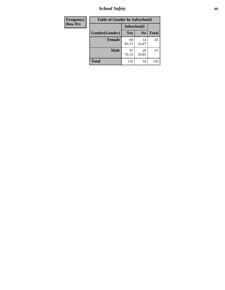*School Safety* **69**

| Frequency      | <b>Table of Gender by Safeschool2</b> |             |                |              |
|----------------|---------------------------------------|-------------|----------------|--------------|
| <b>Row Pct</b> |                                       | Safeschool2 |                |              |
|                | Gender(Gender)                        | Yes         | N <sub>0</sub> | <b>Total</b> |
|                | <b>Female</b>                         | 69<br>83.13 | 14<br>16.87    | 83           |
|                | <b>Male</b>                           | 47<br>70.15 | 20<br>29.85    | 67           |
|                | <b>Total</b>                          | 116         | 34             | 150          |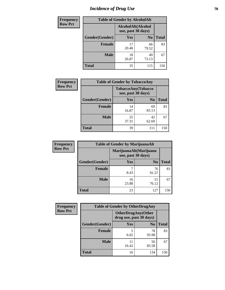# *Incidence of Drug Use* **70**

| <b>Frequency</b> | <b>Table of Gender by AlcoholAlt</b> |                    |                    |              |  |
|------------------|--------------------------------------|--------------------|--------------------|--------------|--|
| <b>Row Pct</b>   |                                      | use, past 30 days) | AlcoholAlt(Alcohol |              |  |
|                  | Gender(Gender)                       | <b>Yes</b>         | N <sub>0</sub>     | <b>Total</b> |  |
|                  | <b>Female</b>                        | 17<br>20.48        | 66<br>79.52        | 83           |  |
|                  | <b>Male</b>                          | 18<br>26.87        | 49<br>73.13        | 67           |  |
|                  | <b>Total</b>                         | 35                 | 115                | 150          |  |

| Frequency      | <b>Table of Gender by TobaccoAny</b> |                                          |                |              |  |
|----------------|--------------------------------------|------------------------------------------|----------------|--------------|--|
| <b>Row Pct</b> |                                      | TobaccoAny(Tobacco<br>use, past 30 days) |                |              |  |
|                | Gender(Gender)                       | Yes                                      | N <sub>0</sub> | <b>Total</b> |  |
|                | <b>Female</b>                        | 14<br>16.87                              | 69<br>83.13    | 83           |  |
|                | <b>Male</b>                          | 25<br>37.31                              | 42<br>62.69    | 67           |  |
|                | <b>Total</b>                         | 39                                       | 111            | 150          |  |

| <b>Frequency</b> | <b>Table of Gender by MarijuanaAlt</b> |                    |                        |              |
|------------------|----------------------------------------|--------------------|------------------------|--------------|
| <b>Row Pct</b>   |                                        | use, past 30 days) | MarijuanaAlt(Marijuana |              |
|                  | Gender(Gender)                         | <b>Yes</b>         | N <sub>0</sub>         | <b>Total</b> |
|                  | <b>Female</b>                          | 7<br>8.43          | 76<br>91.57            | 83           |
|                  | <b>Male</b>                            | 16<br>23.88        | 51<br>76.12            | 67           |
|                  | <b>Total</b>                           | 23                 | 127                    | 150          |

| <b>Frequency</b> | <b>Table of Gender by OtherDrugAny</b> |                                                      |                |              |
|------------------|----------------------------------------|------------------------------------------------------|----------------|--------------|
| <b>Row Pct</b>   |                                        | <b>OtherDrugAny(Other</b><br>drug use, past 30 days) |                |              |
|                  | Gender(Gender)                         | <b>Yes</b>                                           | N <sub>0</sub> | <b>Total</b> |
|                  | <b>Female</b>                          | 5<br>6.02                                            | 78<br>93.98    | 83           |
|                  | <b>Male</b>                            | 16.42                                                | 56<br>83.58    | 67           |
|                  | <b>Total</b>                           | 16                                                   | 134            | 150          |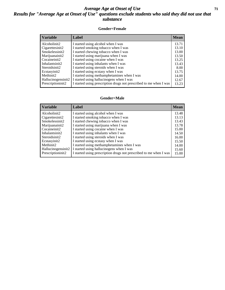#### *Average Age at Onset of Use* **71** *Results for "Average Age at Onset of Use" questions exclude students who said they did not use that substance*

#### **Gender=Female**

| <b>Variable</b>    | Label                                                              | <b>Mean</b> |
|--------------------|--------------------------------------------------------------------|-------------|
| Alcoholinit2       | I started using alcohol when I was                                 | 13.71       |
| Cigarettesinit2    | I started smoking tobacco when I was                               | 13.10       |
| Smokelessinit2     | I started chewing tobacco when I was                               | 13.00       |
| Marijuanainit2     | I started using marijuana when I was                               | 13.50       |
| Cocaineinit2       | I started using cocaine when I was                                 | 13.25       |
| Inhalantsinit2     | I started using inhalants when I was                               | 13.43       |
| Steroidsinit2      | I started using steroids when I was                                | 8.00        |
| Ecstasyinit2       | I started using ecstasy when I was                                 | 13.75       |
| Methinit2          | I started using methamphetamines when I was                        | 14.00       |
| Hallucinogensinit2 | I started using hallucinogens when I was                           | 12.67       |
| Prescriptioninit2  | I started using prescription drugs not prescribed to me when I was | 13.23       |

#### **Gender=Male**

| <b>Variable</b>    | Label                                                              | <b>Mean</b> |
|--------------------|--------------------------------------------------------------------|-------------|
| Alcoholinit2       | I started using alcohol when I was                                 | 13.48       |
| Cigarettesinit2    | I started smoking tobacco when I was                               | 13.13       |
| Smokelessinit2     | I started chewing tobacco when I was                               | 13.43       |
| Marijuanainit2     | I started using marijuana when I was                               | 13.78       |
| Cocaineinit2       | I started using cocaine when I was                                 | 15.00       |
| Inhalantsinit2     | I started using inhalants when I was                               | 14.50       |
| Steroidsinit2      | I started using steroids when I was                                | 16.00       |
| Ecstasyinit2       | I started using ecstasy when I was                                 | 15.50       |
| Methinit2          | I started using methamphetamines when I was                        | 14.00       |
| Hallucinogensinit2 | I started using hallucinogens when I was                           | 15.60       |
| Prescriptioninit2  | I started using prescription drugs not prescribed to me when I was | 15.00       |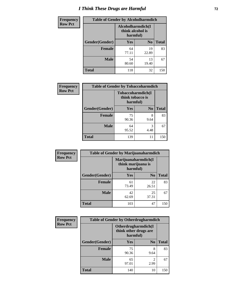# *I Think These Drugs are Harmful* **72**

| <b>Frequency</b> | <b>Table of Gender by Alcoholharmdich</b> |                                                   |                |              |
|------------------|-------------------------------------------|---------------------------------------------------|----------------|--------------|
| <b>Row Pct</b>   |                                           | Alcoholharmdich(I<br>think alcohol is<br>harmful) |                |              |
|                  | Gender(Gender)                            | Yes                                               | N <sub>0</sub> | <b>Total</b> |
|                  | <b>Female</b>                             | 64<br>77.11                                       | 19<br>22.89    | 83           |
|                  | <b>Male</b>                               | 54<br>80.60                                       | 13<br>19.40    | 67           |
|                  | <b>Total</b>                              | 118                                               | 32             | 150          |

| Frequency      | <b>Table of Gender by Tobaccoharmdich</b> |                                                   |                |              |
|----------------|-------------------------------------------|---------------------------------------------------|----------------|--------------|
| <b>Row Pct</b> |                                           | Tobaccoharmdich(I<br>think tobacco is<br>harmful) |                |              |
|                | Gender(Gender)                            | Yes                                               | N <sub>0</sub> | <b>Total</b> |
|                | <b>Female</b>                             | 75<br>90.36                                       | 8<br>9.64      | 83           |
|                | <b>Male</b>                               | 64<br>95.52                                       | 3<br>4.48      | 67           |
|                | <b>Total</b>                              | 139                                               | 11             | 150          |

| Frequency      | <b>Table of Gender by Marijuanaharmdich</b> |                                                       |                |              |  |
|----------------|---------------------------------------------|-------------------------------------------------------|----------------|--------------|--|
| <b>Row Pct</b> |                                             | Marijuanaharmdich(I<br>think marijuana is<br>harmful) |                |              |  |
|                | Gender(Gender)                              | <b>Yes</b>                                            | N <sub>0</sub> | <b>Total</b> |  |
|                | <b>Female</b>                               | 61<br>73.49                                           | 22<br>26.51    | 83           |  |
|                | <b>Male</b>                                 | 42<br>62.69                                           | 25<br>37.31    | 67           |  |
|                | <b>Total</b>                                | 103                                                   | 47             | 150          |  |

| Frequency      | <b>Table of Gender by Otherdrugharmdich</b> |                                                          |                        |              |
|----------------|---------------------------------------------|----------------------------------------------------------|------------------------|--------------|
| <b>Row Pct</b> |                                             | Otherdrugharmdich(I<br>think other drugs are<br>harmful) |                        |              |
|                | Gender(Gender)                              | <b>Yes</b>                                               | N <sub>0</sub>         | <b>Total</b> |
|                | <b>Female</b>                               | 75<br>90.36                                              | 8<br>9.64              | 83           |
|                | <b>Male</b>                                 | 65<br>97.01                                              | $\overline{c}$<br>2.99 | 67           |
|                | <b>Total</b>                                | 140                                                      | 10                     | 150          |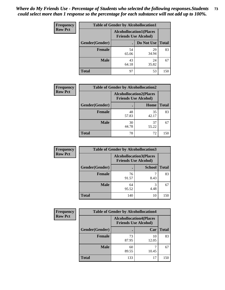| <b>Frequency</b> | <b>Table of Gender by Alcohollocation1</b> |                                                               |             |              |
|------------------|--------------------------------------------|---------------------------------------------------------------|-------------|--------------|
| <b>Row Pct</b>   |                                            | <b>Alcohollocation1(Places</b><br><b>Friends Use Alcohol)</b> |             |              |
|                  | Gender(Gender)                             |                                                               | Do Not Use  | <b>Total</b> |
|                  | <b>Female</b>                              | 54<br>65.06                                                   | 29<br>34.94 | 83           |
|                  | <b>Male</b>                                | 43<br>64.18                                                   | 24<br>35.82 | 67           |
|                  | Total                                      | 97                                                            | 53          | 150          |

| <b>Frequency</b> | <b>Table of Gender by Alcohollocation2</b> |             |                                                               |              |
|------------------|--------------------------------------------|-------------|---------------------------------------------------------------|--------------|
| <b>Row Pct</b>   |                                            |             | <b>Alcohollocation2(Places</b><br><b>Friends Use Alcohol)</b> |              |
|                  | Gender(Gender)                             |             | Home                                                          | <b>Total</b> |
|                  | <b>Female</b>                              | 48<br>57.83 | 35<br>42.17                                                   | 83           |
|                  | <b>Male</b>                                | 30<br>44.78 | 37<br>55.22                                                   | 67           |
|                  | <b>Total</b>                               | 78          | 72                                                            | 150          |

| Frequency      | <b>Table of Gender by Alcohollocation3</b> |             |                                                               |              |
|----------------|--------------------------------------------|-------------|---------------------------------------------------------------|--------------|
| <b>Row Pct</b> |                                            |             | <b>Alcohollocation3(Places</b><br><b>Friends Use Alcohol)</b> |              |
|                | Gender(Gender)                             |             | <b>School</b>                                                 | <b>Total</b> |
|                | <b>Female</b>                              | 76<br>91.57 | 8.43                                                          | 83           |
|                | <b>Male</b>                                | 64<br>95.52 | 4.48                                                          | 67           |
|                | <b>Total</b>                               | 140         | 10                                                            | 150          |

| Frequency      | <b>Table of Gender by Alcohollocation4</b> |                                                               |             |              |
|----------------|--------------------------------------------|---------------------------------------------------------------|-------------|--------------|
| <b>Row Pct</b> |                                            | <b>Alcohollocation4(Places</b><br><b>Friends Use Alcohol)</b> |             |              |
|                | Gender(Gender)                             |                                                               | Car         | <b>Total</b> |
|                | <b>Female</b>                              | 73<br>87.95                                                   | 10<br>12.05 | 83           |
|                | <b>Male</b>                                | 60<br>89.55                                                   | 10.45       | 67           |
|                | <b>Total</b>                               | 133                                                           | 17          | 150          |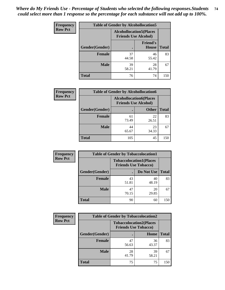| <b>Frequency</b> | <b>Table of Gender by Alcohollocation5</b> |                                                                |                                 |              |
|------------------|--------------------------------------------|----------------------------------------------------------------|---------------------------------|--------------|
| <b>Row Pct</b>   |                                            | <b>Alcohollocation5</b> (Places<br><b>Friends Use Alcohol)</b> |                                 |              |
|                  | Gender(Gender)                             |                                                                | <b>Friend's</b><br><b>House</b> | <b>Total</b> |
|                  | <b>Female</b>                              | 37<br>44.58                                                    | 46<br>55.42                     | 83           |
|                  | <b>Male</b>                                | 39<br>58.21                                                    | 28<br>41.79                     | 67           |
|                  | <b>Total</b>                               | 76                                                             | 74                              | 150          |

| <b>Frequency</b> | <b>Table of Gender by Alcohollocation6</b> |                                                               |              |              |
|------------------|--------------------------------------------|---------------------------------------------------------------|--------------|--------------|
| <b>Row Pct</b>   |                                            | <b>Alcohollocation6(Places</b><br><b>Friends Use Alcohol)</b> |              |              |
|                  | Gender(Gender)                             |                                                               | <b>Other</b> | <b>Total</b> |
|                  | <b>Female</b>                              | 61<br>73.49                                                   | 22<br>26.51  | 83           |
|                  | <b>Male</b>                                | 44<br>65.67                                                   | 23<br>34.33  | 67           |
|                  | <b>Total</b>                               | 105                                                           | 45           | 150          |

| Frequency      | <b>Table of Gender by Tobaccolocation1</b> |                                                               |             |              |  |
|----------------|--------------------------------------------|---------------------------------------------------------------|-------------|--------------|--|
| <b>Row Pct</b> |                                            | <b>Tobaccolocation1(Places</b><br><b>Friends Use Tobacco)</b> |             |              |  |
|                | Gender(Gender)                             |                                                               | Do Not Use  | <b>Total</b> |  |
|                | Female                                     | 43<br>51.81                                                   | 40<br>48.19 | 83           |  |
|                | <b>Male</b>                                | 47<br>70.15                                                   | 20<br>29.85 | 67           |  |
|                | <b>Total</b>                               | 90                                                            | 60          | 150          |  |

| <b>Frequency</b> | <b>Table of Gender by Tobaccolocation2</b> |                                                               |             |              |  |
|------------------|--------------------------------------------|---------------------------------------------------------------|-------------|--------------|--|
| <b>Row Pct</b>   |                                            | <b>Tobaccolocation2(Places</b><br><b>Friends Use Tobacco)</b> |             |              |  |
|                  | Gender(Gender)                             |                                                               | Home        | <b>Total</b> |  |
|                  | Female                                     | 47<br>56.63                                                   | 36<br>43.37 | 83           |  |
|                  | <b>Male</b>                                | 28<br>41.79                                                   | 39<br>58.21 | 67           |  |
|                  | <b>Total</b>                               | 75                                                            | 75          | 150          |  |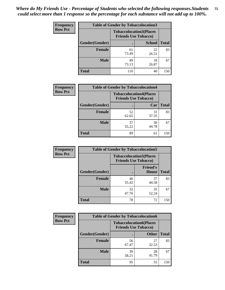| <b>Frequency</b> | <b>Table of Gender by Tobaccolocation3</b> |             |                                                               |              |
|------------------|--------------------------------------------|-------------|---------------------------------------------------------------|--------------|
| <b>Row Pct</b>   |                                            |             | <b>Tobaccolocation3(Places</b><br><b>Friends Use Tobacco)</b> |              |
|                  | Gender(Gender)                             |             | <b>School</b>                                                 | <b>Total</b> |
|                  | Female                                     | 61<br>73.49 | 22<br>26.51                                                   | 83           |
|                  | <b>Male</b>                                | 49<br>73.13 | 18<br>26.87                                                   | 67           |
|                  | <b>Total</b>                               | 110         | 40                                                            | 150          |

| <b>Frequency</b> | <b>Table of Gender by Tobaccolocation4</b> |                             |                                |              |
|------------------|--------------------------------------------|-----------------------------|--------------------------------|--------------|
| <b>Row Pct</b>   |                                            | <b>Friends Use Tobacco)</b> | <b>Tobaccolocation4(Places</b> |              |
|                  | Gender(Gender)                             |                             | Car                            | <b>Total</b> |
|                  | <b>Female</b>                              | 52<br>62.65                 | 31<br>37.35                    | 83           |
|                  | <b>Male</b>                                | 37<br>55.22                 | 30<br>44.78                    | 67           |
|                  | <b>Total</b>                               | 89                          | 61                             | 150          |

| <b>Frequency</b> | <b>Table of Gender by Tobaccolocation5</b> |                                                               |                          |              |
|------------------|--------------------------------------------|---------------------------------------------------------------|--------------------------|--------------|
| <b>Row Pct</b>   |                                            | <b>Tobaccolocation5(Places</b><br><b>Friends Use Tobacco)</b> |                          |              |
|                  | Gender(Gender)                             |                                                               | <b>Friend's</b><br>House | <b>Total</b> |
|                  | <b>Female</b>                              | 46<br>55.42                                                   | 37<br>44.58              | 83           |
|                  | <b>Male</b>                                | 32<br>47.76                                                   | 35<br>52.24              | 67           |
|                  | <b>Total</b>                               | 78                                                            | 72                       | 150          |

| <b>Frequency</b> | <b>Table of Gender by Tobaccolocation6</b> |                                                               |              |              |  |
|------------------|--------------------------------------------|---------------------------------------------------------------|--------------|--------------|--|
| <b>Row Pct</b>   |                                            | <b>Tobaccolocation6(Places</b><br><b>Friends Use Tobacco)</b> |              |              |  |
|                  | Gender(Gender)                             |                                                               | <b>Other</b> | <b>Total</b> |  |
|                  | Female                                     | 56<br>67.47                                                   | 27<br>32.53  | 83           |  |
|                  | <b>Male</b>                                | 39<br>58.21                                                   | 28<br>41.79  | 67           |  |
|                  | <b>Total</b>                               | 95                                                            | 55           | 150          |  |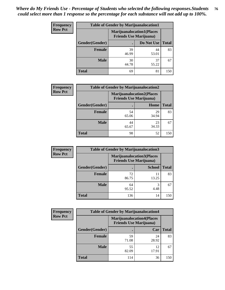| <b>Frequency</b> | <b>Table of Gender by Marijuanalocation1</b> |                                |                                  |              |
|------------------|----------------------------------------------|--------------------------------|----------------------------------|--------------|
| <b>Row Pct</b>   |                                              | <b>Friends Use Marijuana</b> ) | <b>Marijuanalocation1(Places</b> |              |
|                  | Gender(Gender)                               |                                | Do Not Use                       | <b>Total</b> |
|                  | <b>Female</b>                                | 39<br>46.99                    | 44<br>53.01                      | 83           |
|                  | <b>Male</b>                                  | 30<br>44.78                    | 37<br>55.22                      | 67           |
|                  | <b>Total</b>                                 | 69                             | 81                               | 150          |

| <b>Frequency</b> |                | <b>Table of Gender by Marijuanalocation2</b>                       |             |              |
|------------------|----------------|--------------------------------------------------------------------|-------------|--------------|
| <b>Row Pct</b>   |                | <b>Marijuanalocation2(Places</b><br><b>Friends Use Marijuana</b> ) |             |              |
|                  | Gender(Gender) |                                                                    | Home        | <b>Total</b> |
|                  | Female         | 54<br>65.06                                                        | 29<br>34.94 | 83           |
|                  | <b>Male</b>    | 44<br>65.67                                                        | 23<br>34.33 | 67           |
|                  | <b>Total</b>   | 98                                                                 | 52          | 150          |

| Frequency      | <b>Table of Gender by Marijuanalocation3</b> |                                                                    |               |              |
|----------------|----------------------------------------------|--------------------------------------------------------------------|---------------|--------------|
| <b>Row Pct</b> |                                              | <b>Marijuanalocation3(Places</b><br><b>Friends Use Marijuana</b> ) |               |              |
|                | Gender(Gender)                               |                                                                    | <b>School</b> | <b>Total</b> |
|                | Female                                       | 72<br>86.75                                                        | 11<br>13.25   | 83           |
|                | <b>Male</b>                                  | 64<br>95.52                                                        | 3<br>4.48     | 67           |
|                | <b>Total</b>                                 | 136                                                                | 14            | 150          |

| <b>Frequency</b> |                | <b>Table of Gender by Marijuanalocation4</b> |                                  |              |
|------------------|----------------|----------------------------------------------|----------------------------------|--------------|
| <b>Row Pct</b>   |                | <b>Friends Use Marijuana</b> )               | <b>Marijuanalocation4(Places</b> |              |
|                  | Gender(Gender) |                                              | Car                              | <b>Total</b> |
|                  | <b>Female</b>  | 59<br>71.08                                  | 24<br>28.92                      | 83           |
|                  | <b>Male</b>    | 55<br>82.09                                  | 12<br>17.91                      | 67           |
|                  | <b>Total</b>   | 114                                          | 36                               | 150          |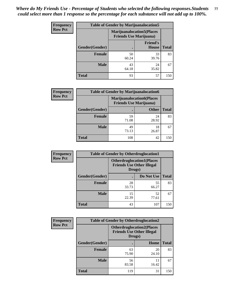| <b>Frequency</b> | <b>Table of Gender by Marijuanalocation5</b> |                                                                     |                          |              |
|------------------|----------------------------------------------|---------------------------------------------------------------------|--------------------------|--------------|
| <b>Row Pct</b>   |                                              | <b>Marijuanalocation5</b> (Places<br><b>Friends Use Marijuana</b> ) |                          |              |
|                  | Gender(Gender)                               |                                                                     | <b>Friend's</b><br>House | <b>Total</b> |
|                  | <b>Female</b>                                | 50<br>60.24                                                         | 33<br>39.76              | 83           |
|                  | <b>Male</b>                                  | 43<br>64.18                                                         | 24<br>35.82              | 67           |
|                  | <b>Total</b>                                 | 93                                                                  | 57                       | 150          |

| <b>Frequency</b> | <b>Table of Gender by Marijuanalocation6</b> |                                |                                  |              |
|------------------|----------------------------------------------|--------------------------------|----------------------------------|--------------|
| <b>Row Pct</b>   |                                              | <b>Friends Use Marijuana</b> ) | <b>Marijuanalocation6(Places</b> |              |
|                  | Gender(Gender)                               |                                | <b>Other</b>                     | <b>Total</b> |
|                  | <b>Female</b>                                | 59<br>71.08                    | 24<br>28.92                      | 83           |
|                  | <b>Male</b>                                  | 49<br>73.13                    | 18<br>26.87                      | 67           |
|                  | <b>Total</b>                                 | 108                            | 42                               | 150          |

| Frequency      | <b>Table of Gender by Otherdruglocation1</b> |                                                                                |             |              |
|----------------|----------------------------------------------|--------------------------------------------------------------------------------|-------------|--------------|
| <b>Row Pct</b> |                                              | <b>Otherdruglocation1(Places</b><br><b>Friends Use Other Illegal</b><br>Drugs) |             |              |
|                | Gender(Gender)                               |                                                                                | Do Not Use  | <b>Total</b> |
|                | <b>Female</b>                                | 28<br>33.73                                                                    | 55<br>66.27 | 83           |
|                | <b>Male</b>                                  | 15<br>22.39                                                                    | 52<br>77.61 | 67           |
|                | <b>Total</b>                                 | 43                                                                             | 107         | 150          |

| Frequency      | <b>Table of Gender by Otherdruglocation2</b> |                                                                                |             |              |
|----------------|----------------------------------------------|--------------------------------------------------------------------------------|-------------|--------------|
| <b>Row Pct</b> |                                              | <b>Otherdruglocation2(Places</b><br><b>Friends Use Other Illegal</b><br>Drugs) |             |              |
|                | Gender(Gender)                               |                                                                                | Home        | <b>Total</b> |
|                | <b>Female</b>                                | 63<br>75.90                                                                    | 20<br>24.10 | 83           |
|                | <b>Male</b>                                  | 56<br>83.58                                                                    | 11<br>16.42 | 67           |
|                | <b>Total</b>                                 | 119                                                                            | 31          | 150          |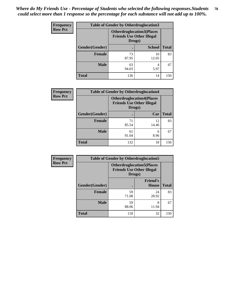| <b>Frequency</b> | <b>Table of Gender by Otherdruglocation3</b> |                                                                                |               |              |
|------------------|----------------------------------------------|--------------------------------------------------------------------------------|---------------|--------------|
| <b>Row Pct</b>   |                                              | <b>Otherdruglocation3(Places</b><br><b>Friends Use Other Illegal</b><br>Drugs) |               |              |
|                  | Gender(Gender)                               |                                                                                | <b>School</b> | <b>Total</b> |
|                  | Female                                       | 73<br>87.95                                                                    | 10<br>12.05   | 83           |
|                  | <b>Male</b>                                  | 63<br>94.03                                                                    | 4<br>5.97     | 67           |
|                  | <b>Total</b>                                 | 136                                                                            | 14            | 150          |

| Frequency      | <b>Table of Gender by Otherdruglocation4</b> |                                                                                |             |              |
|----------------|----------------------------------------------|--------------------------------------------------------------------------------|-------------|--------------|
| <b>Row Pct</b> |                                              | <b>Otherdruglocation4(Places</b><br><b>Friends Use Other Illegal</b><br>Drugs) |             |              |
|                | Gender(Gender)                               |                                                                                | Car         | <b>Total</b> |
|                | Female                                       | 71<br>85.54                                                                    | 12<br>14.46 | 83           |
|                | <b>Male</b>                                  | 61<br>91.04                                                                    | 6<br>8.96   | 67           |
|                | <b>Total</b>                                 | 132                                                                            | 18          | 150          |

| Frequency      | <b>Table of Gender by Otherdruglocation5</b> |                                                                                |                                 |              |
|----------------|----------------------------------------------|--------------------------------------------------------------------------------|---------------------------------|--------------|
| <b>Row Pct</b> |                                              | <b>Otherdruglocation5(Places</b><br><b>Friends Use Other Illegal</b><br>Drugs) |                                 |              |
|                | Gender(Gender)                               |                                                                                | <b>Friend's</b><br><b>House</b> | <b>Total</b> |
|                | <b>Female</b>                                | 59<br>71.08                                                                    | 24<br>28.92                     | 83           |
|                | <b>Male</b>                                  | 59<br>88.06                                                                    | 8<br>11.94                      | 67           |
|                | <b>Total</b>                                 | 118                                                                            | 32                              | 150          |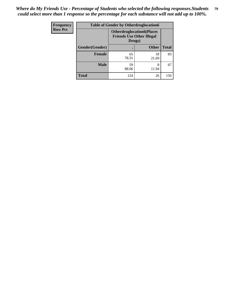| <b>Frequency</b> | <b>Table of Gender by Otherdruglocation6</b> |                                            |                                  |              |
|------------------|----------------------------------------------|--------------------------------------------|----------------------------------|--------------|
| <b>Row Pct</b>   |                                              | <b>Friends Use Other Illegal</b><br>Drugs) | <b>Otherdruglocation6(Places</b> |              |
|                  | Gender(Gender)                               |                                            | <b>Other</b>                     | <b>Total</b> |
|                  | Female                                       | 65<br>78.31                                | 18<br>21.69                      | 83           |
|                  | <b>Male</b>                                  | 59<br>88.06                                | 8<br>11.94                       | 67           |
|                  | <b>Total</b>                                 | 124                                        | 26                               | 150          |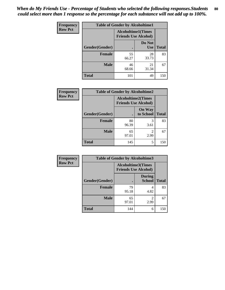| <b>Frequency</b> | <b>Table of Gender by Alcoholtime1</b> |                                                          |                      |              |
|------------------|----------------------------------------|----------------------------------------------------------|----------------------|--------------|
| <b>Row Pct</b>   |                                        | <b>Alcoholtime1(Times</b><br><b>Friends Use Alcohol)</b> |                      |              |
|                  | Gender(Gender)                         | $\bullet$                                                | Do Not<br><b>Use</b> | <b>Total</b> |
|                  | <b>Female</b>                          | 55<br>66.27                                              | 28<br>33.73          | 83           |
|                  | <b>Male</b>                            | 46<br>68.66                                              | 21<br>31.34          | 67           |
|                  | <b>Total</b>                           | 101                                                      | 49                   | 150          |

| Frequency      | <b>Table of Gender by Alcoholtime2</b> |                                                          |                            |              |
|----------------|----------------------------------------|----------------------------------------------------------|----------------------------|--------------|
| <b>Row Pct</b> |                                        | <b>Alcoholtime2(Times</b><br><b>Friends Use Alcohol)</b> |                            |              |
|                | Gender(Gender)                         |                                                          | <b>On Way</b><br>to School | <b>Total</b> |
|                | <b>Female</b>                          | 80<br>96.39                                              | 3<br>3.61                  | 83           |
|                | <b>Male</b>                            | 65<br>97.01                                              | 2<br>2.99                  | 67           |
|                | <b>Total</b>                           | 145                                                      | 5                          | 150          |

| <b>Frequency</b> | <b>Table of Gender by Alcoholtime3</b> |                                                          |                                |              |
|------------------|----------------------------------------|----------------------------------------------------------|--------------------------------|--------------|
| <b>Row Pct</b>   |                                        | <b>Alcoholtime3(Times</b><br><b>Friends Use Alcohol)</b> |                                |              |
|                  | <b>Gender</b> (Gender)                 |                                                          | <b>During</b><br><b>School</b> | <b>Total</b> |
|                  | Female                                 | 79<br>95.18                                              | 4<br>4.82                      | 83           |
|                  | <b>Male</b>                            | 65<br>97.01                                              | 2<br>2.99                      | 67           |
|                  | <b>Total</b>                           | 144                                                      | 6                              | 150          |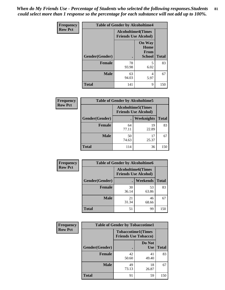*When do My Friends Use - Percentage of Students who selected the following responses.Students could select more than 1 response so the percentage for each substance will not add up to 100%.* **81**

| <b>Frequency</b> | <b>Table of Gender by Alcoholtime4</b> |                                                          |                                                |              |
|------------------|----------------------------------------|----------------------------------------------------------|------------------------------------------------|--------------|
| <b>Row Pct</b>   |                                        | <b>Alcoholtime4(Times</b><br><b>Friends Use Alcohol)</b> |                                                |              |
|                  | Gender(Gender)                         | $\bullet$                                                | <b>On Way</b><br>Home<br>From<br><b>School</b> | <b>Total</b> |
|                  | <b>Female</b>                          | 78<br>93.98                                              | 5<br>6.02                                      | 83           |
|                  | <b>Male</b>                            | 63<br>94.03                                              | 4<br>5.97                                      | 67           |
|                  | <b>Total</b>                           | 141                                                      | 9                                              | 150          |

| <b>Frequency</b> | <b>Table of Gender by Alcoholtime5</b> |                                                           |             |              |
|------------------|----------------------------------------|-----------------------------------------------------------|-------------|--------------|
| <b>Row Pct</b>   |                                        | <b>Alcoholtime5</b> (Times<br><b>Friends Use Alcohol)</b> |             |              |
|                  | Gender(Gender)                         |                                                           | Weeknights  | <b>Total</b> |
|                  | <b>Female</b>                          | 64<br>77.11                                               | 19<br>22.89 | 83           |
|                  | <b>Male</b>                            | 50<br>74.63                                               | 17<br>25.37 | 67           |
|                  | <b>Total</b>                           | 114                                                       | 36          | 150          |

| <b>Frequency</b> | <b>Table of Gender by Alcoholtime6</b> |                                                           |                 |              |  |
|------------------|----------------------------------------|-----------------------------------------------------------|-----------------|--------------|--|
| <b>Row Pct</b>   |                                        | <b>Alcoholtime6</b> (Times<br><b>Friends Use Alcohol)</b> |                 |              |  |
|                  | Gender(Gender)                         |                                                           | <b>Weekends</b> | <b>Total</b> |  |
|                  | <b>Female</b>                          | 30<br>36.14                                               | 53<br>63.86     | 83           |  |
|                  | <b>Male</b>                            | 21<br>31.34                                               | 46<br>68.66     | 67           |  |
|                  | <b>Total</b>                           | 51                                                        | 99              | 150          |  |

| <b>Frequency</b> | <b>Table of Gender by Tobaccotime1</b> |                                                          |                      |              |
|------------------|----------------------------------------|----------------------------------------------------------|----------------------|--------------|
| <b>Row Pct</b>   |                                        | <b>Tobaccotime1(Times</b><br><b>Friends Use Tobacco)</b> |                      |              |
|                  | Gender(Gender)                         |                                                          | Do Not<br><b>Use</b> | <b>Total</b> |
|                  | <b>Female</b>                          | 42<br>50.60                                              | 41<br>49.40          | 83           |
|                  | <b>Male</b>                            | 49<br>73.13                                              | 18<br>26.87          | 67           |
|                  | <b>Total</b>                           | 91                                                       | 59                   | 150          |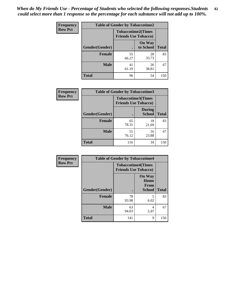| <b>Frequency</b> | <b>Table of Gender by Tobaccotime2</b> |                                                          |                            |              |
|------------------|----------------------------------------|----------------------------------------------------------|----------------------------|--------------|
| <b>Row Pct</b>   |                                        | <b>Tobaccotime2(Times</b><br><b>Friends Use Tobacco)</b> |                            |              |
|                  | Gender(Gender)                         | $\bullet$                                                | <b>On Way</b><br>to School | <b>Total</b> |
|                  | Female                                 | 55<br>66.27                                              | 28<br>33.73                | 83           |
|                  | <b>Male</b>                            | 41<br>61.19                                              | 26<br>38.81                | 67           |
|                  | <b>Total</b>                           | 96                                                       | 54                         | 150          |

| Frequency      | <b>Table of Gender by Tobaccotime3</b> |                                                          |                                |              |
|----------------|----------------------------------------|----------------------------------------------------------|--------------------------------|--------------|
| <b>Row Pct</b> |                                        | <b>Tobaccotime3(Times</b><br><b>Friends Use Tobacco)</b> |                                |              |
|                | Gender(Gender)                         | п                                                        | <b>During</b><br><b>School</b> | <b>Total</b> |
|                | Female                                 | 65<br>78.31                                              | 18<br>21.69                    | 83           |
|                | <b>Male</b>                            | 51<br>76.12                                              | 16<br>23.88                    | 67           |
|                | <b>Total</b>                           | 116                                                      | 34                             | 150          |

| Frequency      | <b>Table of Gender by Tobaccotime4</b> |                                                          |                                                       |              |
|----------------|----------------------------------------|----------------------------------------------------------|-------------------------------------------------------|--------------|
| <b>Row Pct</b> |                                        | <b>Tobaccotime4(Times</b><br><b>Friends Use Tobacco)</b> |                                                       |              |
|                | Gender(Gender)                         |                                                          | <b>On Way</b><br>Home<br><b>From</b><br><b>School</b> | <b>Total</b> |
|                | <b>Female</b>                          | 78<br>93.98                                              | 5<br>6.02                                             | 83           |
|                | <b>Male</b>                            | 63<br>94.03                                              | 4<br>5.97                                             | 67           |
|                | <b>Total</b>                           | 141                                                      | 9                                                     | 150          |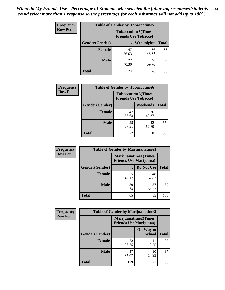| <b>Frequency</b> | <b>Table of Gender by Tobaccotime5</b> |             |                                                           |              |  |
|------------------|----------------------------------------|-------------|-----------------------------------------------------------|--------------|--|
| <b>Row Pct</b>   |                                        |             | <b>Tobaccotime5</b> (Times<br><b>Friends Use Tobacco)</b> |              |  |
|                  | Gender(Gender)                         |             | Weeknights                                                | <b>Total</b> |  |
|                  | <b>Female</b>                          | 47<br>56.63 | 36<br>43.37                                               | 83           |  |
|                  | <b>Male</b>                            | 27<br>40.30 | 40<br>59.70                                               | 67           |  |
|                  | Total                                  | 74          | 76                                                        | 150          |  |

| <b>Frequency</b> | <b>Table of Gender by Tobaccotime6</b> |                                                          |                 |              |
|------------------|----------------------------------------|----------------------------------------------------------|-----------------|--------------|
| <b>Row Pct</b>   |                                        | <b>Tobaccotime6(Times</b><br><b>Friends Use Tobacco)</b> |                 |              |
|                  | Gender(Gender)                         |                                                          | <b>Weekends</b> | <b>Total</b> |
|                  | Female                                 | 47<br>56.63                                              | 36<br>43.37     | 83           |
|                  | <b>Male</b>                            | 25<br>37.31                                              | 42<br>62.69     | 67           |
|                  | <b>Total</b>                           | 72                                                       | 78              | 150          |

| <b>Frequency</b> | <b>Table of Gender by Marijuanatime1</b> |                                |                             |              |
|------------------|------------------------------------------|--------------------------------|-----------------------------|--------------|
| <b>Row Pct</b>   |                                          | <b>Friends Use Marijuana</b> ) | <b>Marijuanatime1(Times</b> |              |
|                  | Gender(Gender)                           |                                | Do Not Use                  | <b>Total</b> |
|                  | <b>Female</b>                            | 35<br>42.17                    | 48<br>57.83                 | 83           |
|                  | <b>Male</b>                              | 30<br>44.78                    | 37<br>55.22                 | 67           |
|                  | <b>Total</b>                             | 65                             | 85                          | 150          |

| <b>Frequency</b> | <b>Table of Gender by Marijuanatime2</b> |                                                               |                            |              |
|------------------|------------------------------------------|---------------------------------------------------------------|----------------------------|--------------|
| <b>Row Pct</b>   |                                          | <b>Marijuanatime2(Times</b><br><b>Friends Use Marijuana</b> ) |                            |              |
|                  | Gender(Gender)                           |                                                               | On Way to<br><b>School</b> | <b>Total</b> |
|                  | Female                                   | 72<br>86.75                                                   | 11<br>13.25                | 83           |
|                  | <b>Male</b>                              | 57<br>85.07                                                   | 10<br>14.93                | 67           |
|                  | <b>Total</b>                             | 129                                                           | 21                         | 150          |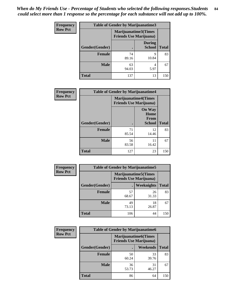| <b>Frequency</b> | <b>Table of Gender by Marijuanatime3</b> |                                |                                |              |
|------------------|------------------------------------------|--------------------------------|--------------------------------|--------------|
| <b>Row Pct</b>   |                                          | <b>Friends Use Marijuana</b> ) | Marijuanatime3(Times           |              |
|                  | Gender(Gender)                           |                                | <b>During</b><br><b>School</b> | <b>Total</b> |
|                  | <b>Female</b>                            | 74<br>89.16                    | 9<br>10.84                     | 83           |
|                  | <b>Male</b>                              | 63<br>94.03                    | 4<br>5.97                      | 67           |
|                  | <b>Total</b>                             | 137                            | 13                             | 150          |

| Frequency      | <b>Table of Gender by Marijuanatime4</b> |                                                               |                                                |              |
|----------------|------------------------------------------|---------------------------------------------------------------|------------------------------------------------|--------------|
| <b>Row Pct</b> |                                          | <b>Marijuanatime4(Times</b><br><b>Friends Use Marijuana</b> ) |                                                |              |
|                | Gender(Gender)                           |                                                               | <b>On Way</b><br>Home<br>From<br><b>School</b> | <b>Total</b> |
|                | <b>Female</b>                            | 71<br>85.54                                                   | 12<br>14.46                                    | 83           |
|                | <b>Male</b>                              | 56<br>83.58                                                   | 11<br>16.42                                    | 67           |
|                | <b>Total</b>                             | 127                                                           | 23                                             | 150          |

| Frequency      | <b>Table of Gender by Marijuanatime5</b> |             |                                                                |              |  |
|----------------|------------------------------------------|-------------|----------------------------------------------------------------|--------------|--|
| <b>Row Pct</b> |                                          |             | <b>Marijuanatime5</b> (Times<br><b>Friends Use Marijuana</b> ) |              |  |
|                | Gender(Gender)                           |             | Weeknights                                                     | <b>Total</b> |  |
|                | <b>Female</b>                            | 57<br>68.67 | 26<br>31.33                                                    | 83           |  |
|                | <b>Male</b>                              | 49<br>73.13 | 18<br>26.87                                                    | 67           |  |
|                | <b>Total</b>                             | 106         | 44                                                             | 150          |  |

| Frequency      | <b>Table of Gender by Marijuanatime6</b> |                                |                              |              |  |
|----------------|------------------------------------------|--------------------------------|------------------------------|--------------|--|
| <b>Row Pct</b> |                                          | <b>Friends Use Marijuana</b> ) | <b>Marijuanatime6</b> (Times |              |  |
|                | Gender(Gender)                           |                                | Weekends                     | <b>Total</b> |  |
|                | <b>Female</b>                            | 50<br>60.24                    | 33<br>39.76                  | 83           |  |
|                | <b>Male</b>                              | 36<br>53.73                    | 31<br>46.27                  | 67           |  |
|                | <b>Total</b>                             | 86                             | 64                           | 150          |  |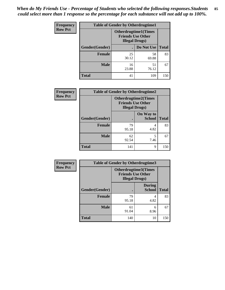*When do My Friends Use - Percentage of Students who selected the following responses.Students could select more than 1 response so the percentage for each substance will not add up to 100%.* **85**

| <b>Frequency</b> | <b>Table of Gender by Otherdrugtime1</b> |                        |                                                         |     |  |
|------------------|------------------------------------------|------------------------|---------------------------------------------------------|-----|--|
| <b>Row Pct</b>   |                                          | <b>Illegal Drugs</b> ) | <b>Otherdrugtime1(Times</b><br><b>Friends Use Other</b> |     |  |
|                  | Gender(Gender)                           |                        | Do Not Use   Total                                      |     |  |
|                  | <b>Female</b>                            | 25<br>30.12            | 58<br>69.88                                             | 83  |  |
|                  | <b>Male</b>                              | 16<br>23.88            | 51<br>76.12                                             | 67  |  |
|                  | <b>Total</b>                             | 41                     | 109                                                     | 150 |  |

| Frequency      | <b>Table of Gender by Otherdrugtime2</b> |                                                                                   |                            |              |
|----------------|------------------------------------------|-----------------------------------------------------------------------------------|----------------------------|--------------|
| <b>Row Pct</b> |                                          | <b>Otherdrugtime2(Times</b><br><b>Friends Use Other</b><br><b>Illegal Drugs</b> ) |                            |              |
|                | Gender(Gender)                           |                                                                                   | On Way to<br><b>School</b> | <b>Total</b> |
|                | <b>Female</b>                            | 79<br>95.18                                                                       | 4<br>4.82                  | 83           |
|                | <b>Male</b>                              | 62<br>92.54                                                                       | 5<br>7.46                  | 67           |
|                | <b>Total</b>                             | 141                                                                               | 9                          | 150          |

| Frequency      | <b>Table of Gender by Otherdrugtime3</b> |                        |                                                  |              |
|----------------|------------------------------------------|------------------------|--------------------------------------------------|--------------|
| <b>Row Pct</b> |                                          | <b>Illegal Drugs</b> ) | Otherdrugtime3(Times<br><b>Friends Use Other</b> |              |
|                | Gender(Gender)                           |                        | <b>During</b><br><b>School</b>                   | <b>Total</b> |
|                | <b>Female</b>                            | 79<br>95.18            | 4<br>4.82                                        | 83           |
|                | <b>Male</b>                              | 61<br>91.04            | 6<br>8.96                                        | 67           |
|                | <b>Total</b>                             | 140                    | 10                                               | 150          |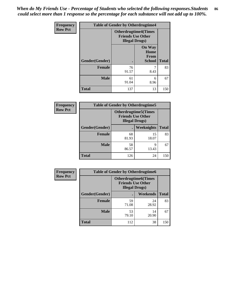*When do My Friends Use - Percentage of Students who selected the following responses.Students could select more than 1 response so the percentage for each substance will not add up to 100%.* **86**

| <b>Frequency</b> | <b>Table of Gender by Otherdrugtime4</b> |                                                    |                                                       |              |
|------------------|------------------------------------------|----------------------------------------------------|-------------------------------------------------------|--------------|
| <b>Row Pct</b>   |                                          | <b>Friends Use Other</b><br><b>Illegal Drugs</b> ) | <b>Otherdrugtime4(Times</b>                           |              |
|                  | Gender(Gender)                           |                                                    | <b>On Way</b><br>Home<br><b>From</b><br><b>School</b> | <b>Total</b> |
|                  | Female                                   | 76<br>91.57                                        | 8.43                                                  | 83           |
|                  | <b>Male</b>                              | 61<br>91.04                                        | 6<br>8.96                                             | 67           |
|                  | <b>Total</b>                             | 137                                                | 13                                                    | 150          |

| Frequency      | <b>Table of Gender by Otherdrugtime5</b> |                                                                                    |                   |              |
|----------------|------------------------------------------|------------------------------------------------------------------------------------|-------------------|--------------|
| <b>Row Pct</b> |                                          | <b>Otherdrugtime5</b> (Times<br><b>Friends Use Other</b><br><b>Illegal Drugs</b> ) |                   |              |
|                | Gender(Gender)                           |                                                                                    | <b>Weeknights</b> | <b>Total</b> |
|                | <b>Female</b>                            | 68<br>81.93                                                                        | 15<br>18.07       | 83           |
|                | <b>Male</b>                              | 58<br>86.57                                                                        | Q<br>13.43        | 67           |
|                | <b>Total</b>                             | 126                                                                                | 24                | 150          |

| <b>Frequency</b> | <b>Table of Gender by Otherdrugtime6</b> |                                                                                   |                 |              |  |
|------------------|------------------------------------------|-----------------------------------------------------------------------------------|-----------------|--------------|--|
| <b>Row Pct</b>   |                                          | <b>Otherdrugtime6(Times</b><br><b>Friends Use Other</b><br><b>Illegal Drugs</b> ) |                 |              |  |
|                  | Gender(Gender)                           |                                                                                   | <b>Weekends</b> | <b>Total</b> |  |
|                  | <b>Female</b>                            | 59<br>71.08                                                                       | 24<br>28.92     | 83           |  |
|                  | <b>Male</b>                              | 53<br>79.10                                                                       | 14<br>20.90     | 67           |  |
|                  | <b>Total</b>                             | 112                                                                               | 38              | 150          |  |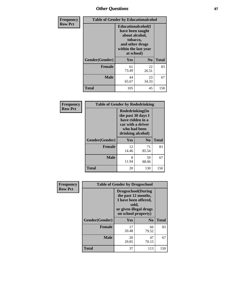# *Other Questions* **87**

| <b>Frequency</b> | <b>Table of Gender by Educationalcohol</b> |                                                                                                                                       |                |              |  |
|------------------|--------------------------------------------|---------------------------------------------------------------------------------------------------------------------------------------|----------------|--------------|--|
| <b>Row Pct</b>   |                                            | <b>Educationalcohol</b> (I<br>have been taught<br>about alcohol,<br>tobacco,<br>and other drugs<br>within the last year<br>at school) |                |              |  |
|                  | Gender(Gender)                             | <b>Yes</b>                                                                                                                            | N <sub>0</sub> | <b>Total</b> |  |
|                  | <b>Female</b>                              | 61<br>73.49                                                                                                                           | 22<br>26.51    | 83           |  |
|                  | <b>Male</b>                                | 44<br>65.67                                                                                                                           | 23<br>34.33    | 67           |  |
|                  | <b>Total</b>                               | 105                                                                                                                                   | 45             | 150          |  |

| Frequency      | <b>Table of Gender by Rodedrinking</b> |                                                                                                                     |                |              |  |
|----------------|----------------------------------------|---------------------------------------------------------------------------------------------------------------------|----------------|--------------|--|
| <b>Row Pct</b> |                                        | Rodedrinking(In<br>the past 30 days I<br>have ridden in a<br>car with a driver<br>who had been<br>drinking alcohol) |                |              |  |
|                | Gender(Gender)                         | Yes                                                                                                                 | N <sub>0</sub> | <b>Total</b> |  |
|                | <b>Female</b>                          | 12<br>14.46                                                                                                         | 71<br>85.54    | 83           |  |
|                | <b>Male</b>                            | 8<br>11.94                                                                                                          | 59<br>88.06    | 67           |  |
|                | <b>Total</b>                           | 20                                                                                                                  | 130            | 150          |  |

| Frequency      | <b>Table of Gender by Drugsschool</b> |                                                                                                                                     |                |              |  |
|----------------|---------------------------------------|-------------------------------------------------------------------------------------------------------------------------------------|----------------|--------------|--|
| <b>Row Pct</b> |                                       | <b>Drugsschool</b> (During<br>the past 12 months,<br>I have been offered,<br>sold,<br>or given illegal drugs<br>on school property) |                |              |  |
|                | Gender(Gender)                        | <b>Yes</b>                                                                                                                          | N <sub>0</sub> | <b>Total</b> |  |
|                | <b>Female</b>                         | 17<br>20.48                                                                                                                         | 66<br>79.52    | 83           |  |
|                | <b>Male</b>                           | 20<br>29.85                                                                                                                         | 47<br>70.15    | 67           |  |
|                | <b>Total</b>                          | 37                                                                                                                                  | 113            | 150          |  |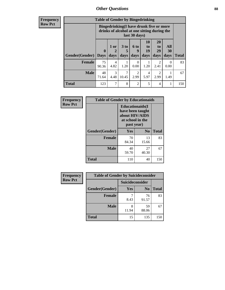# *Other Questions* **88**

**Frequency Row Pct**

| <b>Table of Gender by Bingedrinking</b> |                             |                                                                                                                |                   |                        |                        |                               |                   |              |
|-----------------------------------------|-----------------------------|----------------------------------------------------------------------------------------------------------------|-------------------|------------------------|------------------------|-------------------------------|-------------------|--------------|
|                                         |                             | <b>Bingedrinking(I have drunk five or more</b><br>drinks of alcohol at one sitting during the<br>last 30 days) |                   |                        |                        |                               |                   |              |
| <b>Gender</b> (Gender)                  | $\mathbf{0}$<br><b>Days</b> | 1 or<br>days                                                                                                   | 3 to<br>5<br>days | 6 to<br>q<br>days      | 10<br>to<br>19<br>days | <b>20</b><br>to<br>29<br>days | All<br>30<br>days | <b>Total</b> |
|                                         |                             |                                                                                                                |                   |                        |                        |                               |                   |              |
| <b>Female</b>                           | 75<br>90.36                 | 4<br>4.82                                                                                                      | 1.20              | 0<br>0.00              | 1.20                   | 2<br>2.41                     | 0<br>0.00         | 83           |
| <b>Male</b>                             | 48<br>71.64                 | 3<br>4.48                                                                                                      | 7<br>10.45        | $\mathfrak{D}$<br>2.99 | 4<br>5.97              | 2<br>2.99                     | 1.49              | 67           |

| Frequency      | <b>Table of Gender by Educationaids</b> |                                                                                                 |             |              |  |
|----------------|-----------------------------------------|-------------------------------------------------------------------------------------------------|-------------|--------------|--|
| <b>Row Pct</b> |                                         | <b>Educationaids</b> (I<br>have been taught<br>about HIV/AIDS<br>at school in the<br>past year) |             |              |  |
|                | Gender(Gender)                          | Yes                                                                                             | $\bf N_0$   | <b>Total</b> |  |
|                | <b>Female</b>                           | 70<br>84.34                                                                                     | 13<br>15.66 | 83           |  |
|                | <b>Male</b>                             | 40<br>59.70                                                                                     | 27<br>40.30 | 67           |  |
|                | <b>Total</b>                            | 110                                                                                             | 40          | 150          |  |

| <b>Frequency</b> | <b>Table of Gender by Suicideconsider</b> |                 |                |              |  |
|------------------|-------------------------------------------|-----------------|----------------|--------------|--|
| <b>Row Pct</b>   |                                           | Suicideconsider |                |              |  |
|                  | Gender(Gender)                            | Yes             | N <sub>0</sub> | <b>Total</b> |  |
|                  | <b>Female</b>                             | 8.43            | 76<br>91.57    | 83           |  |
|                  | <b>Male</b>                               | 8<br>11.94      | 59<br>88.06    | 67           |  |
|                  | <b>Total</b>                              | 15              | 135            | 150          |  |